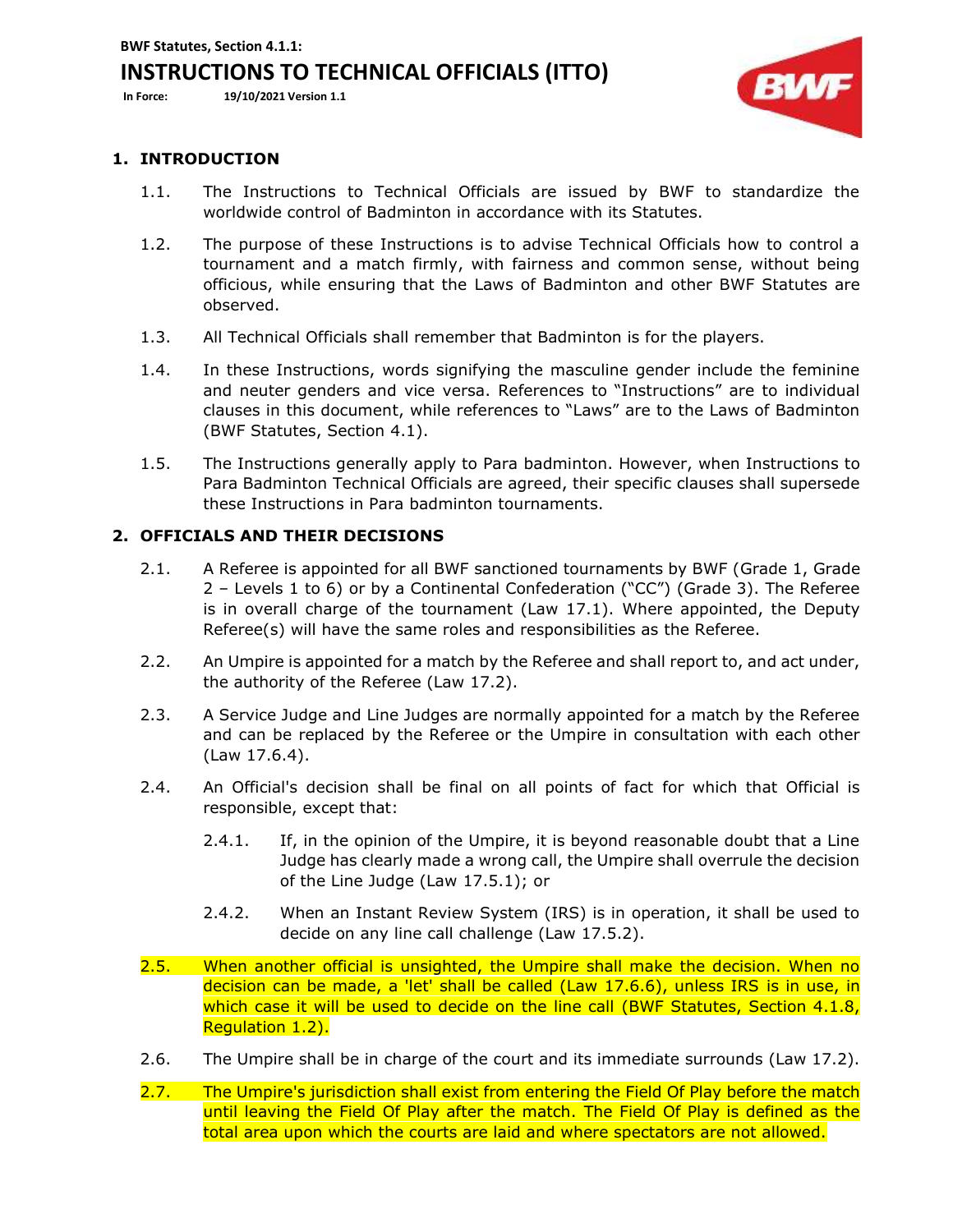**BWF Statutes, Section 4.1.1:** 

# **INSTRUCTIONS TO TECHNICAL OFFICIALS (ITTO)**

**In Force: 19/10/2021 Version 1.1**



## **1. INTRODUCTION**

- 1.1. The Instructions to Technical Officials are issued by BWF to standardize the worldwide control of Badminton in accordance with its Statutes.
- 1.2. The purpose of these Instructions is to advise Technical Officials how to control a tournament and a match firmly, with fairness and common sense, without being officious, while ensuring that the Laws of Badminton and other BWF Statutes are observed.
- 1.3. All Technical Officials shall remember that Badminton is for the players.
- 1.4. In these Instructions, words signifying the masculine gender include the feminine and neuter genders and vice versa. References to "Instructions" are to individual clauses in this document, while references to "Laws" are to the Laws of Badminton (BWF Statutes, Section 4.1).
- 1.5. The Instructions generally apply to Para badminton. However, when Instructions to Para Badminton Technical Officials are agreed, their specific clauses shall supersede these Instructions in Para badminton tournaments.

## **2. OFFICIALS AND THEIR DECISIONS**

- 2.1. A Referee is appointed for all BWF sanctioned tournaments by BWF (Grade 1, Grade 2 – Levels 1 to 6) or by a Continental Confederation ("CC") (Grade 3). The Referee is in overall charge of the tournament (Law 17.1). Where appointed, the Deputy Referee(s) will have the same roles and responsibilities as the Referee.
- 2.2. An Umpire is appointed for a match by the Referee and shall report to, and act under, the authority of the Referee (Law 17.2).
- 2.3. A Service Judge and Line Judges are normally appointed for a match by the Referee and can be replaced by the Referee or the Umpire in consultation with each other (Law 17.6.4).
- 2.4. An Official's decision shall be final on all points of fact for which that Official is responsible, except that:
	- 2.4.1. If, in the opinion of the Umpire, it is beyond reasonable doubt that a Line Judge has clearly made a wrong call, the Umpire shall overrule the decision of the Line Judge (Law 17.5.1); or
	- 2.4.2. When an Instant Review System (IRS) is in operation, it shall be used to decide on any line call challenge (Law 17.5.2).
- 2.5. When another official is unsighted, the Umpire shall make the decision. When no decision can be made, a 'let' shall be called (Law 17.6.6), unless IRS is in use, in which case it will be used to decide on the line call (BWF Statutes, Section 4.1.8, Regulation 1.2).
- 2.6. The Umpire shall be in charge of the court and its immediate surrounds (Law 17.2).
- 2.7. The Umpire's jurisdiction shall exist from entering the Field Of Play before the match until leaving the Field Of Play after the match. The Field Of Play is defined as the total area upon which the courts are laid and where spectators are not allowed.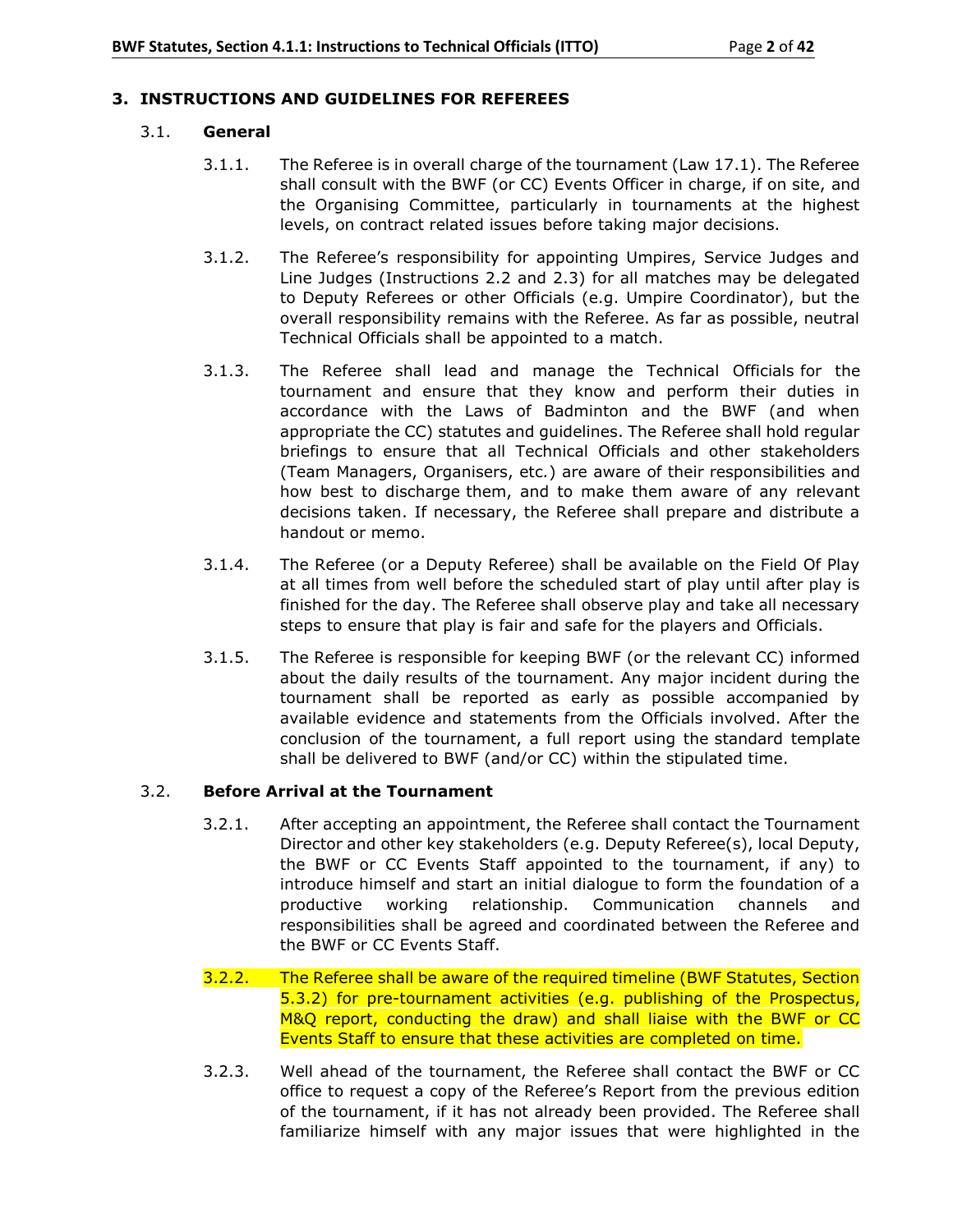## **3. INSTRUCTIONS AND GUIDELINES FOR REFEREES**

## 3.1. **General**

- 3.1.1. The Referee is in overall charge of the tournament (Law 17.1). The Referee shall consult with the BWF (or CC) Events Officer in charge, if on site, and the Organising Committee, particularly in tournaments at the highest levels, on contract related issues before taking major decisions.
- 3.1.2. The Referee's responsibility for appointing Umpires, Service Judges and Line Judges (Instructions 2.2 and 2.3) for all matches may be delegated to Deputy Referees or other Officials (e.g. Umpire Coordinator), but the overall responsibility remains with the Referee. As far as possible, neutral Technical Officials shall be appointed to a match.
- 3.1.3. The Referee shall lead and manage the Technical Officials for the tournament and ensure that they know and perform their duties in accordance with the Laws of Badminton and the BWF (and when appropriate the CC) statutes and guidelines. The Referee shall hold regular briefings to ensure that all Technical Officials and other stakeholders (Team Managers, Organisers, etc*.*) are aware of their responsibilities and how best to discharge them, and to make them aware of any relevant decisions taken. If necessary, the Referee shall prepare and distribute a handout or memo.
- 3.1.4. The Referee (or a Deputy Referee) shall be available on the Field Of Play at all times from well before the scheduled start of play until after play is finished for the day. The Referee shall observe play and take all necessary steps to ensure that play is fair and safe for the players and Officials.
- 3.1.5. The Referee is responsible for keeping BWF (or the relevant CC) informed about the daily results of the tournament. Any major incident during the tournament shall be reported as early as possible accompanied by available evidence and statements from the Officials involved. After the conclusion of the tournament, a full report using the standard template shall be delivered to BWF (and/or CC) within the stipulated time.

## 3.2. **Before Arrival at the Tournament**

- 3.2.1. After accepting an appointment, the Referee shall contact the Tournament Director and other key stakeholders (e.g. Deputy Referee(s), local Deputy, the BWF or CC Events Staff appointed to the tournament, if any) to introduce himself and start an initial dialogue to form the foundation of a productive working relationship. Communication channels and responsibilities shall be agreed and coordinated between the Referee and the BWF or CC Events Staff.
- 3.2.2. The Referee shall be aware of the required timeline (BWF Statutes, Section 5.3.2) for pre-tournament activities (e.g. publishing of the Prospectus, M&Q report, conducting the draw) and shall liaise with the BWF or CC Events Staff to ensure that these activities are completed on time.
- 3.2.3. Well ahead of the tournament, the Referee shall contact the BWF or CC office to request a copy of the Referee's Report from the previous edition of the tournament, if it has not already been provided. The Referee shall familiarize himself with any major issues that were highlighted in the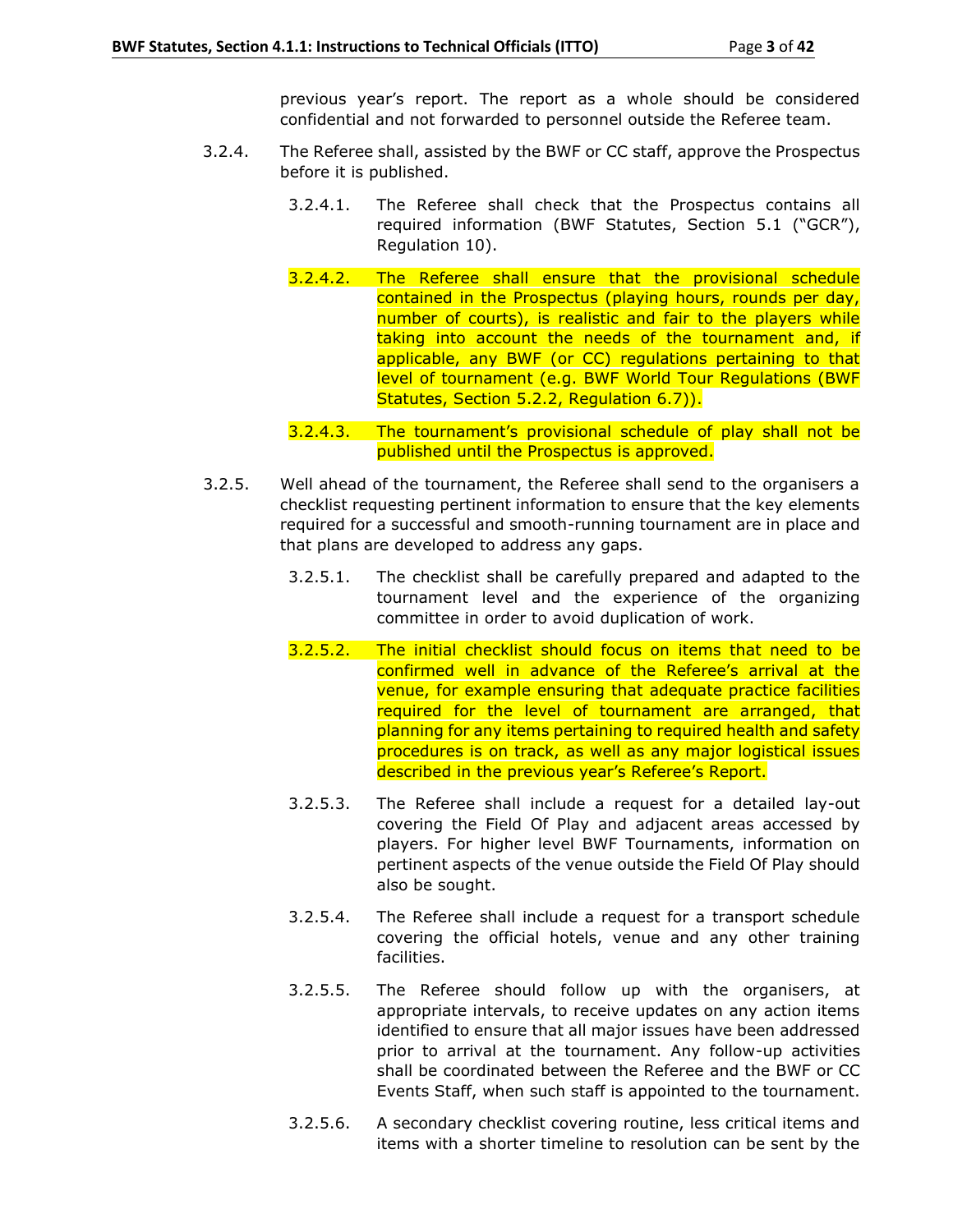previous year's report. The report as a whole should be considered confidential and not forwarded to personnel outside the Referee team.

- 3.2.4. The Referee shall, assisted by the BWF or CC staff, approve the Prospectus before it is published.
	- 3.2.4.1. The Referee shall check that the Prospectus contains all required information (BWF Statutes, Section 5.1 ("GCR"), Regulation 10).
	- 3.2.4.2. The Referee shall ensure that the provisional schedule contained in the Prospectus (playing hours, rounds per day, number of courts), is realistic and fair to the players while taking into account the needs of the tournament and, if applicable, any BWF (or CC) regulations pertaining to that level of tournament (e.g. BWF World Tour Regulations (BWF Statutes, Section 5.2.2, Regulation 6.7)).
	- 3.2.4.3. The tournament's provisional schedule of play shall not be published until the Prospectus is approved.
- 3.2.5. Well ahead of the tournament, the Referee shall send to the organisers a checklist requesting pertinent information to ensure that the key elements required for a successful and smooth-running tournament are in place and that plans are developed to address any gaps.
	- 3.2.5.1. The checklist shall be carefully prepared and adapted to the tournament level and the experience of the organizing committee in order to avoid duplication of work.
	- 3.2.5.2. The initial checklist should focus on items that need to be confirmed well in advance of the Referee's arrival at the venue, for example ensuring that adequate practice facilities required for the level of tournament are arranged, that planning for any items pertaining to required health and safety procedures is on track, as well as any major logistical issues described in the previous year's Referee's Report.
	- 3.2.5.3. The Referee shall include a request for a detailed lay-out covering the Field Of Play and adjacent areas accessed by players. For higher level BWF Tournaments, information on pertinent aspects of the venue outside the Field Of Play should also be sought.
	- 3.2.5.4. The Referee shall include a request for a transport schedule covering the official hotels, venue and any other training facilities.
	- 3.2.5.5. The Referee should follow up with the organisers, at appropriate intervals, to receive updates on any action items identified to ensure that all major issues have been addressed prior to arrival at the tournament. Any follow-up activities shall be coordinated between the Referee and the BWF or CC Events Staff, when such staff is appointed to the tournament.
	- 3.2.5.6. A secondary checklist covering routine, less critical items and items with a shorter timeline to resolution can be sent by the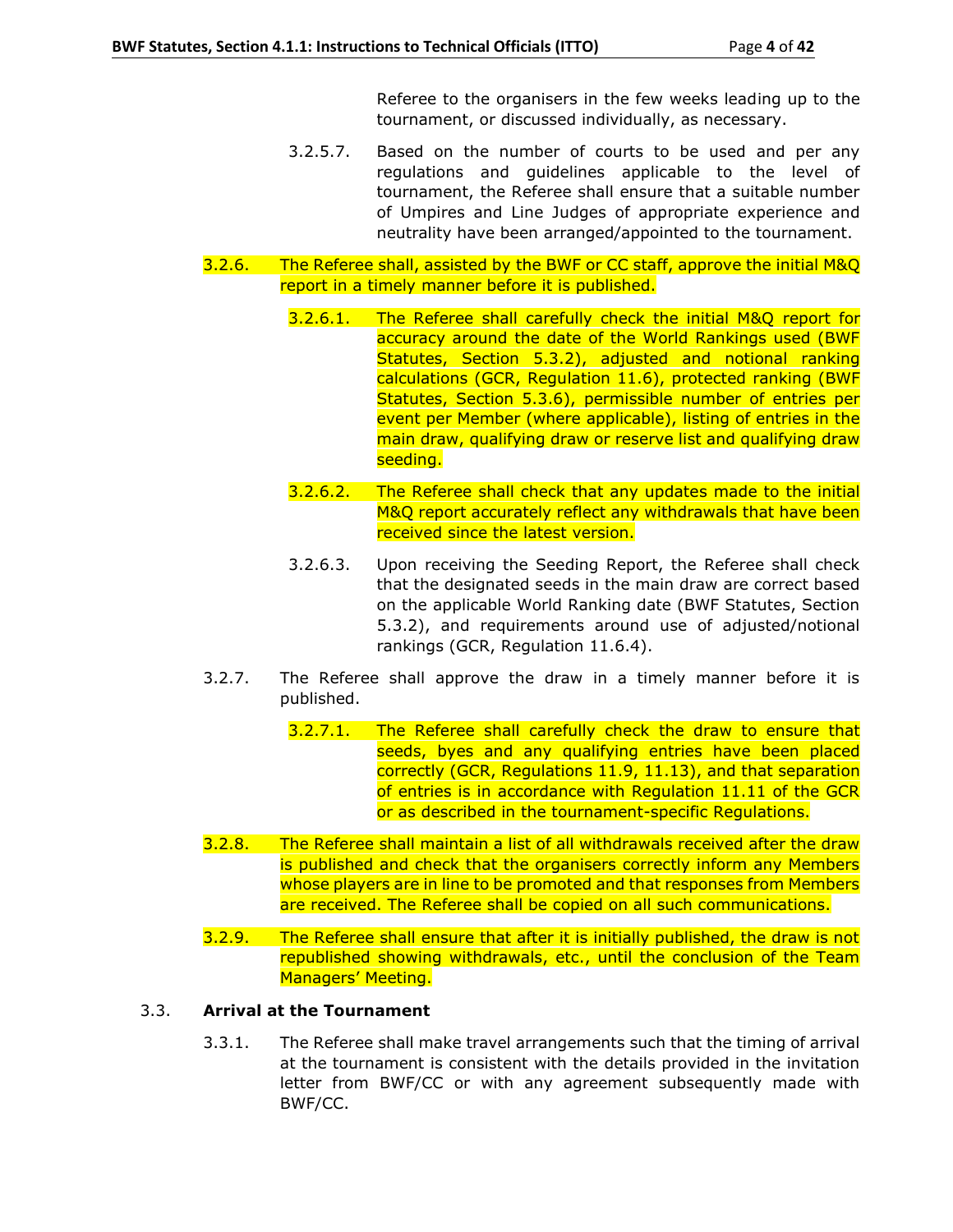Referee to the organisers in the few weeks leading up to the tournament, or discussed individually, as necessary.

- 3.2.5.7. Based on the number of courts to be used and per any regulations and guidelines applicable to the level of tournament, the Referee shall ensure that a suitable number of Umpires and Line Judges of appropriate experience and neutrality have been arranged/appointed to the tournament.
- 3.2.6. The Referee shall, assisted by the BWF or CC staff, approve the initial M&Q report in a timely manner before it is published.
	- 3.2.6.1. The Referee shall carefully check the initial M&Q report for accuracy around the date of the World Rankings used (BWF Statutes, Section 5.3.2), adjusted and notional ranking calculations (GCR, Regulation 11.6), protected ranking (BWF Statutes, Section 5.3.6), permissible number of entries per event per Member (where applicable), listing of entries in the main draw, qualifying draw or reserve list and qualifying draw seeding.
	- 3.2.6.2. The Referee shall check that any updates made to the initial M&Q report accurately reflect any withdrawals that have been received since the latest version.
	- 3.2.6.3. Upon receiving the Seeding Report, the Referee shall check that the designated seeds in the main draw are correct based on the applicable World Ranking date (BWF Statutes, Section 5.3.2), and requirements around use of adjusted/notional rankings (GCR, Regulation 11.6.4).
- 3.2.7. The Referee shall approve the draw in a timely manner before it is published.
	- 3.2.7.1. The Referee shall carefully check the draw to ensure that seeds, byes and any qualifying entries have been placed correctly (GCR, Regulations 11.9, 11.13), and that separation of entries is in accordance with Regulation 11.11 of the GCR or as described in the tournament-specific Regulations.
- 3.2.8. The Referee shall maintain a list of all withdrawals received after the draw is published and check that the organisers correctly inform any Members whose players are in line to be promoted and that responses from Members are received. The Referee shall be copied on all such communications.
- 3.2.9. The Referee shall ensure that after it is initially published, the draw is not republished showing withdrawals, etc., until the conclusion of the Team Managers' Meeting.

## 3.3. **Arrival at the Tournament**

3.3.1. The Referee shall make travel arrangements such that the timing of arrival at the tournament is consistent with the details provided in the invitation letter from BWF/CC or with any agreement subsequently made with BWF/CC.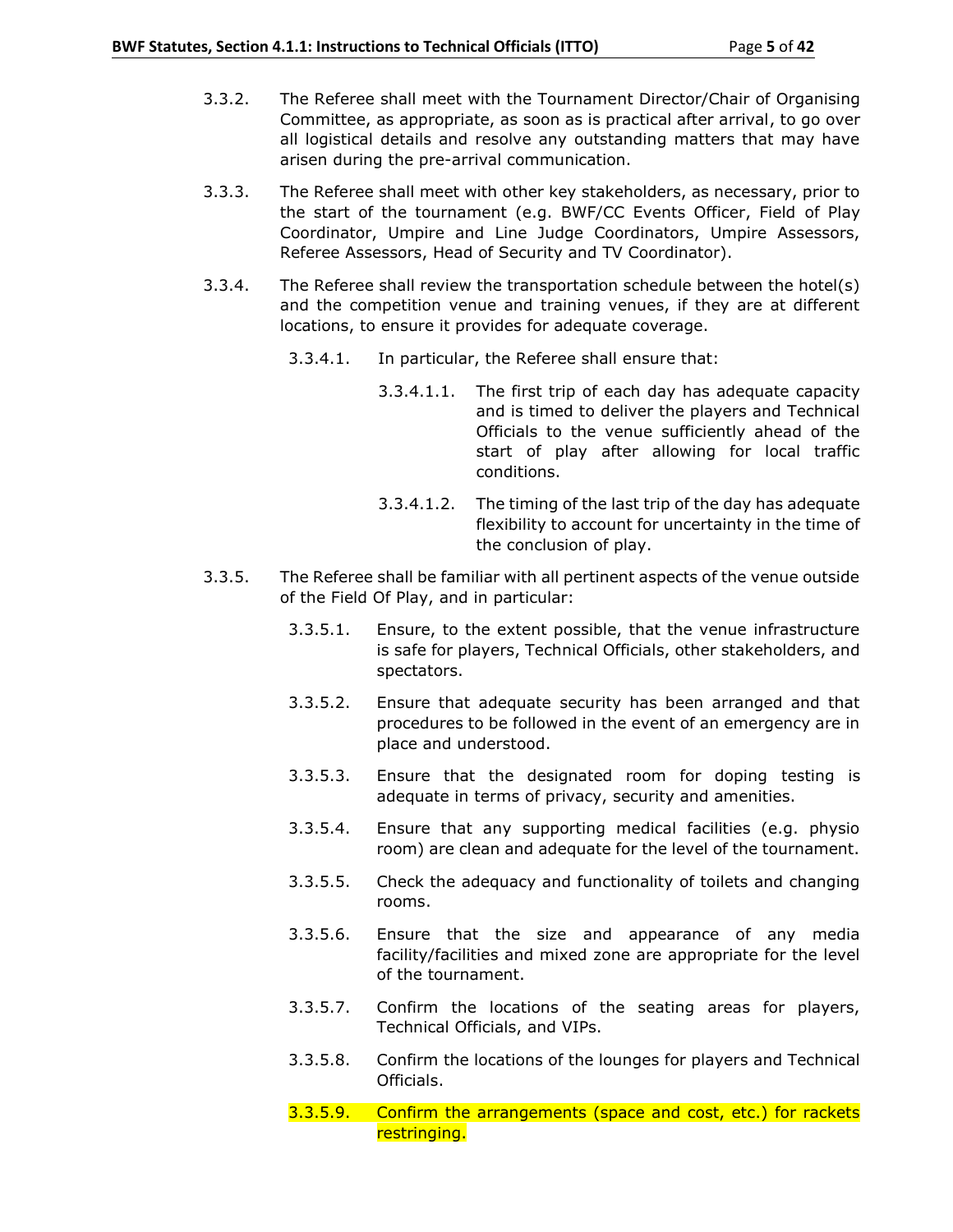- 3.3.2. The Referee shall meet with the Tournament Director/Chair of Organising Committee, as appropriate, as soon as is practical after arrival, to go over all logistical details and resolve any outstanding matters that may have arisen during the pre-arrival communication.
- 3.3.3. The Referee shall meet with other key stakeholders, as necessary, prior to the start of the tournament (e.g. BWF/CC Events Officer, Field of Play Coordinator, Umpire and Line Judge Coordinators, Umpire Assessors, Referee Assessors, Head of Security and TV Coordinator).
- 3.3.4. The Referee shall review the transportation schedule between the hotel(s) and the competition venue and training venues, if they are at different locations, to ensure it provides for adequate coverage.
	- 3.3.4.1. In particular, the Referee shall ensure that:
		- 3.3.4.1.1. The first trip of each day has adequate capacity and is timed to deliver the players and Technical Officials to the venue sufficiently ahead of the start of play after allowing for local traffic conditions.
		- 3.3.4.1.2. The timing of the last trip of the day has adequate flexibility to account for uncertainty in the time of the conclusion of play.
- 3.3.5. The Referee shall be familiar with all pertinent aspects of the venue outside of the Field Of Play, and in particular:
	- 3.3.5.1. Ensure, to the extent possible, that the venue infrastructure is safe for players, Technical Officials, other stakeholders, and spectators.
	- 3.3.5.2. Ensure that adequate security has been arranged and that procedures to be followed in the event of an emergency are in place and understood.
	- 3.3.5.3. Ensure that the designated room for doping testing is adequate in terms of privacy, security and amenities.
	- 3.3.5.4. Ensure that any supporting medical facilities (e.g. physio room) are clean and adequate for the level of the tournament.
	- 3.3.5.5. Check the adequacy and functionality of toilets and changing rooms.
	- 3.3.5.6. Ensure that the size and appearance of any media facility/facilities and mixed zone are appropriate for the level of the tournament.
	- 3.3.5.7. Confirm the locations of the seating areas for players, Technical Officials, and VIPs.
	- 3.3.5.8. Confirm the locations of the lounges for players and Technical Officials.
	- 3.3.5.9. Confirm the arrangements (space and cost, etc.) for rackets restringing.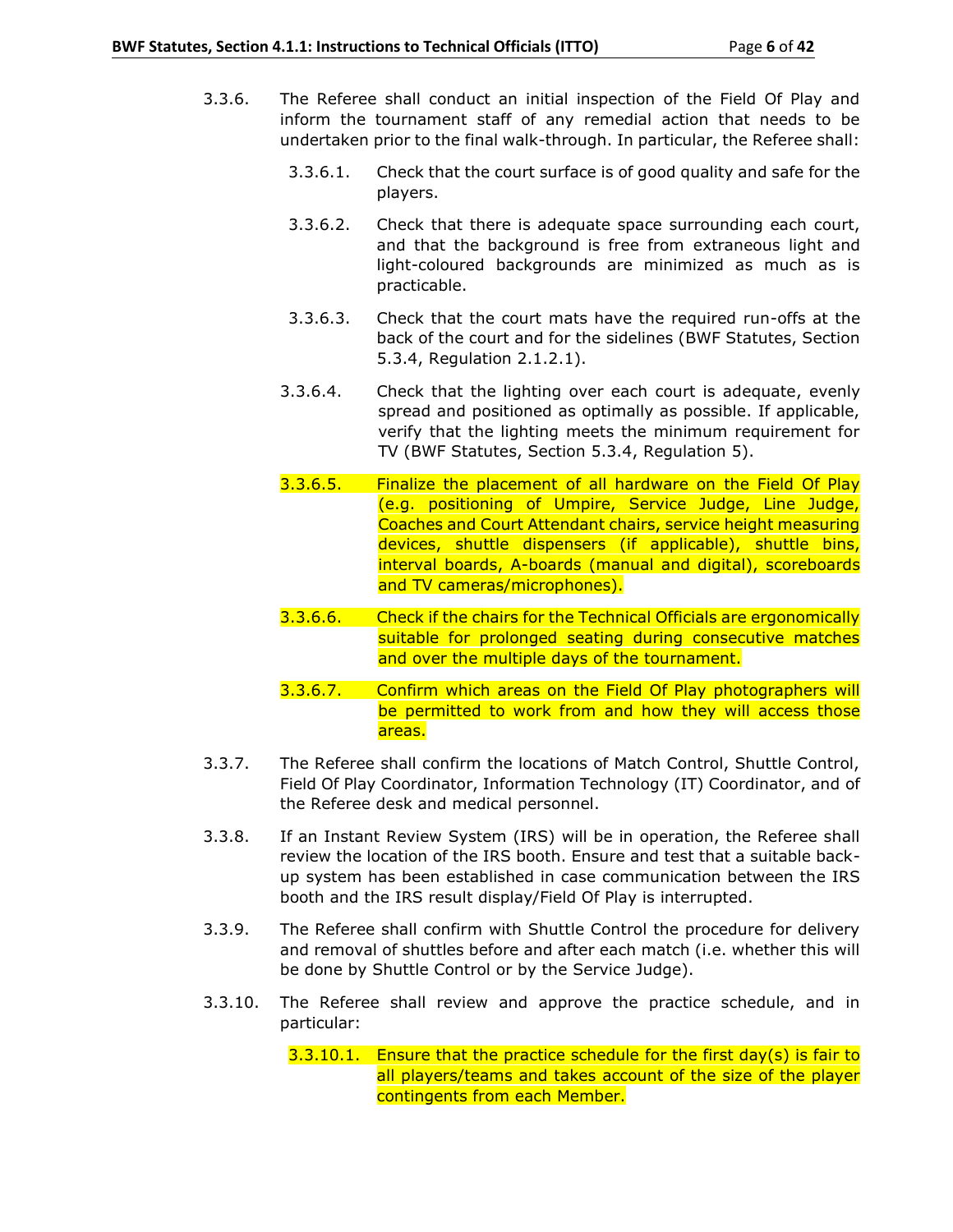- 3.3.6. The Referee shall conduct an initial inspection of the Field Of Play and inform the tournament staff of any remedial action that needs to be undertaken prior to the final walk-through. In particular, the Referee shall:
	- 3.3.6.1. Check that the court surface is of good quality and safe for the players.
	- 3.3.6.2. Check that there is adequate space surrounding each court, and that the background is free from extraneous light and light-coloured backgrounds are minimized as much as is practicable.
	- 3.3.6.3. Check that the court mats have the required run-offs at the back of the court and for the sidelines (BWF Statutes, Section 5.3.4, Regulation 2.1.2.1).
	- 3.3.6.4. Check that the lighting over each court is adequate, evenly spread and positioned as optimally as possible. If applicable, verify that the lighting meets the minimum requirement for TV (BWF Statutes, Section 5.3.4, Regulation 5).
	- 3.3.6.5. Finalize the placement of all hardware on the Field Of Play (e.g. positioning of Umpire, Service Judge, Line Judge, Coaches and Court Attendant chairs, service height measuring devices, shuttle dispensers (if applicable), shuttle bins, interval boards, A-boards (manual and digital), scoreboards and TV cameras/microphones).
	- 3.3.6.6. Check if the chairs for the Technical Officials are ergonomically suitable for prolonged seating during consecutive matches and over the multiple days of the tournament.
	- 3.3.6.7. Confirm which areas on the Field Of Play photographers will be permitted to work from and how they will access those areas.
- 3.3.7. The Referee shall confirm the locations of Match Control, Shuttle Control, Field Of Play Coordinator, Information Technology (IT) Coordinator, and of the Referee desk and medical personnel.
- 3.3.8. If an Instant Review System (IRS) will be in operation, the Referee shall review the location of the IRS booth. Ensure and test that a suitable backup system has been established in case communication between the IRS booth and the IRS result display/Field Of Play is interrupted.
- 3.3.9. The Referee shall confirm with Shuttle Control the procedure for delivery and removal of shuttles before and after each match (i.e. whether this will be done by Shuttle Control or by the Service Judge).
- 3.3.10. The Referee shall review and approve the practice schedule, and in particular:
	- $3.3.10.1.$  Ensure that the practice schedule for the first day(s) is fair to all players/teams and takes account of the size of the player contingents from each Member.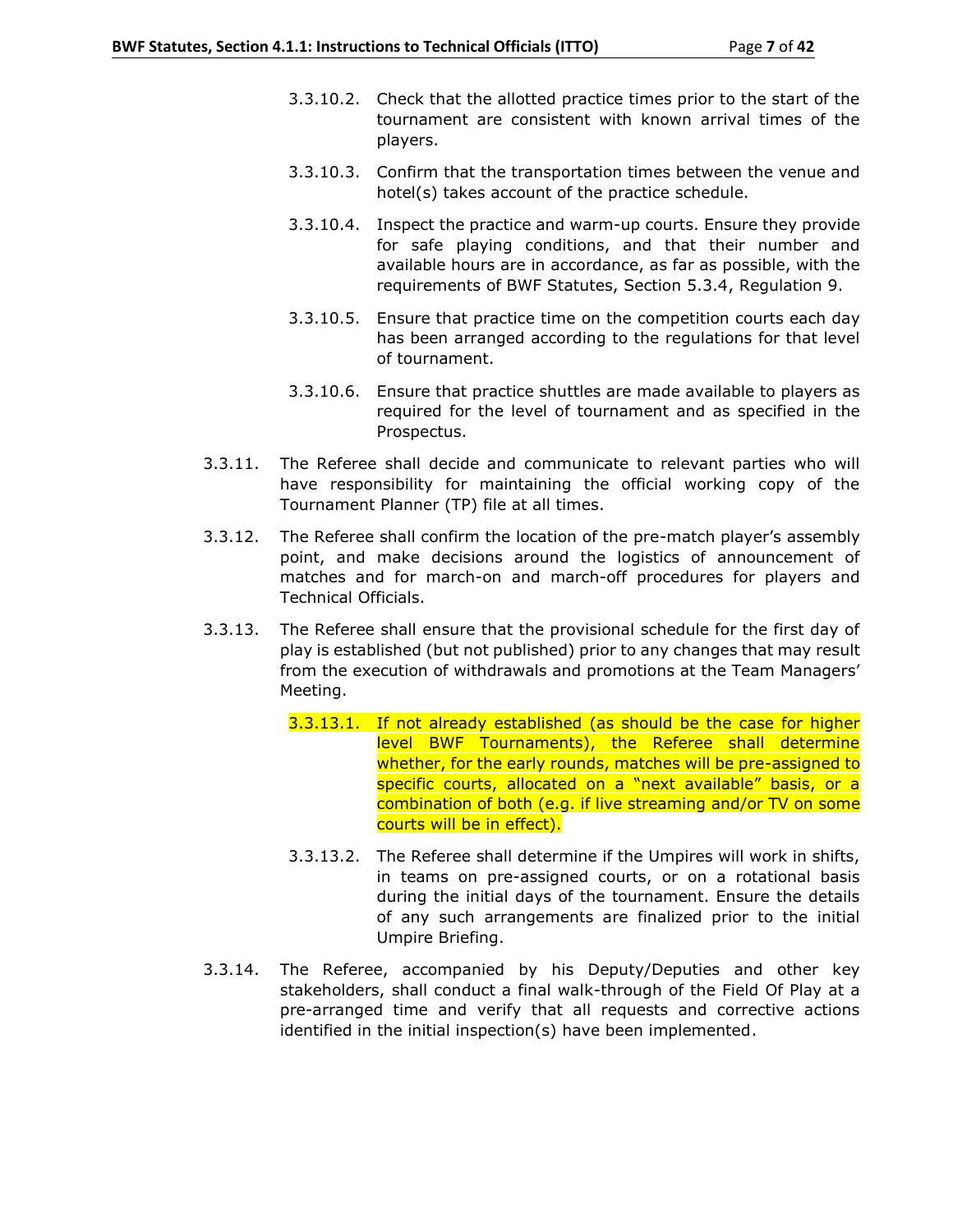- 3.3.10.2. Check that the allotted practice times prior to the start of the tournament are consistent with known arrival times of the players.
- 3.3.10.3. Confirm that the transportation times between the venue and hotel(s) takes account of the practice schedule.
- 3.3.10.4. Inspect the practice and warm-up courts. Ensure they provide for safe playing conditions, and that their number and available hours are in accordance, as far as possible, with the requirements of BWF Statutes, Section 5.3.4, Regulation 9.
- 3.3.10.5. Ensure that practice time on the competition courts each day has been arranged according to the regulations for that level of tournament.
- 3.3.10.6. Ensure that practice shuttles are made available to players as required for the level of tournament and as specified in the Prospectus.
- 3.3.11. The Referee shall decide and communicate to relevant parties who will have responsibility for maintaining the official working copy of the Tournament Planner (TP) file at all times.
- 3.3.12. The Referee shall confirm the location of the pre-match player's assembly point, and make decisions around the logistics of announcement of matches and for march-on and march-off procedures for players and Technical Officials.
- 3.3.13. The Referee shall ensure that the provisional schedule for the first day of play is established (but not published) prior to any changes that may result from the execution of withdrawals and promotions at the Team Managers' Meeting.
	- 3.3.13.1. If not already established (as should be the case for higher level BWF Tournaments), the Referee shall determine whether, for the early rounds, matches will be pre-assigned to specific courts, allocated on a "next available" basis, or a combination of both (e.g. if live streaming and/or TV on some courts will be in effect).
	- 3.3.13.2. The Referee shall determine if the Umpires will work in shifts, in teams on pre-assigned courts, or on a rotational basis during the initial days of the tournament. Ensure the details of any such arrangements are finalized prior to the initial Umpire Briefing.
- 3.3.14. The Referee, accompanied by his Deputy/Deputies and other key stakeholders, shall conduct a final walk-through of the Field Of Play at a pre-arranged time and verify that all requests and corrective actions identified in the initial inspection(s) have been implemented.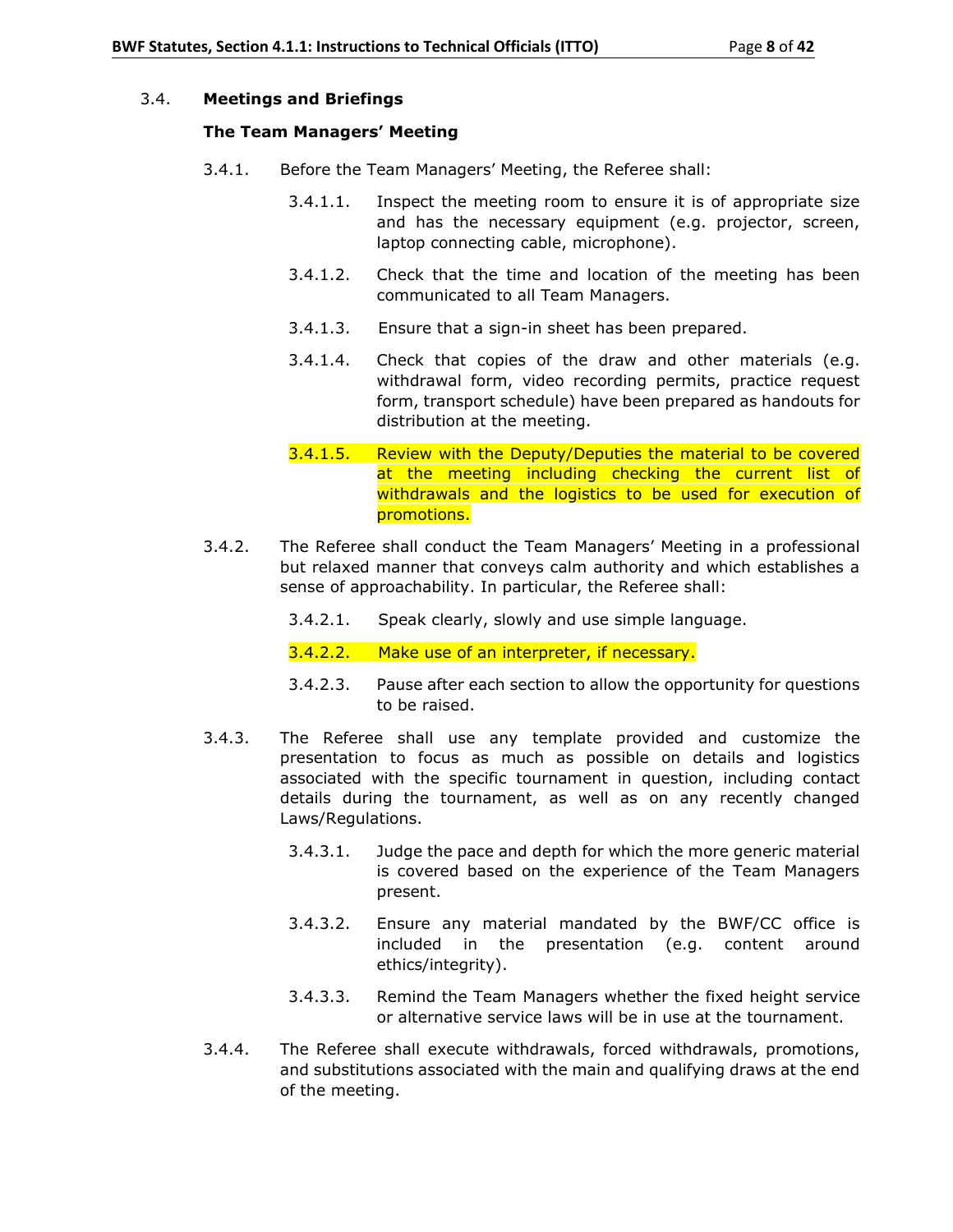## 3.4. **Meetings and Briefings**

### **The Team Managers' Meeting**

- 3.4.1. Before the Team Managers' Meeting, the Referee shall:
	- 3.4.1.1. Inspect the meeting room to ensure it is of appropriate size and has the necessary equipment (e.g. projector, screen, laptop connecting cable, microphone).
	- 3.4.1.2. Check that the time and location of the meeting has been communicated to all Team Managers.
	- 3.4.1.3. Ensure that a sign-in sheet has been prepared.
	- 3.4.1.4. Check that copies of the draw and other materials (e.g. withdrawal form, video recording permits, practice request form, transport schedule) have been prepared as handouts for distribution at the meeting.
	- 3.4.1.5. Review with the Deputy/Deputies the material to be covered at the meeting including checking the current list of withdrawals and the logistics to be used for execution of promotions.
- 3.4.2. The Referee shall conduct the Team Managers' Meeting in a professional but relaxed manner that conveys calm authority and which establishes a sense of approachability. In particular, the Referee shall:
	- 3.4.2.1. Speak clearly, slowly and use simple language.
	- 3.4.2.2. Make use of an interpreter, if necessary.
	- 3.4.2.3. Pause after each section to allow the opportunity for questions to be raised.
- 3.4.3. The Referee shall use any template provided and customize the presentation to focus as much as possible on details and logistics associated with the specific tournament in question, including contact details during the tournament, as well as on any recently changed Laws/Regulations.
	- 3.4.3.1. Judge the pace and depth for which the more generic material is covered based on the experience of the Team Managers present.
	- 3.4.3.2. Ensure any material mandated by the BWF/CC office is included in the presentation (e.g. content around ethics/integrity).
	- 3.4.3.3. Remind the Team Managers whether the fixed height service or alternative service laws will be in use at the tournament.
- 3.4.4. The Referee shall execute withdrawals, forced withdrawals, promotions, and substitutions associated with the main and qualifying draws at the end of the meeting.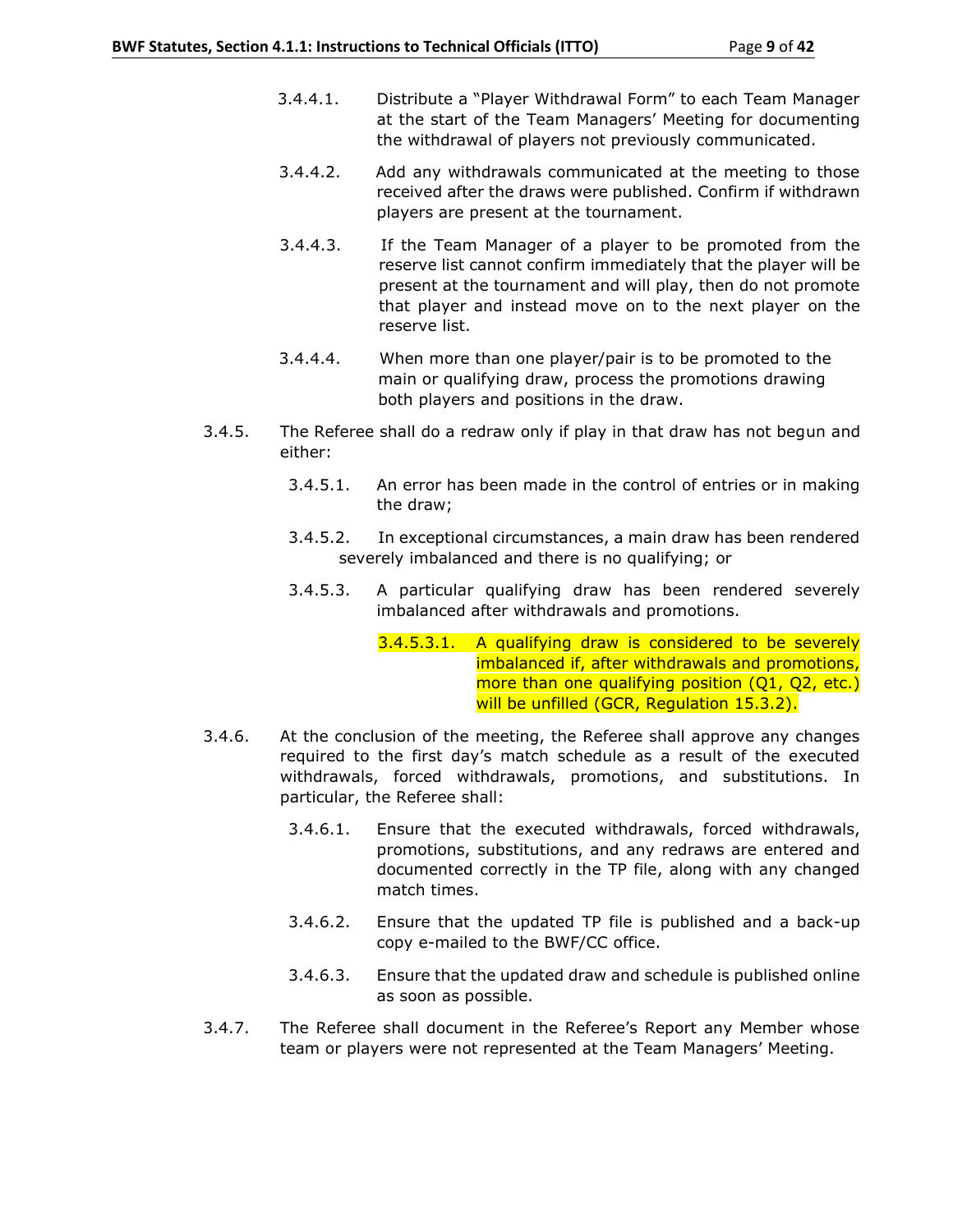- 3.4.4.1. Distribute a "Player Withdrawal Form" to each Team Manager at the start of the Team Managers' Meeting for documenting the withdrawal of players not previously communicated.
- 3.4.4.2. Add any withdrawals communicated at the meeting to those received after the draws were published. Confirm if withdrawn players are present at the tournament.
- 3.4.4.3. If the Team Manager of a player to be promoted from the reserve list cannot confirm immediately that the player will be present at the tournament and will play, then do not promote that player and instead move on to the next player on the reserve list.
- 3.4.4.4. When more than one player/pair is to be promoted to the main or qualifying draw, process the promotions drawing both players and positions in the draw.
- 3.4.5. The Referee shall do a redraw only if play in that draw has not begun and either:
	- 3.4.5.1. An error has been made in the control of entries or in making the draw;
	- 3.4.5.2. In exceptional circumstances, a main draw has been rendered severely imbalanced and there is no qualifying; or
	- 3.4.5.3. A particular qualifying draw has been rendered severely imbalanced after withdrawals and promotions.
		- 3.4.5.3.1. A qualifying draw is considered to be severely imbalanced if, after withdrawals and promotions, more than one qualifying position (Q1, Q2, etc.) will be unfilled (GCR, Regulation 15.3.2).
- 3.4.6. At the conclusion of the meeting, the Referee shall approve any changes required to the first day's match schedule as a result of the executed withdrawals, forced withdrawals, promotions, and substitutions. In particular, the Referee shall:
	- 3.4.6.1. Ensure that the executed withdrawals, forced withdrawals, promotions, substitutions, and any redraws are entered and documented correctly in the TP file, along with any changed match times.
	- 3.4.6.2. Ensure that the updated TP file is published and a back-up copy e-mailed to the BWF/CC office.
	- 3.4.6.3. Ensure that the updated draw and schedule is published online as soon as possible.
- 3.4.7. The Referee shall document in the Referee's Report any Member whose team or players were not represented at the Team Managers' Meeting.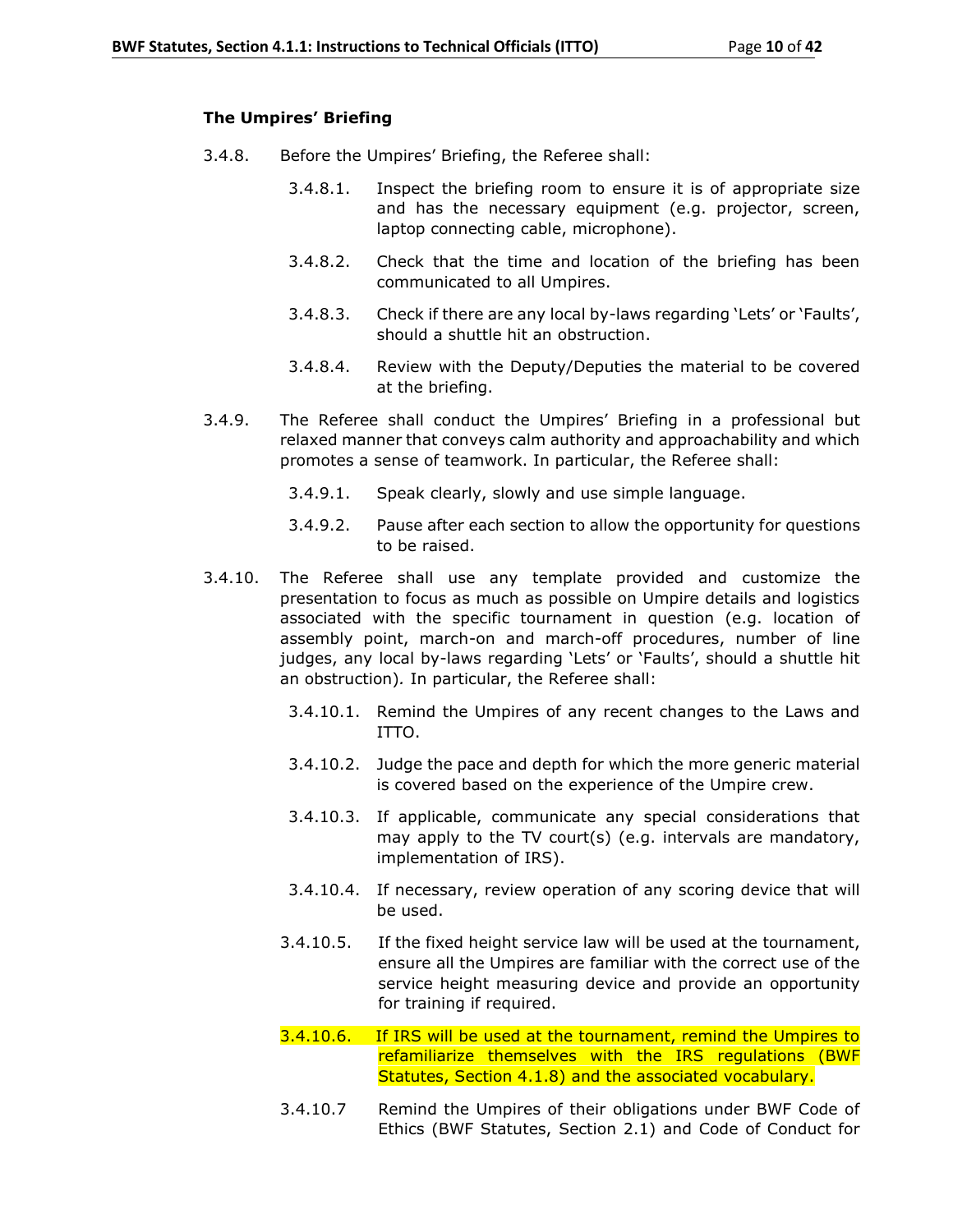## **The Umpires' Briefing**

- 3.4.8. Before the Umpires' Briefing, the Referee shall:
	- 3.4.8.1. Inspect the briefing room to ensure it is of appropriate size and has the necessary equipment (e.g. projector, screen, laptop connecting cable, microphone).
	- 3.4.8.2. Check that the time and location of the briefing has been communicated to all Umpires.
	- 3.4.8.3. Check if there are any local by-laws regarding 'Lets' or 'Faults', should a shuttle hit an obstruction.
	- 3.4.8.4. Review with the Deputy/Deputies the material to be covered at the briefing.
- 3.4.9. The Referee shall conduct the Umpires' Briefing in a professional but relaxed manner that conveys calm authority and approachability and which promotes a sense of teamwork. In particular, the Referee shall:
	- 3.4.9.1. Speak clearly, slowly and use simple language.
	- 3.4.9.2. Pause after each section to allow the opportunity for questions to be raised.
- 3.4.10. The Referee shall use any template provided and customize the presentation to focus as much as possible on Umpire details and logistics associated with the specific tournament in question (e.g. location of assembly point, march-on and march-off procedures, number of line judges, any local by-laws regarding 'Lets' or 'Faults', should a shuttle hit an obstruction)*.* In particular, the Referee shall:
	- 3.4.10.1. Remind the Umpires of any recent changes to the Laws and ITTO.
	- 3.4.10.2. Judge the pace and depth for which the more generic material is covered based on the experience of the Umpire crew.
	- 3.4.10.3. If applicable, communicate any special considerations that may apply to the TV court(s) (e.g. intervals are mandatory, implementation of IRS).
	- 3.4.10.4. If necessary, review operation of any scoring device that will be used.
	- 3.4.10.5. If the fixed height service law will be used at the tournament, ensure all the Umpires are familiar with the correct use of the service height measuring device and provide an opportunity for training if required.
	- 3.4.10.6. If IRS will be used at the tournament, remind the Umpires to refamiliarize themselves with the IRS regulations (BWF Statutes, Section 4.1.8) and the associated vocabulary.
	- 3.4.10.7 Remind the Umpires of their obligations under BWF Code of Ethics (BWF Statutes, Section 2.1) and Code of Conduct for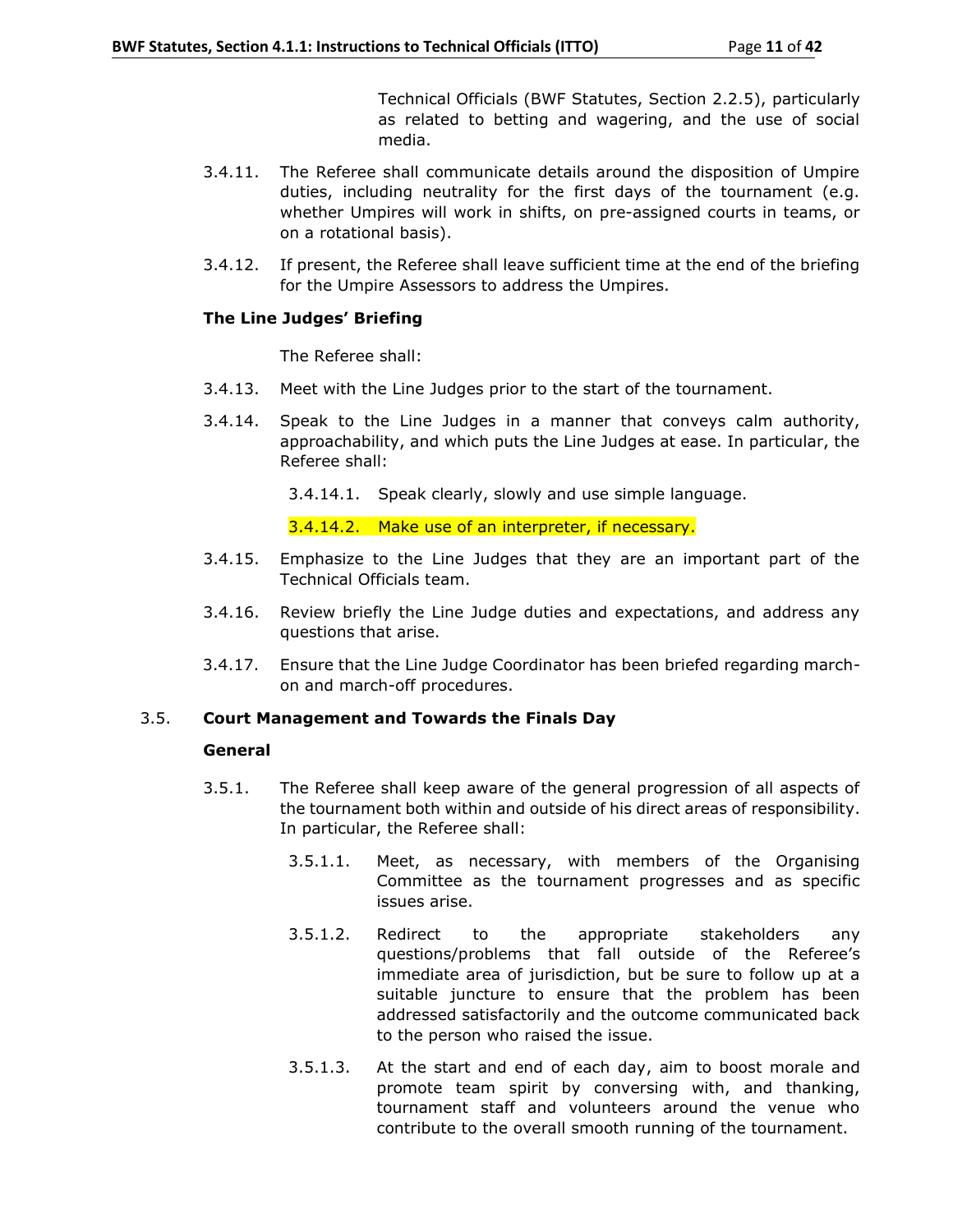Technical Officials (BWF Statutes, Section 2.2.5), particularly as related to betting and wagering, and the use of social media.

- 3.4.11. The Referee shall communicate details around the disposition of Umpire duties, including neutrality for the first days of the tournament (e.g. whether Umpires will work in shifts, on pre-assigned courts in teams, or on a rotational basis).
- 3.4.12. If present, the Referee shall leave sufficient time at the end of the briefing for the Umpire Assessors to address the Umpires.

## **The Line Judges' Briefing**

The Referee shall:

- 3.4.13. Meet with the Line Judges prior to the start of the tournament.
- 3.4.14. Speak to the Line Judges in a manner that conveys calm authority, approachability, and which puts the Line Judges at ease. In particular, the Referee shall:
	- 3.4.14.1. Speak clearly, slowly and use simple language.

3.4.14.2. Make use of an interpreter, if necessary.

- 3.4.15. Emphasize to the Line Judges that they are an important part of the Technical Officials team.
- 3.4.16. Review briefly the Line Judge duties and expectations, and address any questions that arise.
- 3.4.17. Ensure that the Line Judge Coordinator has been briefed regarding marchon and march-off procedures.

## 3.5. **Court Management and Towards the Finals Day**

#### **General**

- 3.5.1. The Referee shall keep aware of the general progression of all aspects of the tournament both within and outside of his direct areas of responsibility. In particular, the Referee shall:
	- 3.5.1.1. Meet, as necessary, with members of the Organising Committee as the tournament progresses and as specific issues arise.
	- 3.5.1.2. Redirect to the appropriate stakeholders any questions/problems that fall outside of the Referee's immediate area of jurisdiction, but be sure to follow up at a suitable juncture to ensure that the problem has been addressed satisfactorily and the outcome communicated back to the person who raised the issue.
	- 3.5.1.3. At the start and end of each day, aim to boost morale and promote team spirit by conversing with, and thanking, tournament staff and volunteers around the venue who contribute to the overall smooth running of the tournament.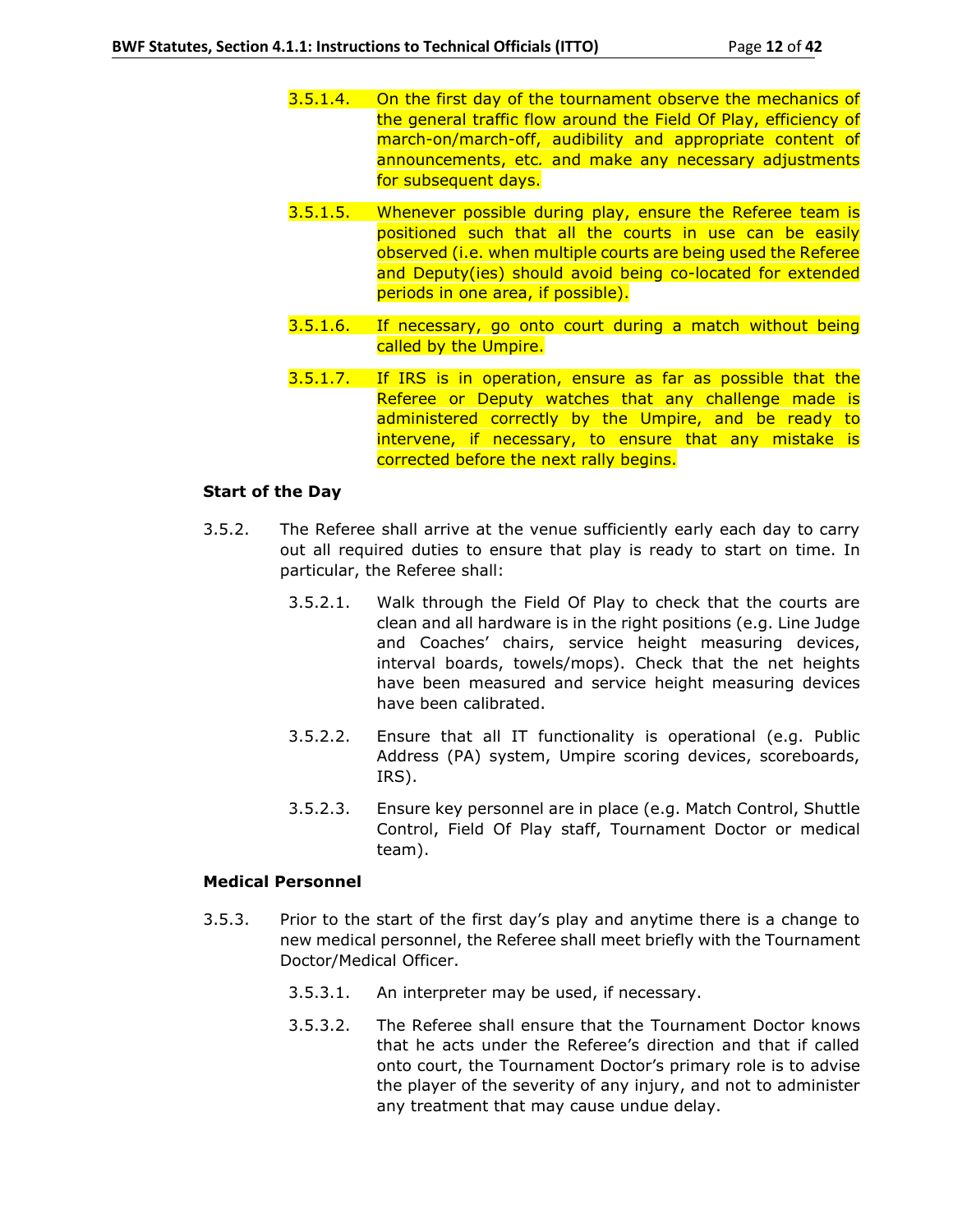- 3.5.1.4. On the first day of the tournament observe the mechanics of the general traffic flow around the Field Of Play, efficiency of march-on/march-off, audibility and appropriate content of announcements, etc*.* and make any necessary adjustments for subsequent days.
- 3.5.1.5. Whenever possible during play, ensure the Referee team is positioned such that all the courts in use can be easily observed (i.e. when multiple courts are being used the Referee and Deputy(ies) should avoid being co-located for extended periods in one area, if possible).
- 3.5.1.6. If necessary, go onto court during a match without being called by the Umpire.
- 3.5.1.7. If IRS is in operation, ensure as far as possible that the Referee or Deputy watches that any challenge made is administered correctly by the Umpire, and be ready to intervene, if necessary, to ensure that any mistake is corrected before the next rally begins.

#### **Start of the Day**

- 3.5.2. The Referee shall arrive at the venue sufficiently early each day to carry out all required duties to ensure that play is ready to start on time. In particular, the Referee shall:
	- 3.5.2.1. Walk through the Field Of Play to check that the courts are clean and all hardware is in the right positions (e.g. Line Judge and Coaches' chairs, service height measuring devices, interval boards, towels/mops). Check that the net heights have been measured and service height measuring devices have been calibrated.
	- 3.5.2.2. Ensure that all IT functionality is operational (e.g. Public Address (PA) system, Umpire scoring devices, scoreboards, IRS).
	- 3.5.2.3. Ensure key personnel are in place (e.g. Match Control, Shuttle Control, Field Of Play staff, Tournament Doctor or medical team).

## **Medical Personnel**

- 3.5.3. Prior to the start of the first day's play and anytime there is a change to new medical personnel, the Referee shall meet briefly with the Tournament Doctor/Medical Officer.
	- 3.5.3.1. An interpreter may be used, if necessary.
	- 3.5.3.2. The Referee shall ensure that the Tournament Doctor knows that he acts under the Referee's direction and that if called onto court, the Tournament Doctor's primary role is to advise the player of the severity of any injury, and not to administer any treatment that may cause undue delay.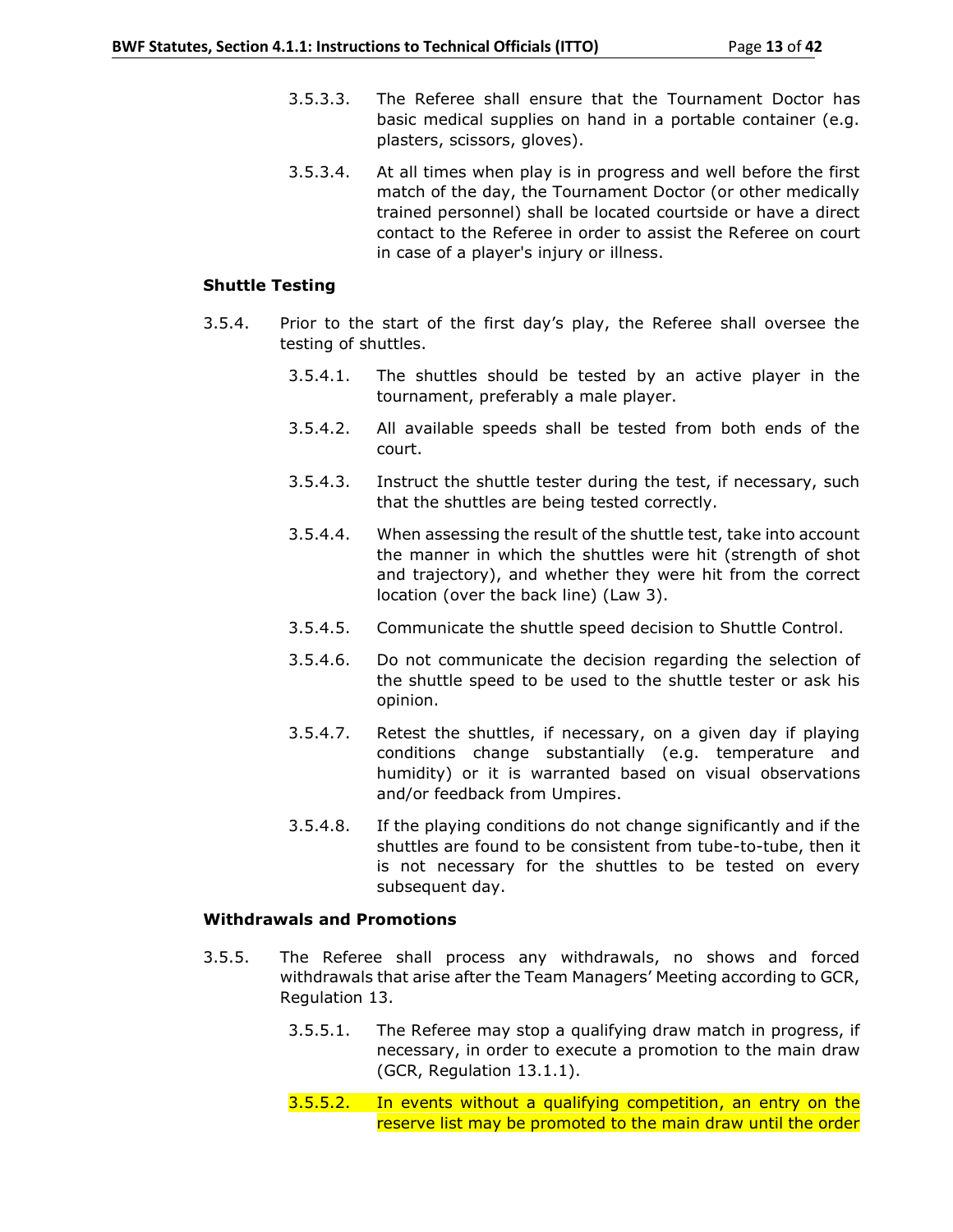- 3.5.3.3. The Referee shall ensure that the Tournament Doctor has basic medical supplies on hand in a portable container (e.g. plasters, scissors, gloves).
- 3.5.3.4. At all times when play is in progress and well before the first match of the day, the Tournament Doctor (or other medically trained personnel) shall be located courtside or have a direct contact to the Referee in order to assist the Referee on court in case of a player's injury or illness.

#### **Shuttle Testing**

- 3.5.4. Prior to the start of the first day's play, the Referee shall oversee the testing of shuttles.
	- 3.5.4.1. The shuttles should be tested by an active player in the tournament, preferably a male player.
	- 3.5.4.2. All available speeds shall be tested from both ends of the court.
	- 3.5.4.3. Instruct the shuttle tester during the test, if necessary, such that the shuttles are being tested correctly.
	- 3.5.4.4. When assessing the result of the shuttle test, take into account the manner in which the shuttles were hit (strength of shot and trajectory), and whether they were hit from the correct location (over the back line) (Law 3).
	- 3.5.4.5. Communicate the shuttle speed decision to Shuttle Control.
	- 3.5.4.6. Do not communicate the decision regarding the selection of the shuttle speed to be used to the shuttle tester or ask his opinion.
	- 3.5.4.7. Retest the shuttles, if necessary, on a given day if playing conditions change substantially (e.g. temperature and humidity) or it is warranted based on visual observations and/or feedback from Umpires.
	- 3.5.4.8. If the playing conditions do not change significantly and if the shuttles are found to be consistent from tube-to-tube, then it is not necessary for the shuttles to be tested on every subsequent day.

## **Withdrawals and Promotions**

- 3.5.5. The Referee shall process any withdrawals, no shows and forced withdrawals that arise after the Team Managers' Meeting according to GCR, Regulation 13.
	- 3.5.5.1. The Referee may stop a qualifying draw match in progress, if necessary, in order to execute a promotion to the main draw (GCR, Regulation 13.1.1).
	- 3.5.5.2. In events without a qualifying competition, an entry on the reserve list may be promoted to the main draw until the order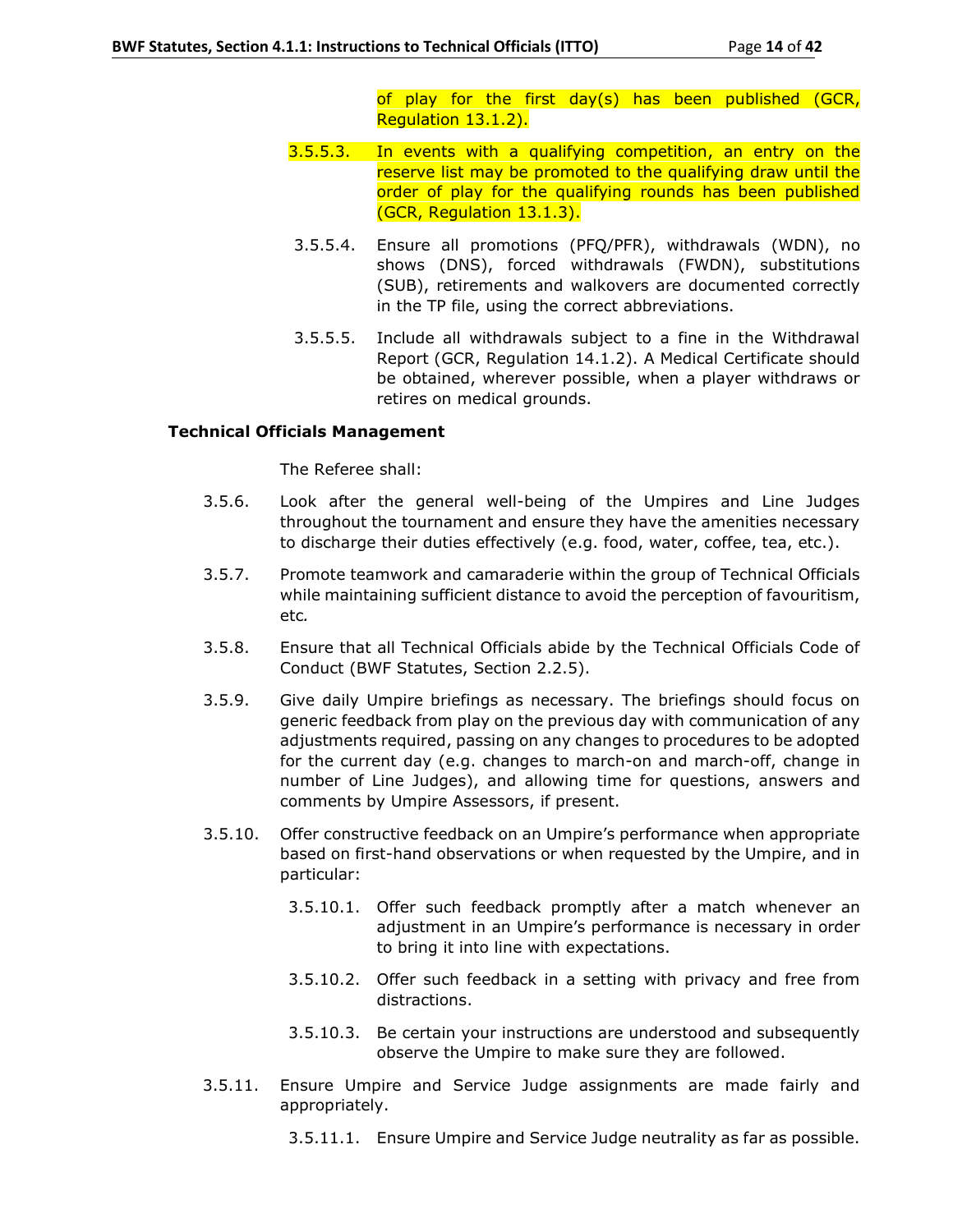of play for the first day(s) has been published (GCR, Regulation 13.1.2).

- 3.5.5.3. In events with a qualifying competition, an entry on the reserve list may be promoted to the qualifying draw until the order of play for the qualifying rounds has been published (GCR, Regulation 13.1.3).
- 3.5.5.4. Ensure all promotions (PFQ/PFR), withdrawals (WDN), no shows (DNS), forced withdrawals (FWDN), substitutions (SUB), retirements and walkovers are documented correctly in the TP file, using the correct abbreviations.
- 3.5.5.5. Include all withdrawals subject to a fine in the Withdrawal Report (GCR, Regulation 14.1.2). A Medical Certificate should be obtained, wherever possible, when a player withdraws or retires on medical grounds.

### **Technical Officials Management**

The Referee shall:

- 3.5.6. Look after the general well-being of the Umpires and Line Judges throughout the tournament and ensure they have the amenities necessary to discharge their duties effectively (e.g. food, water, coffee, tea, etc.).
- 3.5.7. Promote teamwork and camaraderie within the group of Technical Officials while maintaining sufficient distance to avoid the perception of favouritism, etc*.*
- 3.5.8. Ensure that all Technical Officials abide by the Technical Officials Code of Conduct (BWF Statutes, Section 2.2.5).
- 3.5.9. Give daily Umpire briefings as necessary. The briefings should focus on generic feedback from play on the previous day with communication of any adjustments required, passing on any changes to procedures to be adopted for the current day (e.g. changes to march-on and march-off, change in number of Line Judges), and allowing time for questions, answers and comments by Umpire Assessors, if present.
- 3.5.10. Offer constructive feedback on an Umpire's performance when appropriate based on first-hand observations or when requested by the Umpire, and in particular:
	- 3.5.10.1. Offer such feedback promptly after a match whenever an adjustment in an Umpire's performance is necessary in order to bring it into line with expectations.
	- 3.5.10.2. Offer such feedback in a setting with privacy and free from distractions.
	- 3.5.10.3. Be certain your instructions are understood and subsequently observe the Umpire to make sure they are followed.
- 3.5.11. Ensure Umpire and Service Judge assignments are made fairly and appropriately.
	- 3.5.11.1. Ensure Umpire and Service Judge neutrality as far as possible.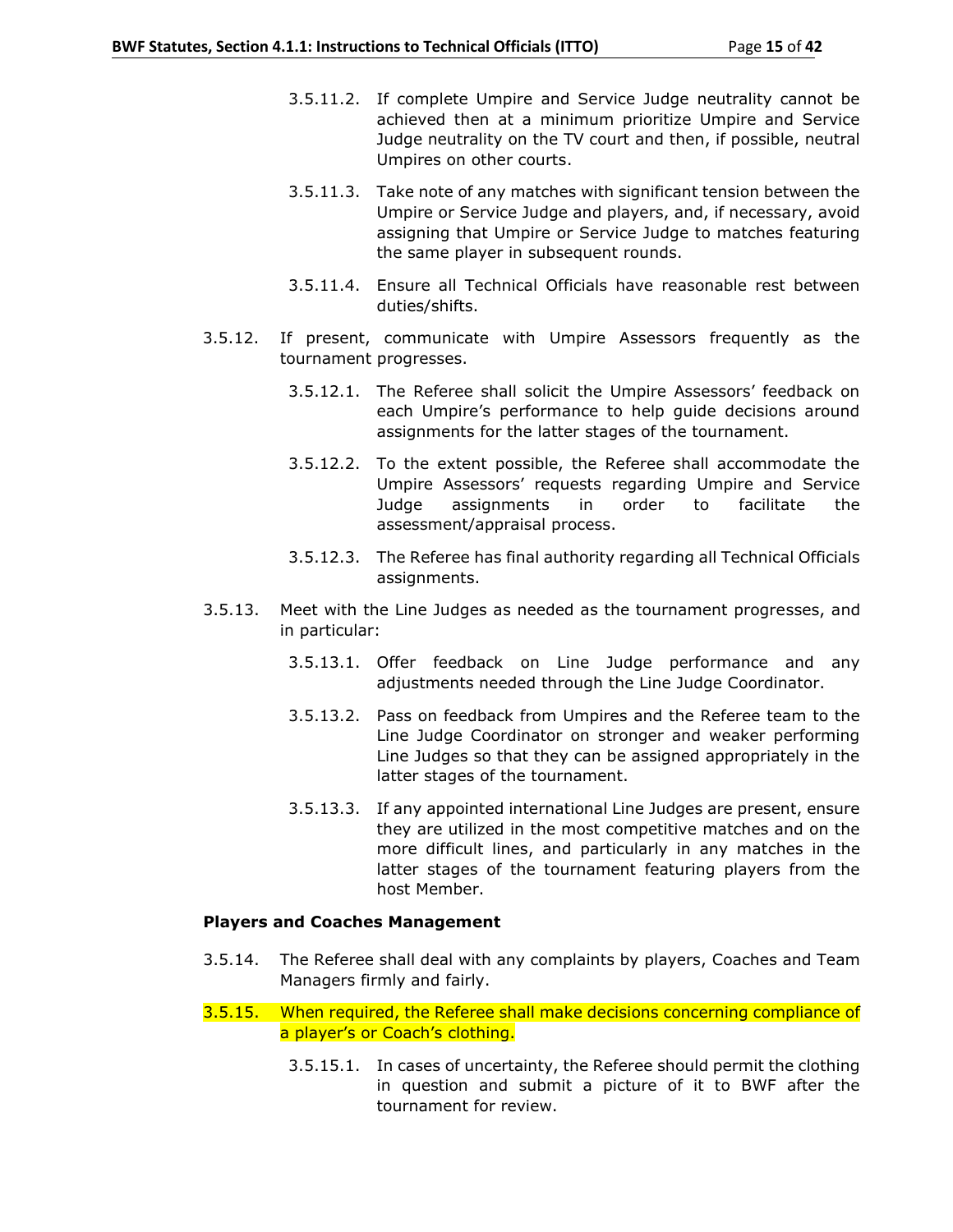- 3.5.11.2. If complete Umpire and Service Judge neutrality cannot be achieved then at a minimum prioritize Umpire and Service Judge neutrality on the TV court and then, if possible, neutral Umpires on other courts.
- 3.5.11.3. Take note of any matches with significant tension between the Umpire or Service Judge and players, and, if necessary, avoid assigning that Umpire or Service Judge to matches featuring the same player in subsequent rounds.
- 3.5.11.4. Ensure all Technical Officials have reasonable rest between duties/shifts.
- 3.5.12. If present, communicate with Umpire Assessors frequently as the tournament progresses.
	- 3.5.12.1. The Referee shall solicit the Umpire Assessors' feedback on each Umpire's performance to help guide decisions around assignments for the latter stages of the tournament.
	- 3.5.12.2. To the extent possible, the Referee shall accommodate the Umpire Assessors' requests regarding Umpire and Service Judge assignments in order to facilitate the assessment/appraisal process.
	- 3.5.12.3. The Referee has final authority regarding all Technical Officials assignments.
- 3.5.13. Meet with the Line Judges as needed as the tournament progresses, and in particular:
	- 3.5.13.1. Offer feedback on Line Judge performance and any adjustments needed through the Line Judge Coordinator.
	- 3.5.13.2. Pass on feedback from Umpires and the Referee team to the Line Judge Coordinator on stronger and weaker performing Line Judges so that they can be assigned appropriately in the latter stages of the tournament.
	- 3.5.13.3. If any appointed international Line Judges are present, ensure they are utilized in the most competitive matches and on the more difficult lines, and particularly in any matches in the latter stages of the tournament featuring players from the host Member.

## **Players and Coaches Management**

- 3.5.14. The Referee shall deal with any complaints by players, Coaches and Team Managers firmly and fairly.
- 3.5.15. When required, the Referee shall make decisions concerning compliance of a player's or Coach's clothing.
	- 3.5.15.1. In cases of uncertainty, the Referee should permit the clothing in question and submit a picture of it to BWF after the tournament for review.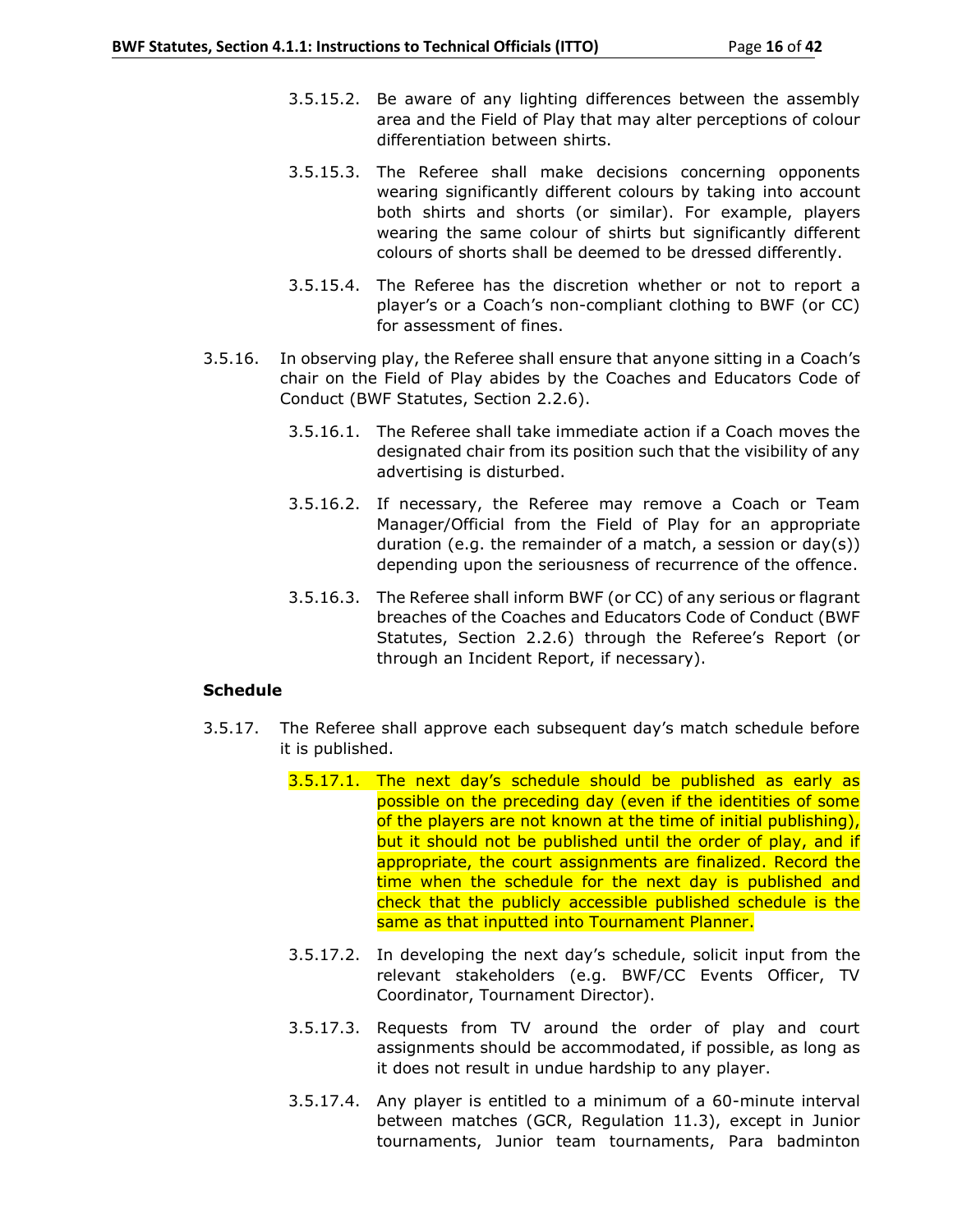- 3.5.15.2. Be aware of any lighting differences between the assembly area and the Field of Play that may alter perceptions of colour differentiation between shirts.
- 3.5.15.3. The Referee shall make decisions concerning opponents wearing significantly different colours by taking into account both shirts and shorts (or similar). For example, players wearing the same colour of shirts but significantly different colours of shorts shall be deemed to be dressed differently.
- 3.5.15.4. The Referee has the discretion whether or not to report a player's or a Coach's non-compliant clothing to BWF (or CC) for assessment of fines.
- 3.5.16. In observing play, the Referee shall ensure that anyone sitting in a Coach's chair on the Field of Play abides by the Coaches and Educators Code of Conduct (BWF Statutes, Section 2.2.6).
	- 3.5.16.1. The Referee shall take immediate action if a Coach moves the designated chair from its position such that the visibility of any advertising is disturbed.
	- 3.5.16.2. If necessary, the Referee may remove a Coach or Team Manager/Official from the Field of Play for an appropriate duration (e.g. the remainder of a match, a session or  $day(s)$ ) depending upon the seriousness of recurrence of the offence.
	- 3.5.16.3. The Referee shall inform BWF (or CC) of any serious or flagrant breaches of the Coaches and Educators Code of Conduct (BWF Statutes, Section 2.2.6) through the Referee's Report (or through an Incident Report, if necessary).

## **Schedule**

- 3.5.17. The Referee shall approve each subsequent day's match schedule before it is published.
	- 3.5.17.1. The next day's schedule should be published as early as possible on the preceding day (even if the identities of some of the players are not known at the time of initial publishing), but it should not be published until the order of play, and if appropriate, the court assignments are finalized. Record the time when the schedule for the next day is published and check that the publicly accessible published schedule is the same as that inputted into Tournament Planner.
	- 3.5.17.2. In developing the next day's schedule, solicit input from the relevant stakeholders (e.g. BWF/CC Events Officer, TV Coordinator, Tournament Director).
	- 3.5.17.3. Requests from TV around the order of play and court assignments should be accommodated, if possible, as long as it does not result in undue hardship to any player.
	- 3.5.17.4. Any player is entitled to a minimum of a 60-minute interval between matches (GCR, Regulation 11.3), except in Junior tournaments, Junior team tournaments, Para badminton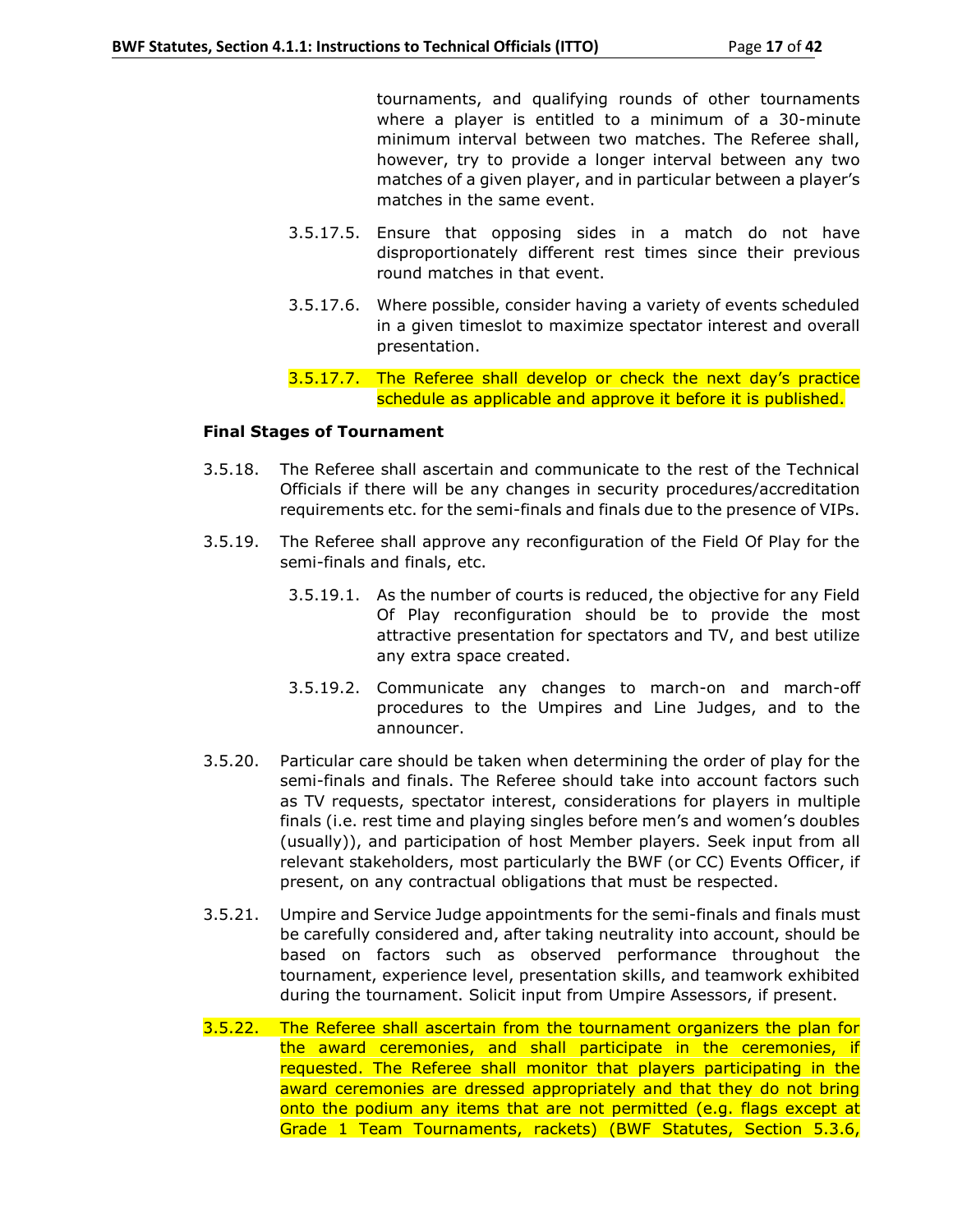tournaments, and qualifying rounds of other tournaments where a player is entitled to a minimum of a 30-minute minimum interval between two matches. The Referee shall, however, try to provide a longer interval between any two matches of a given player, and in particular between a player's matches in the same event.

- 3.5.17.5. Ensure that opposing sides in a match do not have disproportionately different rest times since their previous round matches in that event.
- 3.5.17.6. Where possible, consider having a variety of events scheduled in a given timeslot to maximize spectator interest and overall presentation.
- 3.5.17.7. The Referee shall develop or check the next day's practice schedule as applicable and approve it before it is published.

### **Final Stages of Tournament**

- 3.5.18. The Referee shall ascertain and communicate to the rest of the Technical Officials if there will be any changes in security procedures/accreditation requirements etc. for the semi-finals and finals due to the presence of VIPs.
- 3.5.19. The Referee shall approve any reconfiguration of the Field Of Play for the semi-finals and finals, etc.
	- 3.5.19.1. As the number of courts is reduced, the objective for any Field Of Play reconfiguration should be to provide the most attractive presentation for spectators and TV, and best utilize any extra space created.
	- 3.5.19.2. Communicate any changes to march-on and march-off procedures to the Umpires and Line Judges, and to the announcer.
- 3.5.20. Particular care should be taken when determining the order of play for the semi-finals and finals. The Referee should take into account factors such as TV requests, spectator interest, considerations for players in multiple finals (i.e. rest time and playing singles before men's and women's doubles (usually)), and participation of host Member players. Seek input from all relevant stakeholders, most particularly the BWF (or CC) Events Officer, if present, on any contractual obligations that must be respected.
- 3.5.21. Umpire and Service Judge appointments for the semi-finals and finals must be carefully considered and, after taking neutrality into account, should be based on factors such as observed performance throughout the tournament, experience level, presentation skills, and teamwork exhibited during the tournament. Solicit input from Umpire Assessors, if present.
- 3.5.22. The Referee shall ascertain from the tournament organizers the plan for the award ceremonies, and shall participate in the ceremonies, if requested. The Referee shall monitor that players participating in the award ceremonies are dressed appropriately and that they do not bring onto the podium any items that are not permitted (e.g. flags except at Grade 1 Team Tournaments, rackets) (BWF Statutes, Section 5.3.6,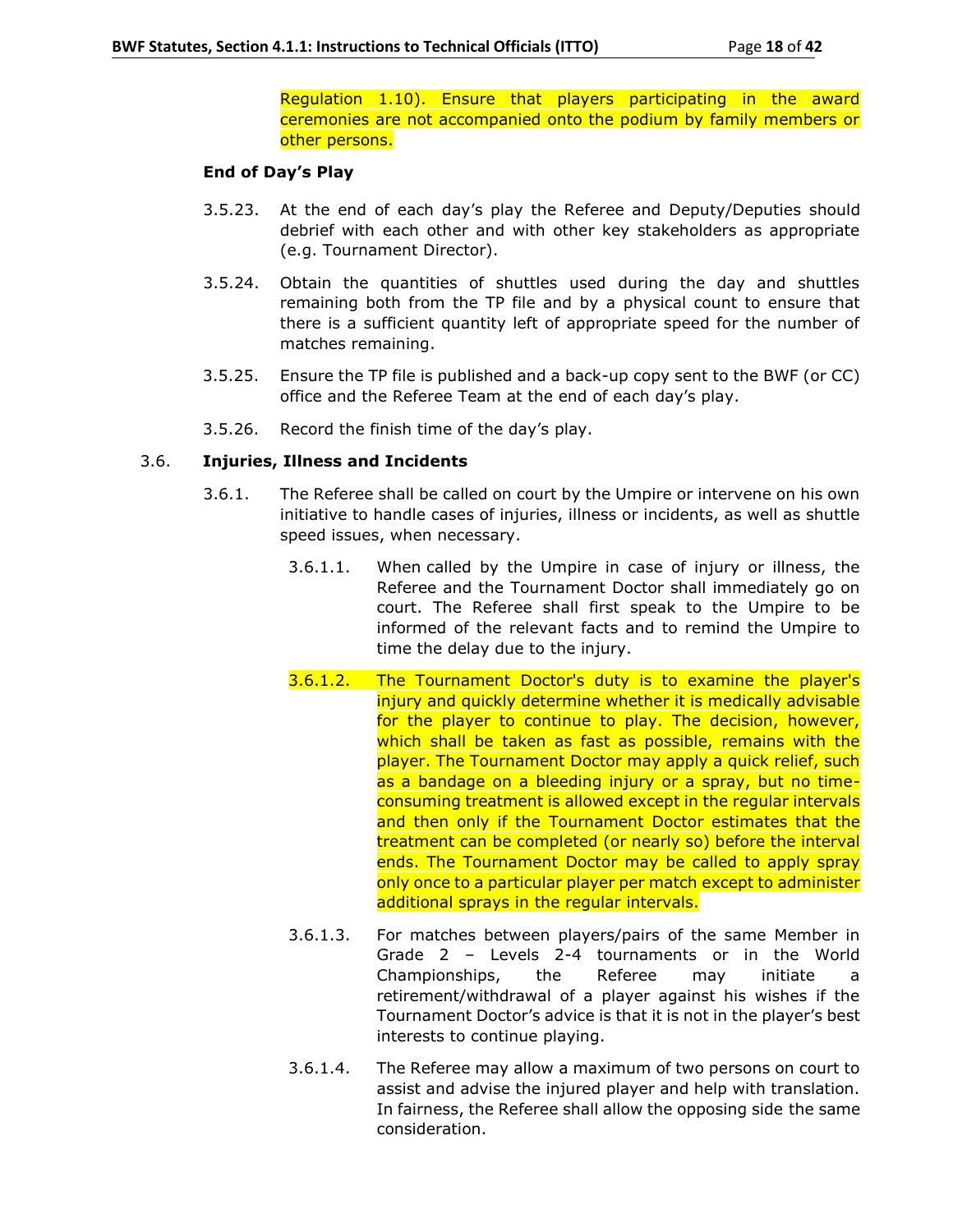Regulation 1.10). Ensure that players participating in the award ceremonies are not accompanied onto the podium by family members or other persons.

### **End of Day's Play**

- 3.5.23. At the end of each day's play the Referee and Deputy/Deputies should debrief with each other and with other key stakeholders as appropriate (e.g. Tournament Director).
- 3.5.24. Obtain the quantities of shuttles used during the day and shuttles remaining both from the TP file and by a physical count to ensure that there is a sufficient quantity left of appropriate speed for the number of matches remaining.
- 3.5.25. Ensure the TP file is published and a back-up copy sent to the BWF (or CC) office and the Referee Team at the end of each day's play.
- 3.5.26. Record the finish time of the day's play.

## 3.6. **Injuries, Illness and Incidents**

- 3.6.1. The Referee shall be called on court by the Umpire or intervene on his own initiative to handle cases of injuries, illness or incidents, as well as shuttle speed issues, when necessary.
	- 3.6.1.1. When called by the Umpire in case of injury or illness, the Referee and the Tournament Doctor shall immediately go on court. The Referee shall first speak to the Umpire to be informed of the relevant facts and to remind the Umpire to time the delay due to the injury.
	- 3.6.1.2. The Tournament Doctor's duty is to examine the player's injury and quickly determine whether it is medically advisable for the player to continue to play. The decision, however, which shall be taken as fast as possible, remains with the player. The Tournament Doctor may apply a quick relief, such as a bandage on a bleeding injury or a spray, but no timeconsuming treatment is allowed except in the regular intervals and then only if the Tournament Doctor estimates that the treatment can be completed (or nearly so) before the interval ends. The Tournament Doctor may be called to apply spray only once to a particular player per match except to administer additional sprays in the regular intervals.
	- 3.6.1.3. For matches between players/pairs of the same Member in Grade 2 – Levels 2-4 tournaments or in the World Championships, the Referee may initiate a retirement/withdrawal of a player against his wishes if the Tournament Doctor's advice is that it is not in the player's best interests to continue playing.
	- 3.6.1.4. The Referee may allow a maximum of two persons on court to assist and advise the injured player and help with translation. In fairness, the Referee shall allow the opposing side the same consideration.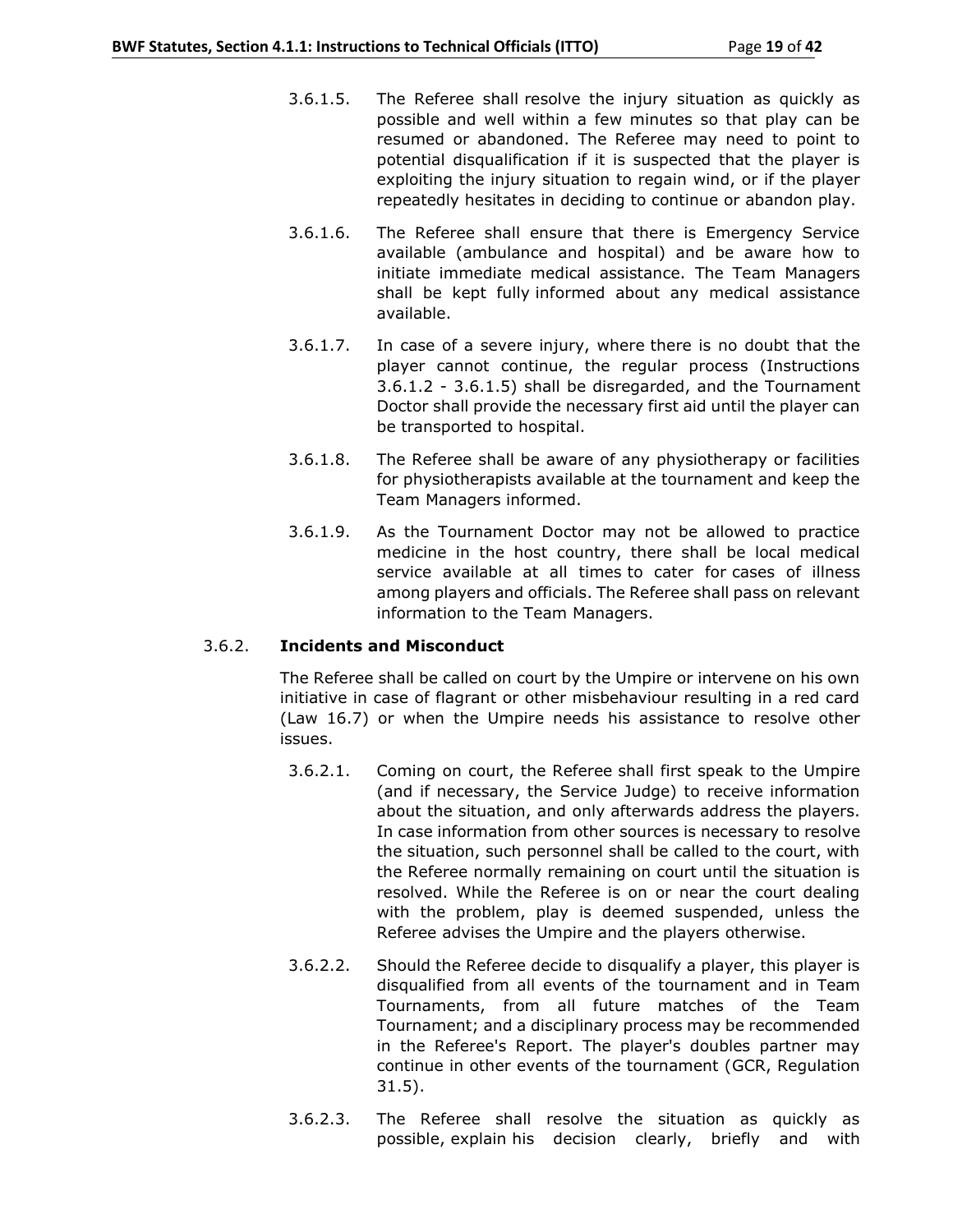- 3.6.1.5. The Referee shall resolve the injury situation as quickly as possible and well within a few minutes so that play can be resumed or abandoned. The Referee may need to point to potential disqualification if it is suspected that the player is exploiting the injury situation to regain wind, or if the player repeatedly hesitates in deciding to continue or abandon play.
- 3.6.1.6. The Referee shall ensure that there is Emergency Service available (ambulance and hospital) and be aware how to initiate immediate medical assistance. The Team Managers shall be kept fully informed about any medical assistance available.
- 3.6.1.7. In case of a severe injury, where there is no doubt that the player cannot continue, the regular process (Instructions 3.6.1.2 - 3.6.1.5) shall be disregarded, and the Tournament Doctor shall provide the necessary first aid until the player can be transported to hospital.
- 3.6.1.8. The Referee shall be aware of any physiotherapy or facilities for physiotherapists available at the tournament and keep the Team Managers informed.
- 3.6.1.9. As the Tournament Doctor may not be allowed to practice medicine in the host country, there shall be local medical service available at all times to cater for cases of illness among players and officials. The Referee shall pass on relevant information to the Team Managers.

#### 3.6.2. **Incidents and Misconduct**

The Referee shall be called on court by the Umpire or intervene on his own initiative in case of flagrant or other misbehaviour resulting in a red card (Law 16.7) or when the Umpire needs his assistance to resolve other issues.

- 3.6.2.1. Coming on court, the Referee shall first speak to the Umpire (and if necessary, the Service Judge) to receive information about the situation, and only afterwards address the players. In case information from other sources is necessary to resolve the situation, such personnel shall be called to the court, with the Referee normally remaining on court until the situation is resolved. While the Referee is on or near the court dealing with the problem, play is deemed suspended, unless the Referee advises the Umpire and the players otherwise.
- 3.6.2.2. Should the Referee decide to disqualify a player, this player is disqualified from all events of the tournament and in Team Tournaments, from all future matches of the Team Tournament; and a disciplinary process may be recommended in the Referee's Report. The player's doubles partner may continue in other events of the tournament (GCR, Regulation 31.5).
- 3.6.2.3. The Referee shall resolve the situation as quickly as possible, explain his decision clearly, briefly and with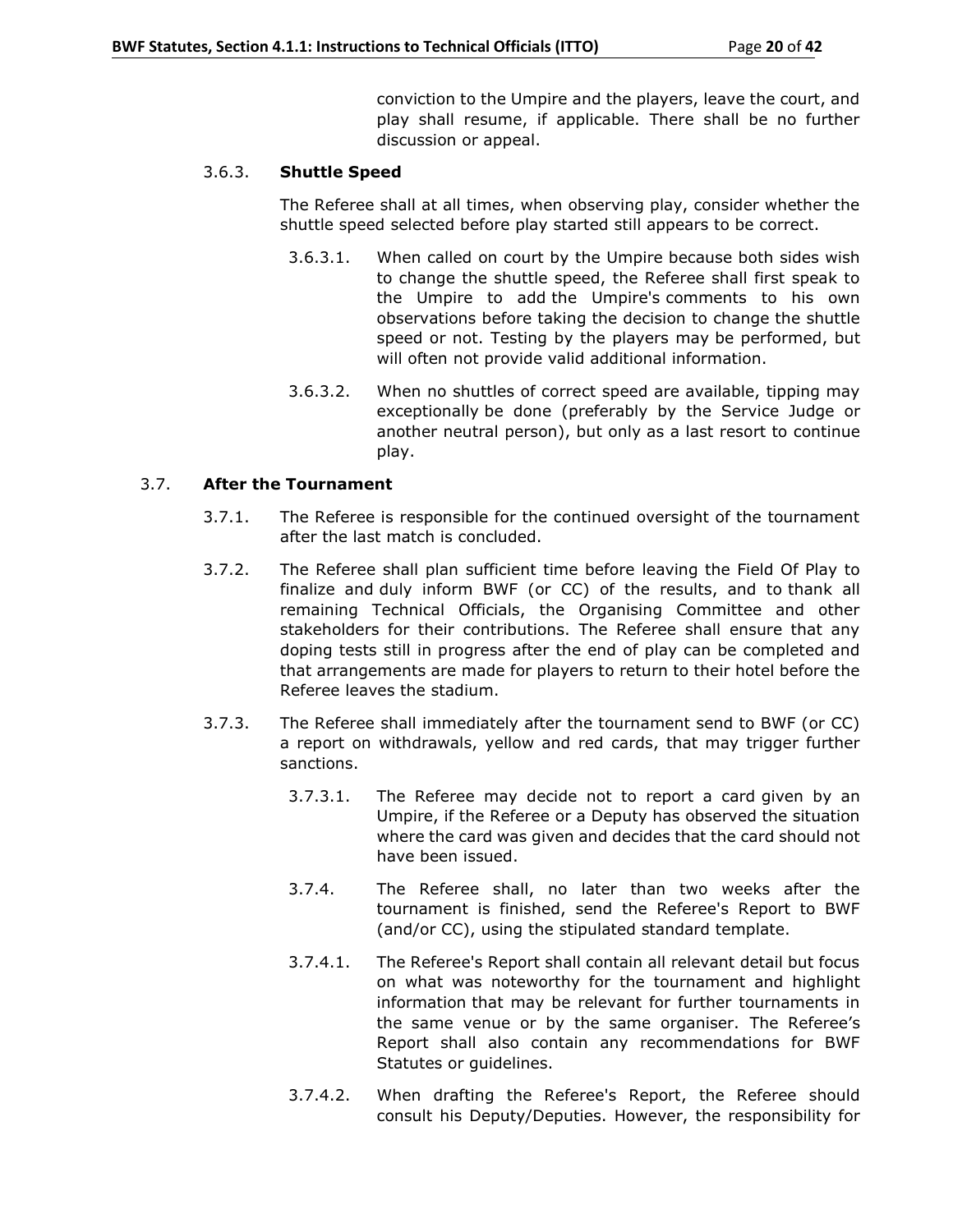conviction to the Umpire and the players, leave the court, and play shall resume, if applicable. There shall be no further discussion or appeal.

## 3.6.3. **Shuttle Speed**

The Referee shall at all times, when observing play, consider whether the shuttle speed selected before play started still appears to be correct.

- 3.6.3.1. When called on court by the Umpire because both sides wish to change the shuttle speed, the Referee shall first speak to the Umpire to add the Umpire's comments to his own observations before taking the decision to change the shuttle speed or not. Testing by the players may be performed, but will often not provide valid additional information.
- 3.6.3.2. When no shuttles of correct speed are available, tipping may exceptionally be done (preferably by the Service Judge or another neutral person), but only as a last resort to continue play.

## 3.7. **After the Tournament**

- 3.7.1. The Referee is responsible for the continued oversight of the tournament after the last match is concluded.
- 3.7.2. The Referee shall plan sufficient time before leaving the Field Of Play to finalize and duly inform BWF (or CC) of the results, and to thank all remaining Technical Officials, the Organising Committee and other stakeholders for their contributions. The Referee shall ensure that any doping tests still in progress after the end of play can be completed and that arrangements are made for players to return to their hotel before the Referee leaves the stadium.
- 3.7.3. The Referee shall immediately after the tournament send to BWF (or CC) a report on withdrawals, yellow and red cards, that may trigger further sanctions.
	- 3.7.3.1. The Referee may decide not to report a card given by an Umpire, if the Referee or a Deputy has observed the situation where the card was given and decides that the card should not have been issued.
	- 3.7.4. The Referee shall, no later than two weeks after the tournament is finished, send the Referee's Report to BWF (and/or CC), using the stipulated standard template.
	- 3.7.4.1. The Referee's Report shall contain all relevant detail but focus on what was noteworthy for the tournament and highlight information that may be relevant for further tournaments in the same venue or by the same organiser. The Referee's Report shall also contain any recommendations for BWF Statutes or guidelines.
	- 3.7.4.2. When drafting the Referee's Report, the Referee should consult his Deputy/Deputies. However, the responsibility for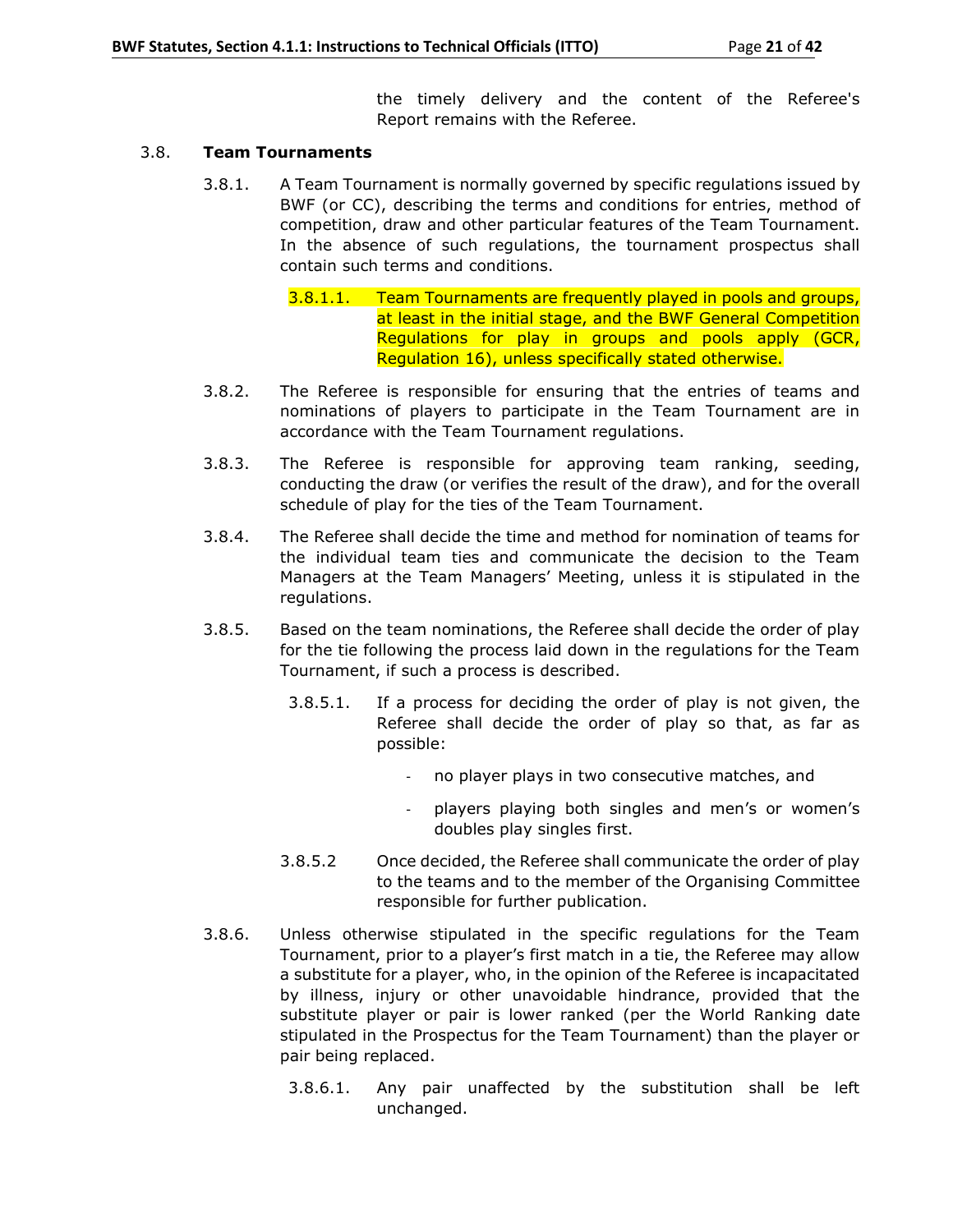the timely delivery and the content of the Referee's Report remains with the Referee.

## 3.8. **Team Tournaments**

- 3.8.1. A Team Tournament is normally governed by specific regulations issued by BWF (or CC), describing the terms and conditions for entries, method of competition, draw and other particular features of the Team Tournament. In the absence of such regulations, the tournament prospectus shall contain such terms and conditions.
	- 3.8.1.1. Team Tournaments are frequently played in pools and groups, at least in the initial stage, and the BWF General Competition Regulations for play in groups and pools apply (GCR, Regulation 16), unless specifically stated otherwise.
- 3.8.2. The Referee is responsible for ensuring that the entries of teams and nominations of players to participate in the Team Tournament are in accordance with the Team Tournament regulations.
- 3.8.3. The Referee is responsible for approving team ranking, seeding, conducting the draw (or verifies the result of the draw), and for the overall schedule of play for the ties of the Team Tournament.
- 3.8.4. The Referee shall decide the time and method for nomination of teams for the individual team ties and communicate the decision to the Team Managers at the Team Managers' Meeting, unless it is stipulated in the regulations.
- 3.8.5. Based on the team nominations, the Referee shall decide the order of play for the tie following the process laid down in the regulations for the Team Tournament, if such a process is described.
	- 3.8.5.1. If a process for deciding the order of play is not given, the Referee shall decide the order of play so that, as far as possible:
		- no player plays in two consecutive matches, and
		- players playing both singles and men's or women's doubles play singles first.
	- 3.8.5.2 Once decided, the Referee shall communicate the order of play to the teams and to the member of the Organising Committee responsible for further publication.
- 3.8.6. Unless otherwise stipulated in the specific regulations for the Team Tournament, prior to a player's first match in a tie, the Referee may allow a substitute for a player, who, in the opinion of the Referee is incapacitated by illness, injury or other unavoidable hindrance, provided that the substitute player or pair is lower ranked (per the World Ranking date stipulated in the Prospectus for the Team Tournament) than the player or pair being replaced.
	- 3.8.6.1. Any pair unaffected by the substitution shall be left unchanged.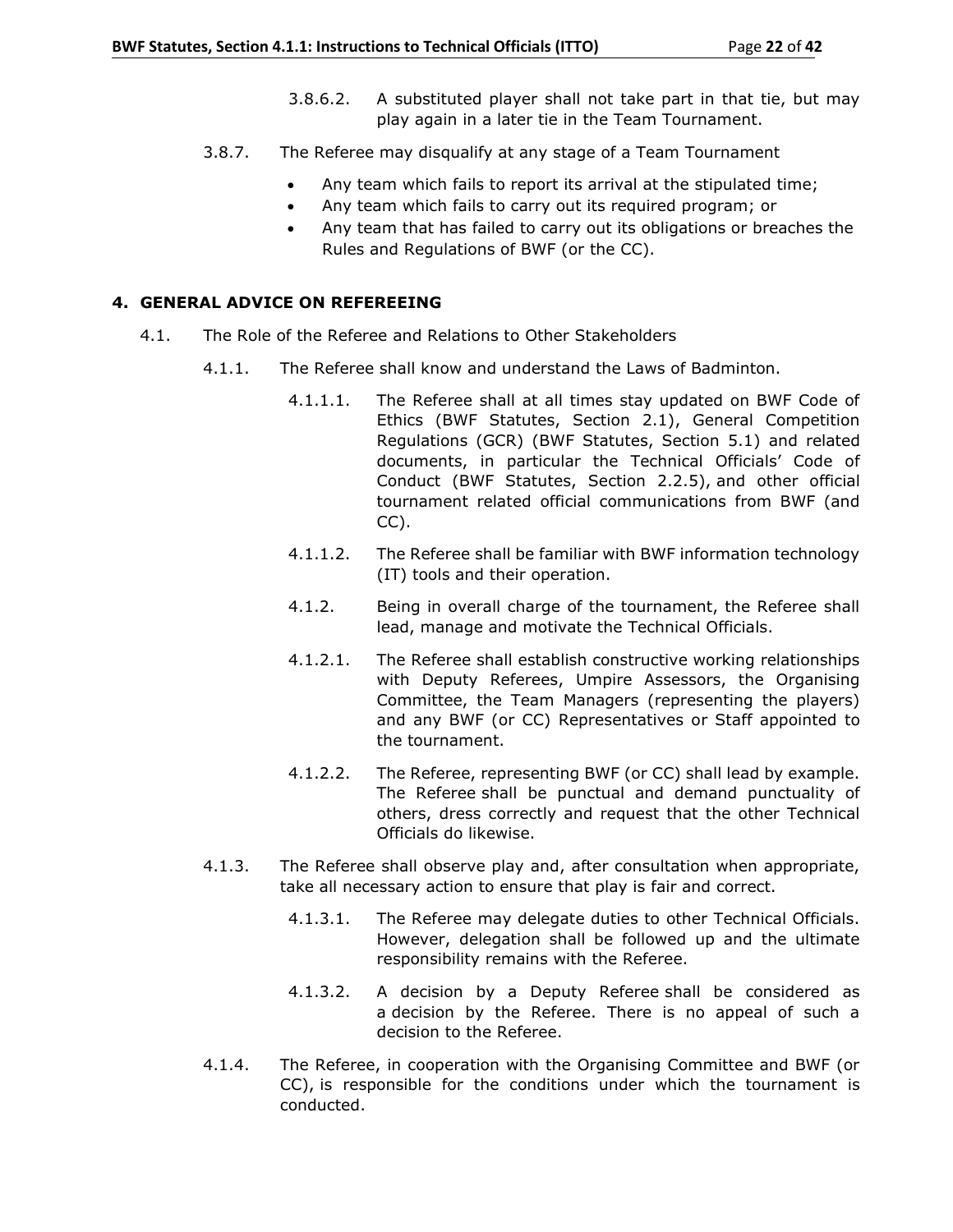- 3.8.6.2. A substituted player shall not take part in that tie, but may play again in a later tie in the Team Tournament.
- 3.8.7. The Referee may disqualify at any stage of a Team Tournament
	- Any team which fails to report its arrival at the stipulated time;
	- Any team which fails to carry out its required program; or
	- Any team that has failed to carry out its obligations or breaches the Rules and Regulations of BWF (or the CC).

## **4. GENERAL ADVICE ON REFEREEING**

- 4.1. The Role of the Referee and Relations to Other Stakeholders
	- 4.1.1. The Referee shall know and understand the Laws of Badminton.
		- 4.1.1.1. The Referee shall at all times stay updated on BWF Code of Ethics (BWF Statutes, Section 2.1), General Competition Regulations (GCR) (BWF Statutes, Section 5.1) and related documents, in particular the Technical Officials' Code of Conduct (BWF Statutes, Section 2.2.5), and other official tournament related official communications from BWF (and CC).
		- 4.1.1.2. The Referee shall be familiar with BWF information technology (IT) tools and their operation.
		- 4.1.2. Being in overall charge of the tournament, the Referee shall lead, manage and motivate the Technical Officials.
		- 4.1.2.1. The Referee shall establish constructive working relationships with Deputy Referees, Umpire Assessors, the Organising Committee, the Team Managers (representing the players) and any BWF (or CC) Representatives or Staff appointed to the tournament.
		- 4.1.2.2. The Referee, representing BWF (or CC) shall lead by example. The Referee shall be punctual and demand punctuality of others, dress correctly and request that the other Technical Officials do likewise.
	- 4.1.3. The Referee shall observe play and, after consultation when appropriate, take all necessary action to ensure that play is fair and correct.
		- 4.1.3.1. The Referee may delegate duties to other Technical Officials. However, delegation shall be followed up and the ultimate responsibility remains with the Referee.
		- 4.1.3.2. A decision by a Deputy Referee shall be considered as a decision by the Referee. There is no appeal of such a decision to the Referee.
	- 4.1.4. The Referee, in cooperation with the Organising Committee and BWF (or CC), is responsible for the conditions under which the tournament is conducted.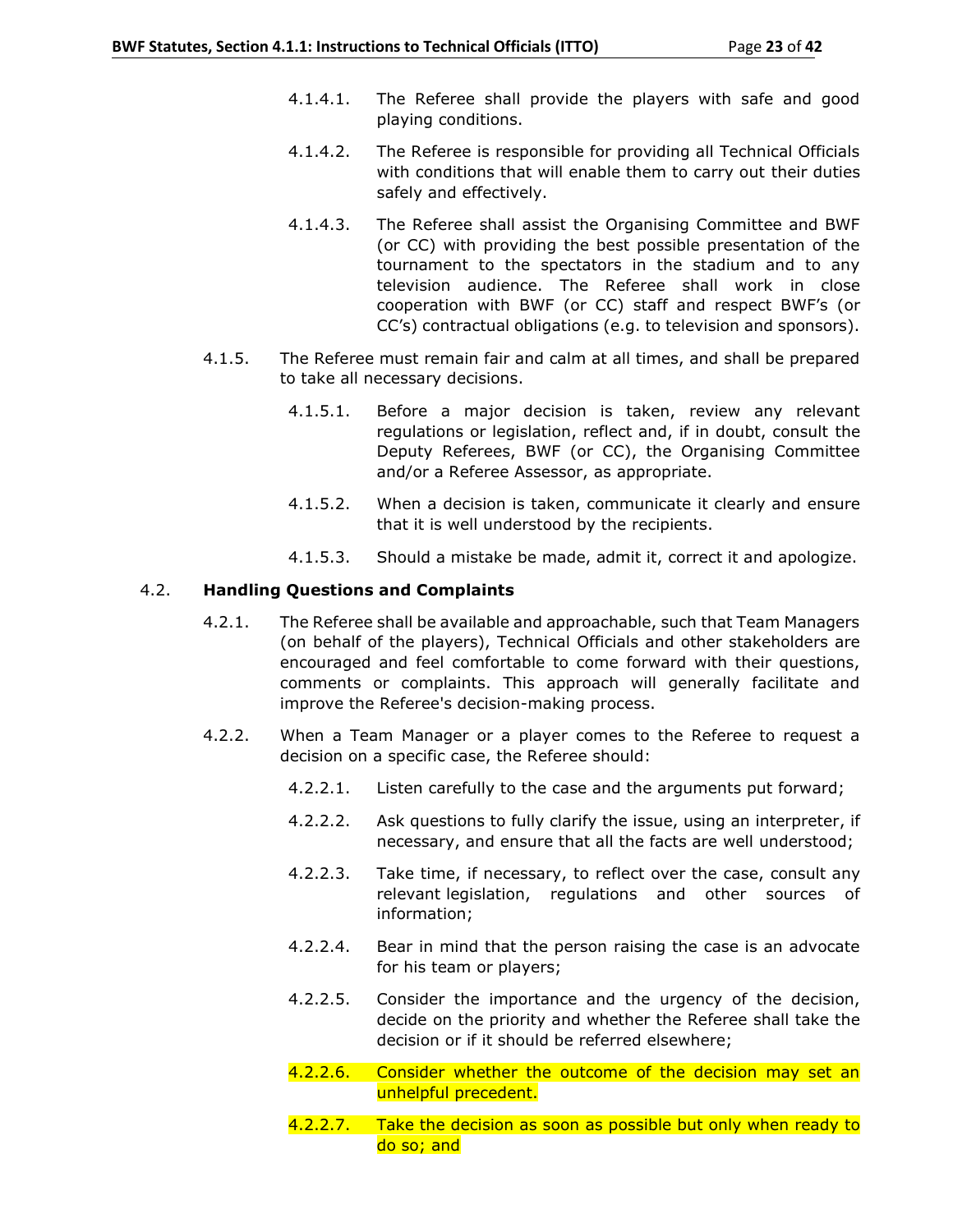- 4.1.4.1. The Referee shall provide the players with safe and good playing conditions.
- 4.1.4.2. The Referee is responsible for providing all Technical Officials with conditions that will enable them to carry out their duties safely and effectively.
- 4.1.4.3. The Referee shall assist the Organising Committee and BWF (or CC) with providing the best possible presentation of the tournament to the spectators in the stadium and to any television audience. The Referee shall work in close cooperation with BWF (or CC) staff and respect BWF's (or CC's) contractual obligations (e.g. to television and sponsors).
- 4.1.5. The Referee must remain fair and calm at all times, and shall be prepared to take all necessary decisions.
	- 4.1.5.1. Before a major decision is taken, review any relevant regulations or legislation, reflect and, if in doubt, consult the Deputy Referees, BWF (or CC), the Organising Committee and/or a Referee Assessor, as appropriate.
	- 4.1.5.2. When a decision is taken, communicate it clearly and ensure that it is well understood by the recipients.
	- 4.1.5.3. Should a mistake be made, admit it, correct it and apologize.

## 4.2. **Handling Questions and Complaints**

- 4.2.1. The Referee shall be available and approachable, such that Team Managers (on behalf of the players), Technical Officials and other stakeholders are encouraged and feel comfortable to come forward with their questions, comments or complaints. This approach will generally facilitate and improve the Referee's decision-making process.
- 4.2.2. When a Team Manager or a player comes to the Referee to request a decision on a specific case, the Referee should:
	- 4.2.2.1. Listen carefully to the case and the arguments put forward;
	- 4.2.2.2. Ask questions to fully clarify the issue, using an interpreter, if necessary, and ensure that all the facts are well understood;
	- 4.2.2.3. Take time, if necessary, to reflect over the case, consult any relevant legislation, regulations and other sources of information;
	- 4.2.2.4. Bear in mind that the person raising the case is an advocate for his team or players;
	- 4.2.2.5. Consider the importance and the urgency of the decision, decide on the priority and whether the Referee shall take the decision or if it should be referred elsewhere;
	- 4.2.2.6. Consider whether the outcome of the decision may set an unhelpful precedent.
	- 4.2.2.7. Take the decision as soon as possible but only when ready to do so; and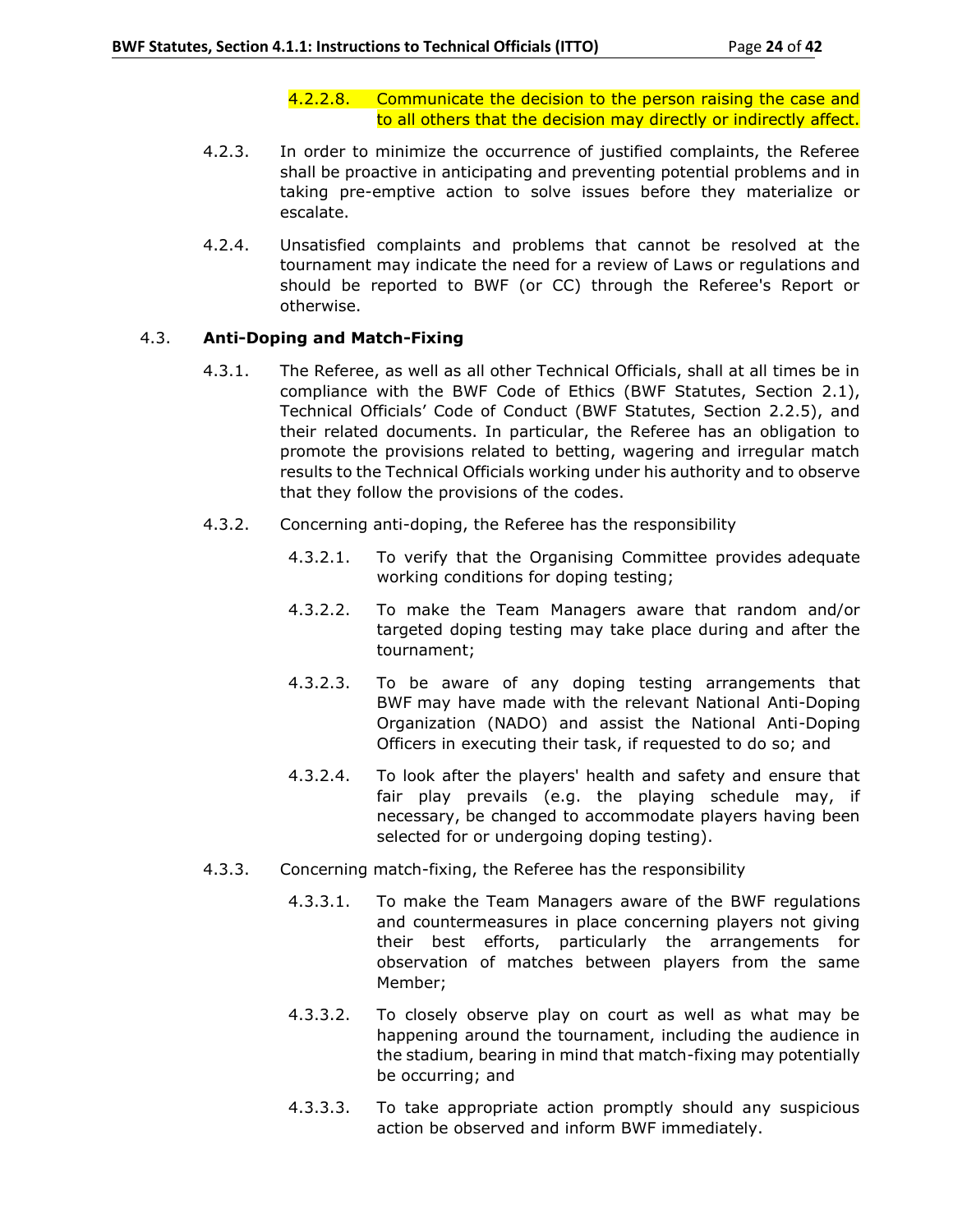## 4.2.2.8. Communicate the decision to the person raising the case and to all others that the decision may directly or indirectly affect.

- 4.2.3. In order to minimize the occurrence of justified complaints, the Referee shall be proactive in anticipating and preventing potential problems and in taking pre-emptive action to solve issues before they materialize or escalate.
- 4.2.4. Unsatisfied complaints and problems that cannot be resolved at the tournament may indicate the need for a review of Laws or regulations and should be reported to BWF (or CC) through the Referee's Report or otherwise.

## 4.3. **Anti-Doping and Match-Fixing**

- 4.3.1. The Referee, as well as all other Technical Officials, shall at all times be in compliance with the BWF Code of Ethics (BWF Statutes, Section 2.1), Technical Officials' Code of Conduct (BWF Statutes, Section 2.2.5), and their related documents. In particular, the Referee has an obligation to promote the provisions related to betting, wagering and irregular match results to the Technical Officials working under his authority and to observe that they follow the provisions of the codes.
- 4.3.2. Concerning anti-doping, the Referee has the responsibility
	- 4.3.2.1. To verify that the Organising Committee provides adequate working conditions for doping testing;
	- 4.3.2.2. To make the Team Managers aware that random and/or targeted doping testing may take place during and after the tournament;
	- 4.3.2.3. To be aware of any doping testing arrangements that BWF may have made with the relevant National Anti-Doping Organization (NADO) and assist the National Anti-Doping Officers in executing their task, if requested to do so; and
	- 4.3.2.4. To look after the players' health and safety and ensure that fair play prevails (e.g. the playing schedule may, if necessary, be changed to accommodate players having been selected for or undergoing doping testing).
- 4.3.3. Concerning match-fixing, the Referee has the responsibility
	- 4.3.3.1. To make the Team Managers aware of the BWF regulations and countermeasures in place concerning players not giving their best efforts, particularly the arrangements for observation of matches between players from the same Member;
	- 4.3.3.2. To closely observe play on court as well as what may be happening around the tournament, including the audience in the stadium, bearing in mind that match-fixing may potentially be occurring; and
	- 4.3.3.3. To take appropriate action promptly should any suspicious action be observed and inform BWF immediately.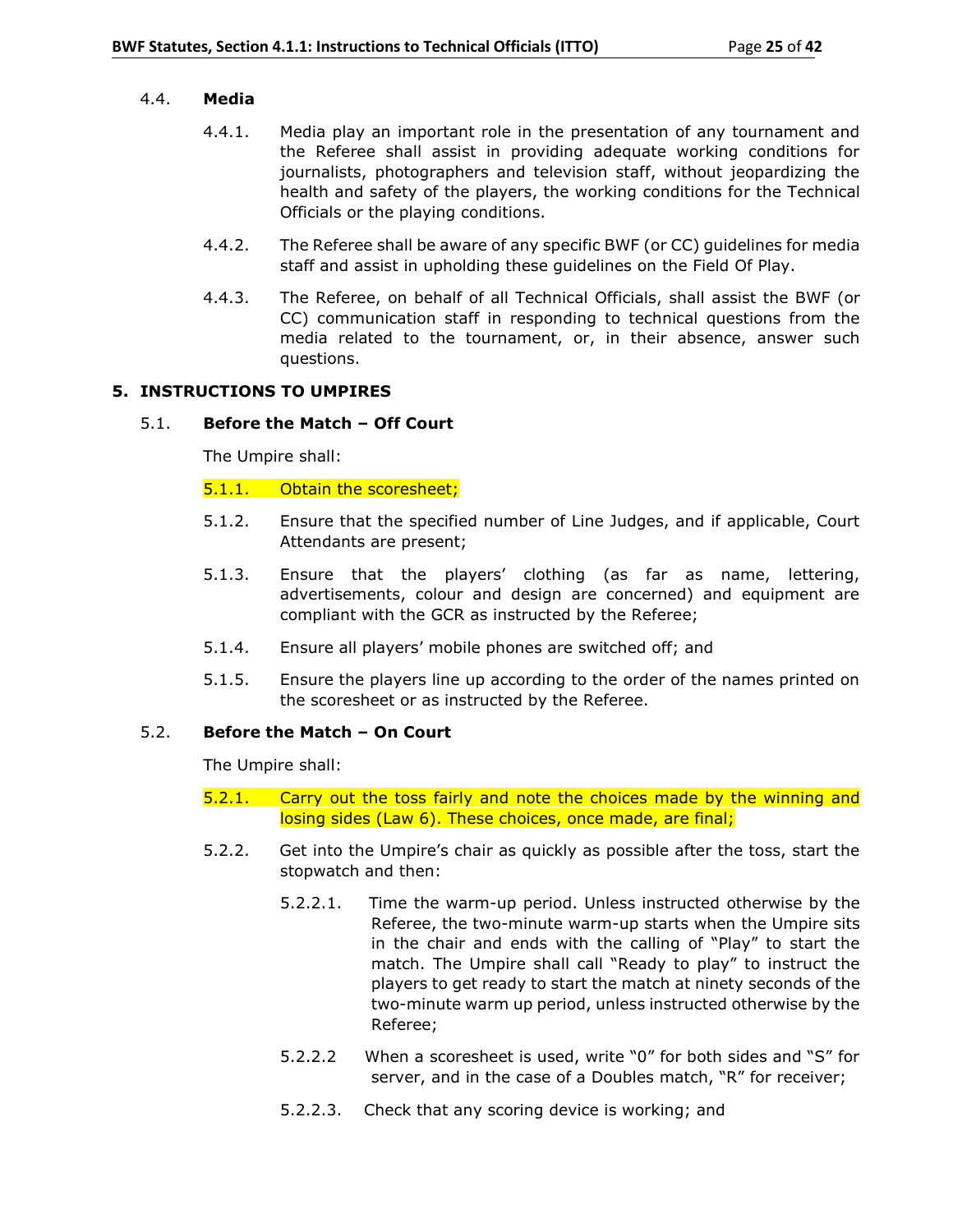## 4.4. **Media**

- 4.4.1. Media play an important role in the presentation of any tournament and the Referee shall assist in providing adequate working conditions for journalists, photographers and television staff, without jeopardizing the health and safety of the players, the working conditions for the Technical Officials or the playing conditions.
- 4.4.2. The Referee shall be aware of any specific BWF (or CC) guidelines for media staff and assist in upholding these guidelines on the Field Of Play.
- 4.4.3. The Referee, on behalf of all Technical Officials, shall assist the BWF (or CC) communication staff in responding to technical questions from the media related to the tournament, or, in their absence, answer such questions.

### **5. INSTRUCTIONS TO UMPIRES**

### 5.1. **Before the Match – Off Court**

The Umpire shall:

### 5.1.1. Obtain the scoresheet;

- 5.1.2. Ensure that the specified number of Line Judges, and if applicable, Court Attendants are present;
- 5.1.3. Ensure that the players' clothing (as far as name, lettering, advertisements, colour and design are concerned) and equipment are compliant with the GCR as instructed by the Referee;
- 5.1.4. Ensure all players' mobile phones are switched off; and
- 5.1.5. Ensure the players line up according to the order of the names printed on the scoresheet or as instructed by the Referee.

#### 5.2. **Before the Match – On Court**

The Umpire shall:

- 5.2.1. Carry out the toss fairly and note the choices made by the winning and losing sides (Law 6). These choices, once made, are final;
- 5.2.2. Get into the Umpire's chair as quickly as possible after the toss, start the stopwatch and then:
	- 5.2.2.1. Time the warm-up period. Unless instructed otherwise by the Referee, the two-minute warm-up starts when the Umpire sits in the chair and ends with the calling of "Play" to start the match. The Umpire shall call "Ready to play" to instruct the players to get ready to start the match at ninety seconds of the two-minute warm up period, unless instructed otherwise by the Referee;
	- 5.2.2.2 When a scoresheet is used, write "0" for both sides and "S" for server, and in the case of a Doubles match, "R" for receiver;
	- 5.2.2.3. Check that any scoring device is working; and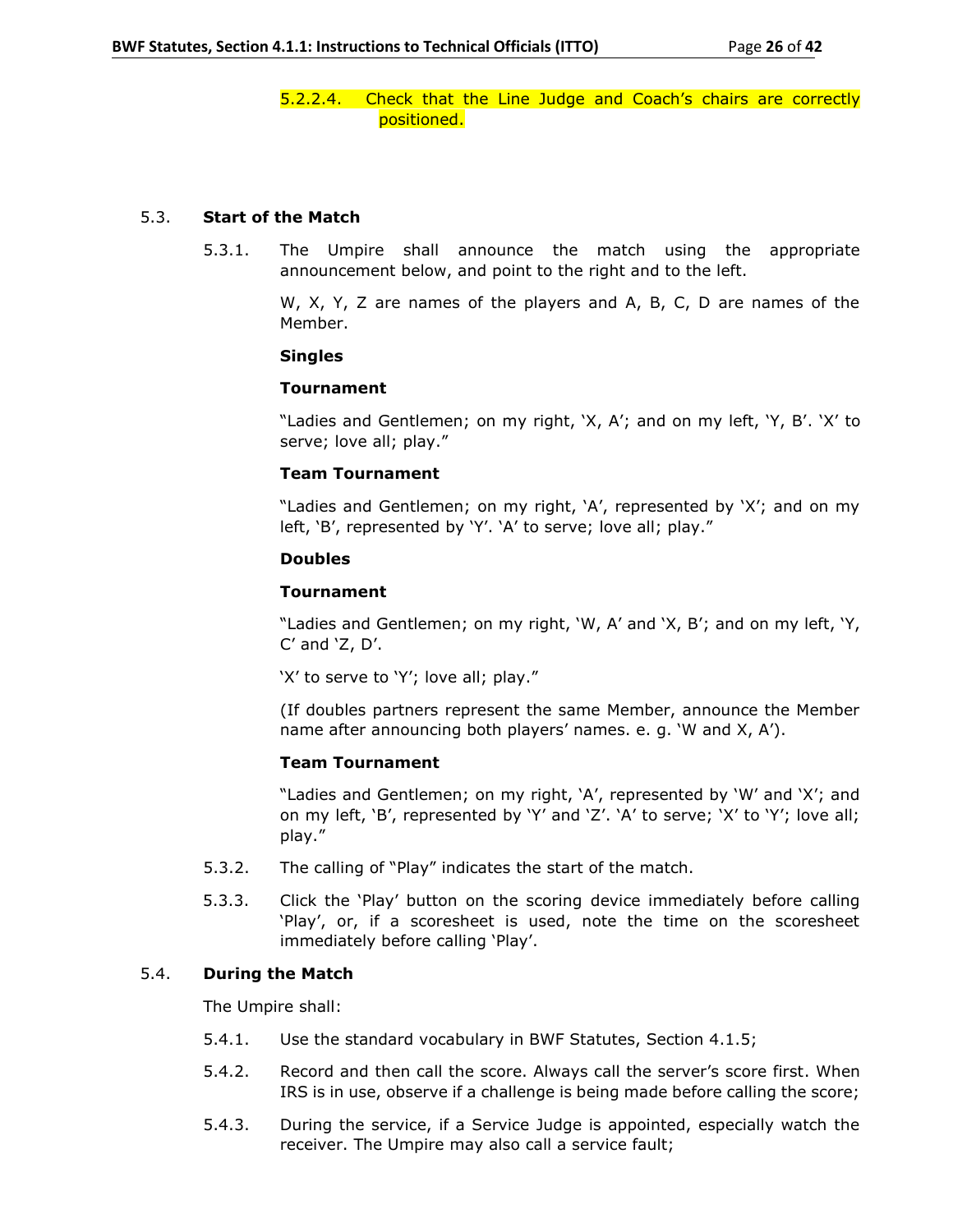5.2.2.4. Check that the Line Judge and Coach's chairs are correctly positioned.

### 5.3. **Start of the Match**

5.3.1. The Umpire shall announce the match using the appropriate announcement below, and point to the right and to the left.

> W, X, Y, Z are names of the players and A, B, C, D are names of the Member.

#### **Singles**

#### **Tournament**

"Ladies and Gentlemen; on my right, 'X, A'; and on my left, 'Y, B'. 'X' to serve; love all; play."

### **Team Tournament**

"Ladies and Gentlemen; on my right, 'A', represented by 'X'; and on my left, 'B', represented by 'Y'. 'A' to serve; love all; play."

### **Doubles**

### **Tournament**

"Ladies and Gentlemen; on my right, 'W, A' and 'X, B'; and on my left, 'Y, C' and 'Z, D'.

'X' to serve to 'Y'; love all; play."

(If doubles partners represent the same Member, announce the Member name after announcing both players' names. e. g. 'W and X, A').

#### **Team Tournament**

"Ladies and Gentlemen; on my right, 'A', represented by 'W' and 'X'; and on my left, 'B', represented by 'Y' and 'Z'. 'A' to serve; 'X' to 'Y'; love all; play."

- 5.3.2. The calling of "Play" indicates the start of the match.
- 5.3.3. Click the 'Play' button on the scoring device immediately before calling 'Play', or, if a scoresheet is used, note the time on the scoresheet immediately before calling 'Play'.

## 5.4. **During the Match**

The Umpire shall:

- 5.4.1. Use the standard vocabulary in BWF Statutes, Section 4.1.5;
- 5.4.2. Record and then call the score. Always call the server's score first. When IRS is in use, observe if a challenge is being made before calling the score;
- 5.4.3. During the service, if a Service Judge is appointed, especially watch the receiver. The Umpire may also call a service fault;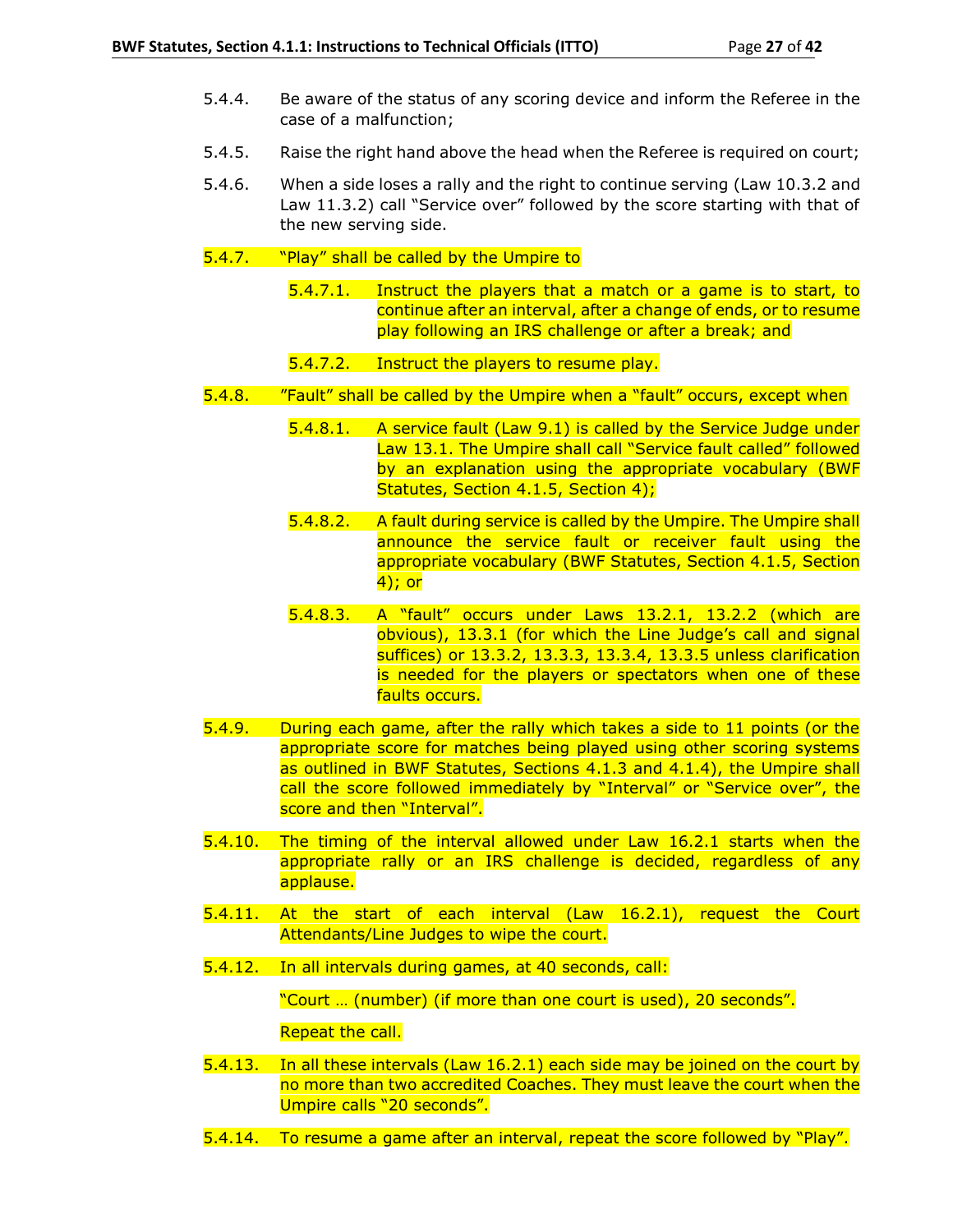- 5.4.4. Be aware of the status of any scoring device and inform the Referee in the case of a malfunction;
- 5.4.5. Raise the right hand above the head when the Referee is required on court;
- 5.4.6. When a side loses a rally and the right to continue serving (Law 10.3.2 and Law 11.3.2) call "Service over" followed by the score starting with that of the new serving side.
- 5.4.7. "Play" shall be called by the Umpire to
	- 5.4.7.1. Instruct the players that a match or a game is to start, to continue after an interval, after a change of ends, or to resume play following an IRS challenge or after a break; and
	- 5.4.7.2. Instruct the players to resume play.
- 5.4.8. "Fault" shall be called by the Umpire when a "fault" occurs, except when
	- 5.4.8.1. A service fault (Law 9.1) is called by the Service Judge under Law 13.1. The Umpire shall call "Service fault called" followed by an explanation using the appropriate vocabulary (BWF Statutes, Section 4.1.5, Section 4);
	- 5.4.8.2. A fault during service is called by the Umpire. The Umpire shall announce the service fault or receiver fault using the appropriate vocabulary (BWF Statutes, Section 4.1.5, Section 4); or
	- 5.4.8.3. A "fault" occurs under Laws 13.2.1, 13.2.2 (which are obvious), 13.3.1 (for which the Line Judge's call and signal suffices) or 13.3.2, 13.3.3, 13.3.4, 13.3.5 unless clarification is needed for the players or spectators when one of these faults occurs.
- 5.4.9. During each game, after the rally which takes a side to 11 points (or the appropriate score for matches being played using other scoring systems as outlined in BWF Statutes, Sections 4.1.3 and 4.1.4), the Umpire shall call the score followed immediately by "Interval" or "Service over", the score and then "Interval".
- 5.4.10. The timing of the interval allowed under Law 16.2.1 starts when the appropriate rally or an IRS challenge is decided, regardless of any applause.
- 5.4.11. At the start of each interval (Law 16.2.1), request the Court Attendants/Line Judges to wipe the court.
- 5.4.12. In all intervals during games, at 40 seconds, call:

"Court … (number) (if more than one court is used), 20 seconds".

Repeat the call.

- 5.4.13. In all these intervals (Law 16.2.1) each side may be joined on the court by no more than two accredited Coaches. They must leave the court when the Umpire calls "20 seconds".
- 5.4.14. To resume a game after an interval, repeat the score followed by "Play".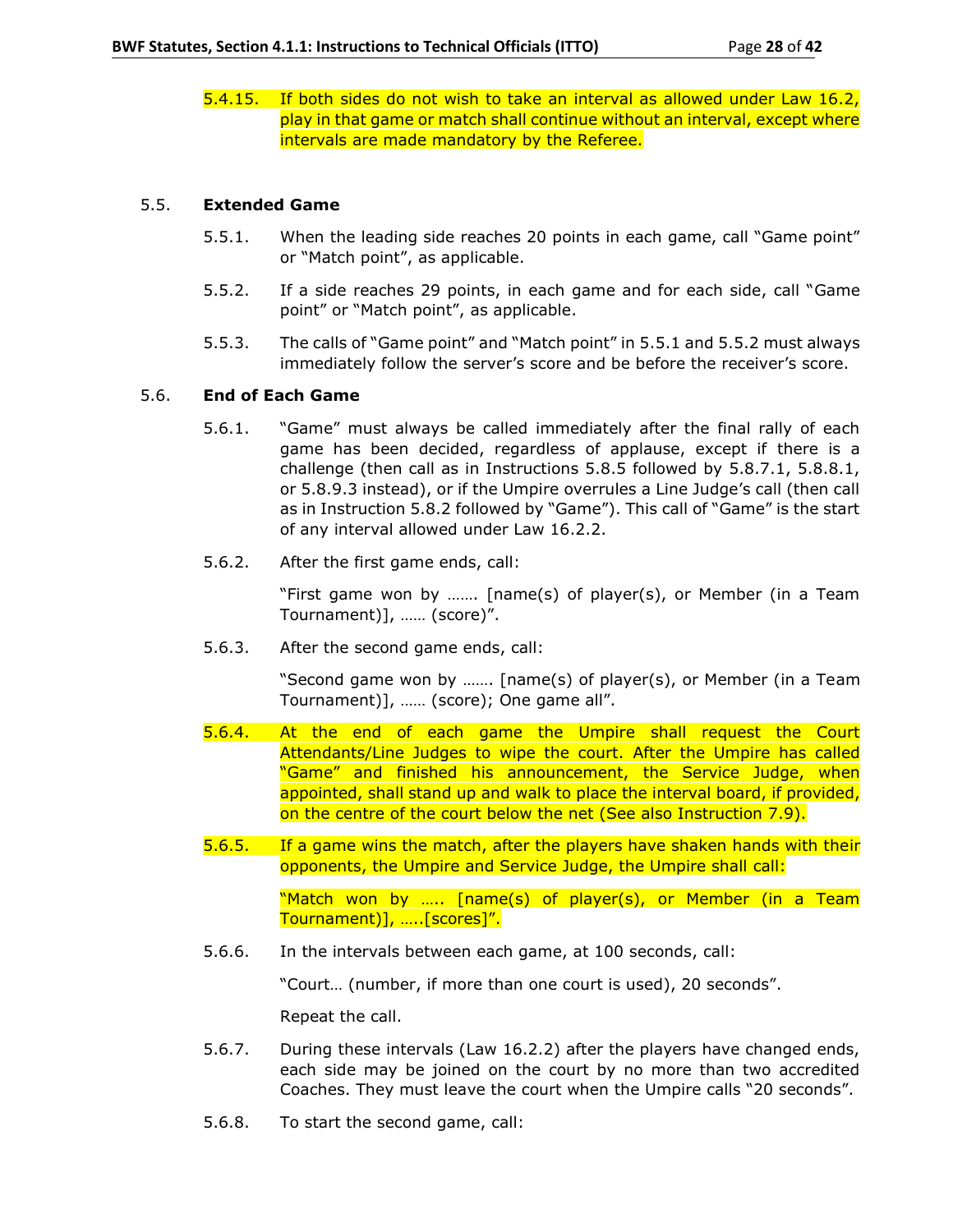5.4.15. If both sides do not wish to take an interval as allowed under Law 16.2, play in that game or match shall continue without an interval, except where intervals are made mandatory by the Referee.

## 5.5. **Extended Game**

- 5.5.1. When the leading side reaches 20 points in each game, call "Game point" or "Match point", as applicable.
- 5.5.2. If a side reaches 29 points, in each game and for each side, call "Game point" or "Match point", as applicable.
- 5.5.3. The calls of "Game point" and "Match point" in 5.5.1 and 5.5.2 must always immediately follow the server's score and be before the receiver's score.

## 5.6. **End of Each Game**

- 5.6.1. "Game" must always be called immediately after the final rally of each game has been decided, regardless of applause, except if there is a challenge (then call as in Instructions 5.8.5 followed by 5.8.7.1, 5.8.8.1, or 5.8.9.3 instead), or if the Umpire overrules a Line Judge's call (then call as in Instruction 5.8.2 followed by "Game"). This call of "Game" is the start of any interval allowed under Law 16.2.2.
- 5.6.2. After the first game ends, call:

"First game won by ……. [name(s) of player(s), or Member (in a Team Tournament)], …… (score)".

5.6.3. After the second game ends, call:

"Second game won by ……. [name(s) of player(s), or Member (in a Team Tournament)], …… (score); One game all".

- 5.6.4. At the end of each game the Umpire shall request the Court Attendants/Line Judges to wipe the court. After the Umpire has called "Game" and finished his announcement, the Service Judge, when appointed, shall stand up and walk to place the interval board, if provided, on the centre of the court below the net (See also Instruction 7.9).
- 5.6.5. If a game wins the match, after the players have shaken hands with their opponents, the Umpire and Service Judge, the Umpire shall call:

"Match won by ….. [name(s) of player(s), or Member (in a Team Tournament)], …..[scores]".

5.6.6. In the intervals between each game, at 100 seconds, call:

"Court… (number, if more than one court is used), 20 seconds".

Repeat the call.

- 5.6.7. During these intervals (Law 16.2.2) after the players have changed ends, each side may be joined on the court by no more than two accredited Coaches. They must leave the court when the Umpire calls "20 seconds".
- 5.6.8. To start the second game, call: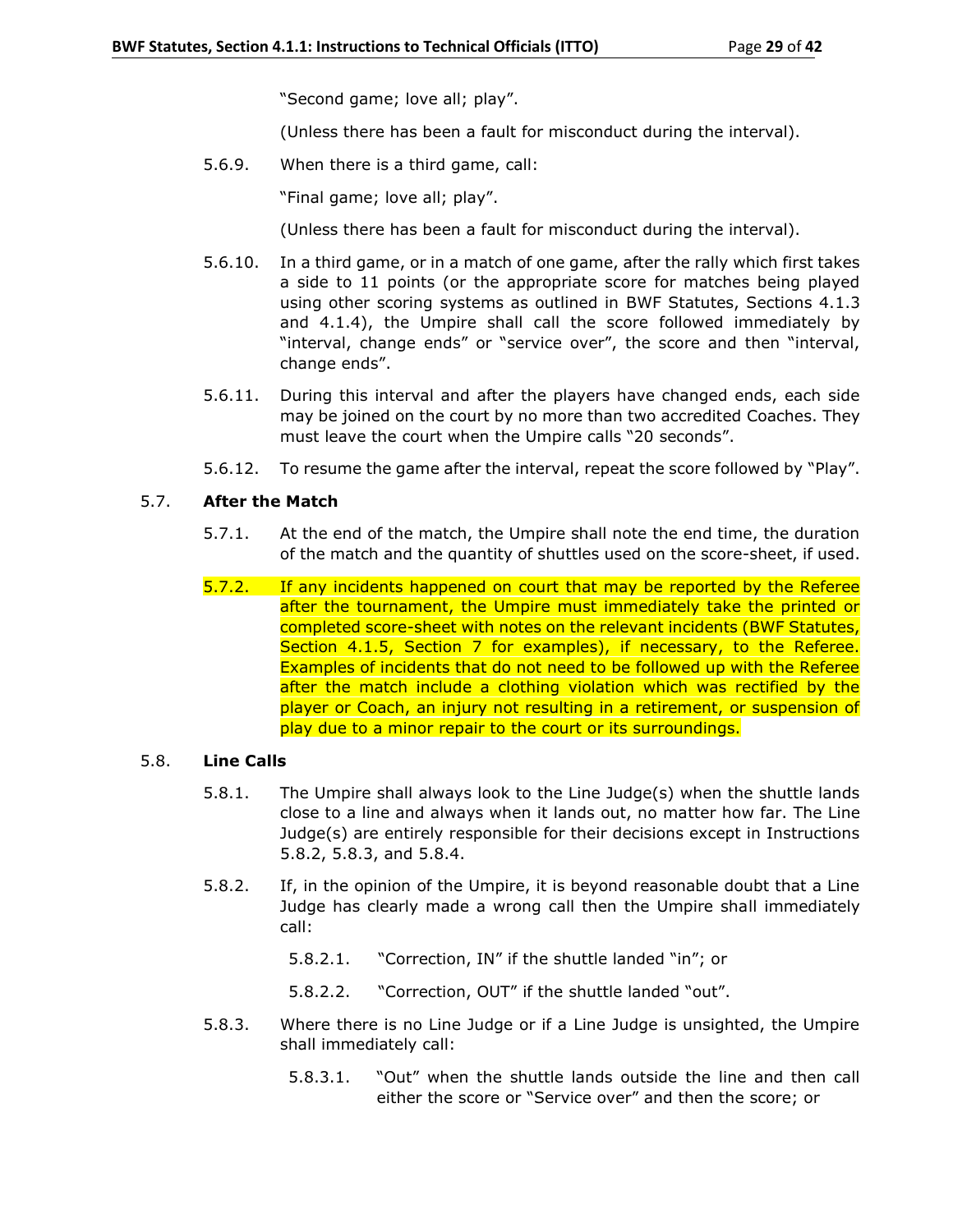"Second game; love all; play".

(Unless there has been a fault for misconduct during the interval).

5.6.9. When there is a third game, call:

"Final game; love all; play".

(Unless there has been a fault for misconduct during the interval).

- 5.6.10. In a third game, or in a match of one game, after the rally which first takes a side to 11 points (or the appropriate score for matches being played using other scoring systems as outlined in BWF Statutes, Sections 4.1.3 and 4.1.4), the Umpire shall call the score followed immediately by "interval, change ends" or "service over", the score and then "interval, change ends".
- 5.6.11. During this interval and after the players have changed ends, each side may be joined on the court by no more than two accredited Coaches. They must leave the court when the Umpire calls "20 seconds".
- 5.6.12. To resume the game after the interval, repeat the score followed by "Play".

## 5.7. **After the Match**

- 5.7.1. At the end of the match, the Umpire shall note the end time, the duration of the match and the quantity of shuttles used on the score-sheet, if used.
- 5.7.2. If any incidents happened on court that may be reported by the Referee after the tournament, the Umpire must immediately take the printed or completed score-sheet with notes on the relevant incidents (BWF Statutes, Section 4.1.5, Section 7 for examples), if necessary, to the Referee. Examples of incidents that do not need to be followed up with the Referee after the match include a clothing violation which was rectified by the player or Coach, an injury not resulting in a retirement, or suspension of play due to a minor repair to the court or its surroundings.

## 5.8. **Line Calls**

- 5.8.1. The Umpire shall always look to the Line Judge(s) when the shuttle lands close to a line and always when it lands out, no matter how far. The Line Judge(s) are entirely responsible for their decisions except in Instructions 5.8.2, 5.8.3, and 5.8.4.
- 5.8.2. If, in the opinion of the Umpire, it is beyond reasonable doubt that a Line Judge has clearly made a wrong call then the Umpire shall immediately call:
	- 5.8.2.1. "Correction, IN" if the shuttle landed "in"; or
	- 5.8.2.2. "Correction, OUT" if the shuttle landed "out".
- 5.8.3. Where there is no Line Judge or if a Line Judge is unsighted, the Umpire shall immediately call:
	- 5.8.3.1. "Out" when the shuttle lands outside the line and then call either the score or "Service over" and then the score; or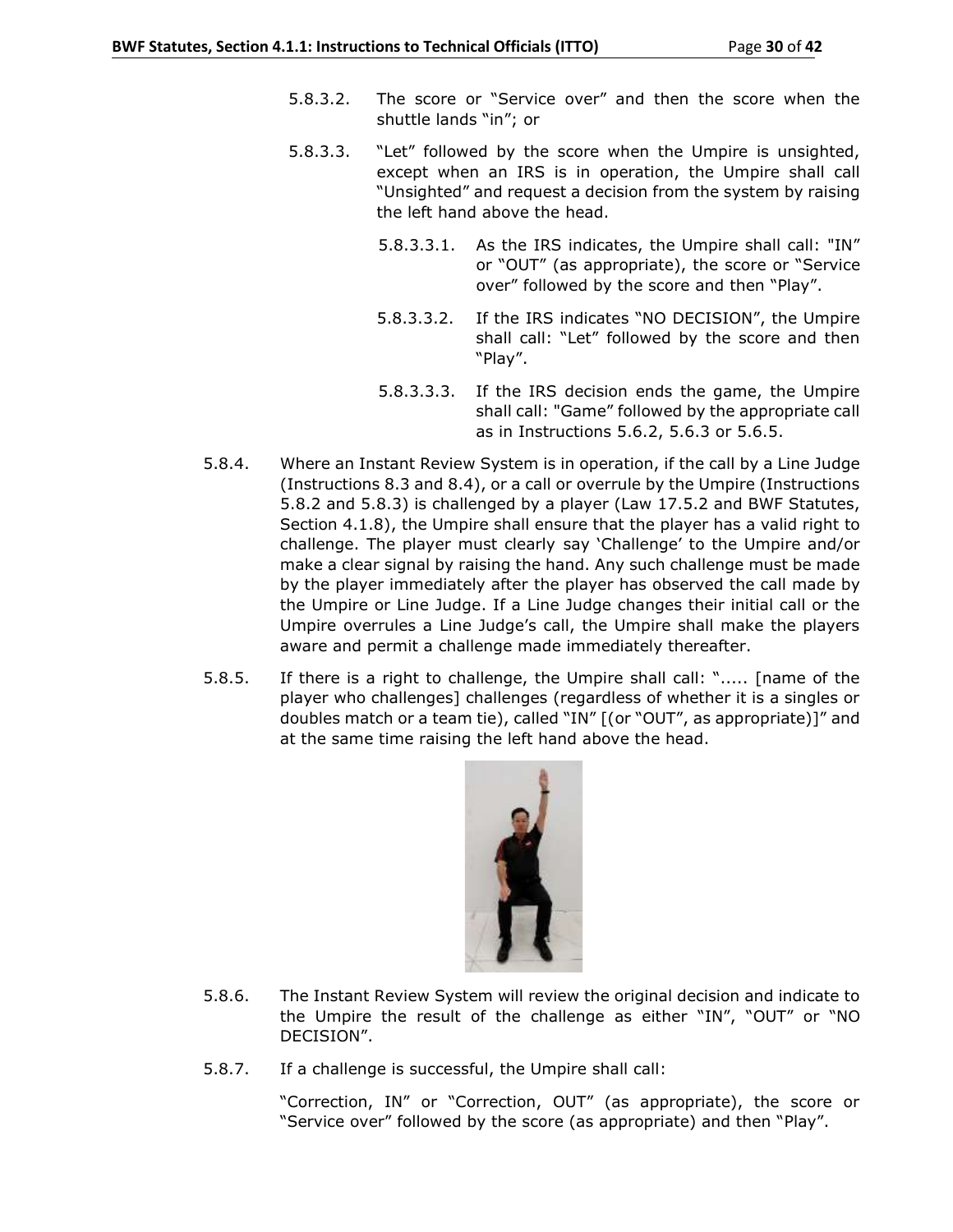- 5.8.3.2. The score or "Service over" and then the score when the shuttle lands "in"; or
- 5.8.3.3. "Let" followed by the score when the Umpire is unsighted, except when an IRS is in operation, the Umpire shall call "Unsighted" and request a decision from the system by raising the left hand above the head.
	- 5.8.3.3.1. As the IRS indicates, the Umpire shall call: "IN" or "OUT" (as appropriate), the score or "Service over" followed by the score and then "Play".
	- 5.8.3.3.2. If the IRS indicates "NO DECISION", the Umpire shall call: "Let" followed by the score and then "Play".
	- 5.8.3.3.3. If the IRS decision ends the game, the Umpire shall call: "Game" followed by the appropriate call as in Instructions 5.6.2, 5.6.3 or 5.6.5.
- 5.8.4. Where an Instant Review System is in operation, if the call by a Line Judge (Instructions 8.3 and 8.4), or a call or overrule by the Umpire (Instructions 5.8.2 and 5.8.3) is challenged by a player (Law 17.5.2 and BWF Statutes, Section 4.1.8), the Umpire shall ensure that the player has a valid right to challenge. The player must clearly say 'Challenge' to the Umpire and/or make a clear signal by raising the hand. Any such challenge must be made by the player immediately after the player has observed the call made by the Umpire or Line Judge. If a Line Judge changes their initial call or the Umpire overrules a Line Judge's call, the Umpire shall make the players aware and permit a challenge made immediately thereafter.
- 5.8.5. If there is a right to challenge, the Umpire shall call: "..... [name of the player who challenges] challenges (regardless of whether it is a singles or doubles match or a team tie), called "IN" [(or "OUT", as appropriate)]" and at the same time raising the left hand above the head.



- 5.8.6. The Instant Review System will review the original decision and indicate to the Umpire the result of the challenge as either "IN", "OUT" or "NO DECISION".
- 5.8.7. If a challenge is successful, the Umpire shall call:

"Correction, IN" or "Correction, OUT" (as appropriate), the score or "Service over" followed by the score (as appropriate) and then "Play".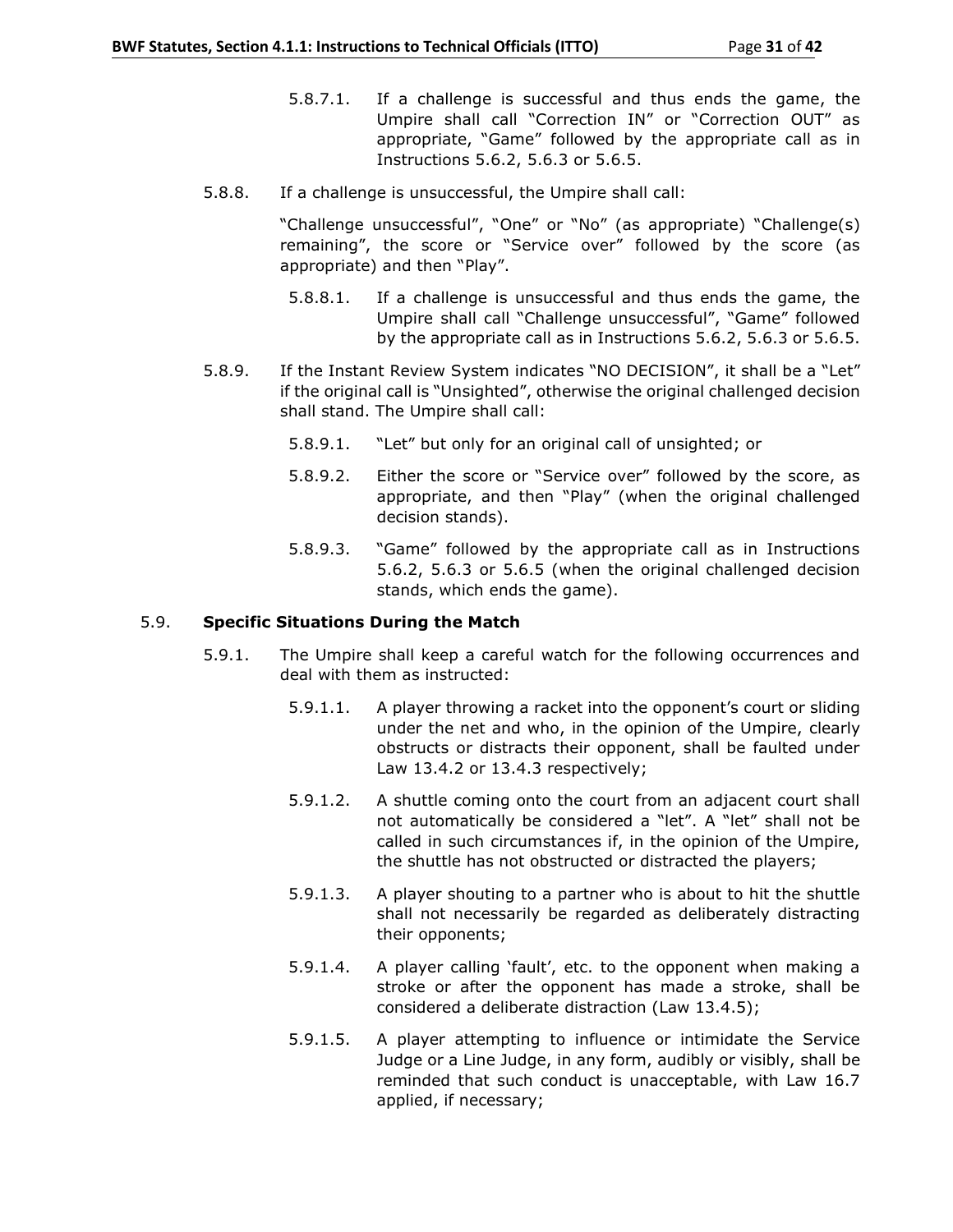- 5.8.7.1. If a challenge is successful and thus ends the game, the Umpire shall call "Correction IN" or "Correction OUT" as appropriate, "Game" followed by the appropriate call as in Instructions 5.6.2, 5.6.3 or 5.6.5.
- 5.8.8. If a challenge is unsuccessful, the Umpire shall call:

"Challenge unsuccessful", "One" or "No" (as appropriate) "Challenge(s) remaining", the score or "Service over" followed by the score (as appropriate) and then "Play".

- 5.8.8.1. If a challenge is unsuccessful and thus ends the game, the Umpire shall call "Challenge unsuccessful", "Game" followed by the appropriate call as in Instructions 5.6.2, 5.6.3 or 5.6.5.
- 5.8.9. If the Instant Review System indicates "NO DECISION", it shall be a "Let" if the original call is "Unsighted", otherwise the original challenged decision shall stand. The Umpire shall call:
	- 5.8.9.1. "Let" but only for an original call of unsighted; or
	- 5.8.9.2. Either the score or "Service over" followed by the score, as appropriate, and then "Play" (when the original challenged decision stands).
	- 5.8.9.3. "Game" followed by the appropriate call as in Instructions 5.6.2, 5.6.3 or 5.6.5 (when the original challenged decision stands, which ends the game).

## 5.9. **Specific Situations During the Match**

- 5.9.1. The Umpire shall keep a careful watch for the following occurrences and deal with them as instructed:
	- 5.9.1.1. A player throwing a racket into the opponent's court or sliding under the net and who, in the opinion of the Umpire, clearly obstructs or distracts their opponent, shall be faulted under Law 13.4.2 or 13.4.3 respectively;
	- 5.9.1.2. A shuttle coming onto the court from an adjacent court shall not automatically be considered a "let". A "let" shall not be called in such circumstances if, in the opinion of the Umpire, the shuttle has not obstructed or distracted the players;
	- 5.9.1.3. A player shouting to a partner who is about to hit the shuttle shall not necessarily be regarded as deliberately distracting their opponents;
	- 5.9.1.4. A player calling 'fault', etc. to the opponent when making a stroke or after the opponent has made a stroke, shall be considered a deliberate distraction (Law 13.4.5);
	- 5.9.1.5. A player attempting to influence or intimidate the Service Judge or a Line Judge, in any form, audibly or visibly, shall be reminded that such conduct is unacceptable, with Law 16.7 applied, if necessary;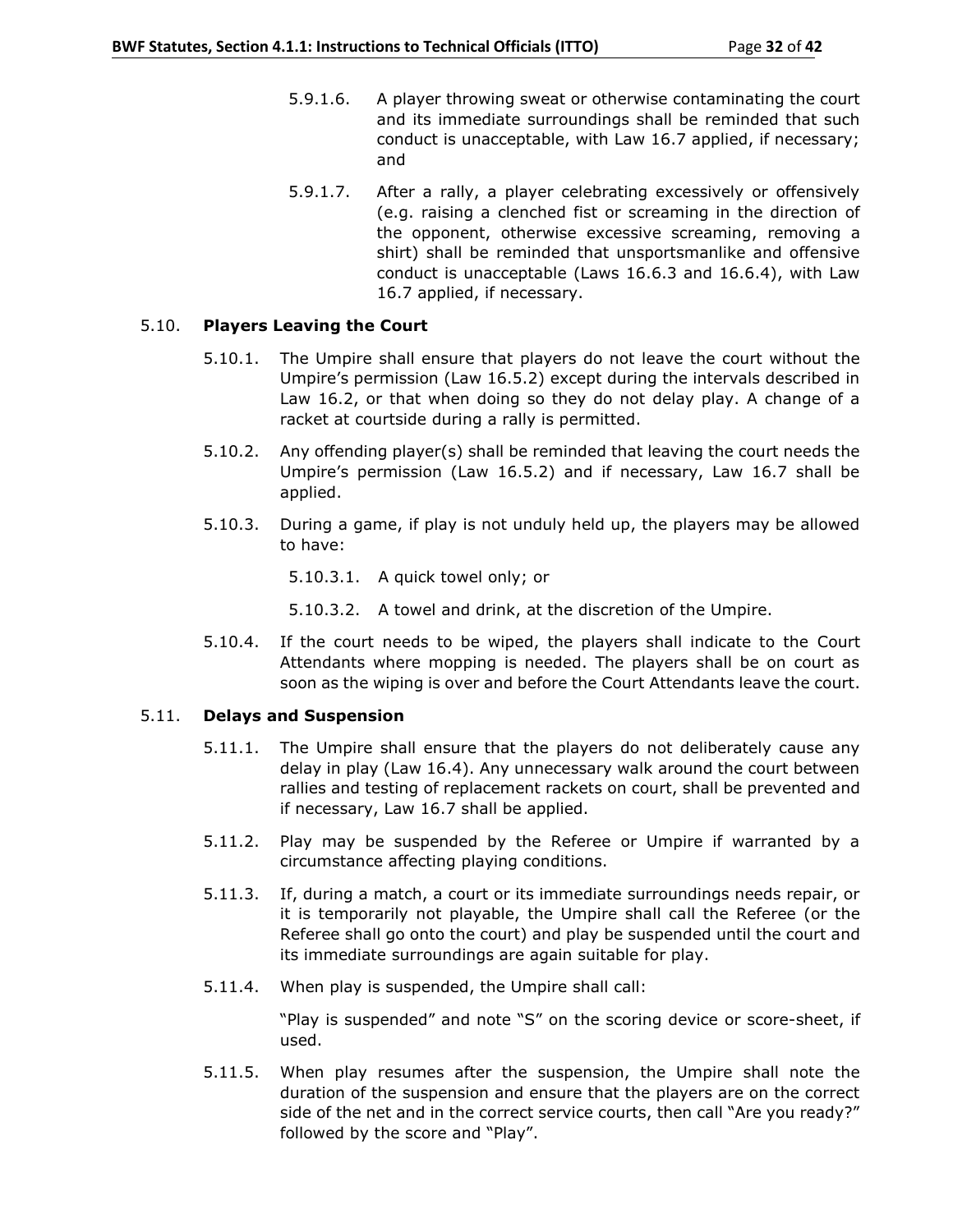- 5.9.1.6. A player throwing sweat or otherwise contaminating the court and its immediate surroundings shall be reminded that such conduct is unacceptable, with Law 16.7 applied, if necessary; and
- 5.9.1.7. After a rally, a player celebrating excessively or offensively (e.g. raising a clenched fist or screaming in the direction of the opponent, otherwise excessive screaming, removing a shirt) shall be reminded that unsportsmanlike and offensive conduct is unacceptable (Laws 16.6.3 and 16.6.4), with Law 16.7 applied, if necessary.

## 5.10. **Players Leaving the Court**

- 5.10.1. The Umpire shall ensure that players do not leave the court without the Umpire's permission (Law 16.5.2) except during the intervals described in Law 16.2, or that when doing so they do not delay play. A change of a racket at courtside during a rally is permitted.
- 5.10.2. Any offending player(s) shall be reminded that leaving the court needs the Umpire's permission (Law 16.5.2) and if necessary, Law 16.7 shall be applied.
- 5.10.3. During a game, if play is not unduly held up, the players may be allowed to have:
	- 5.10.3.1. A quick towel only; or
	- 5.10.3.2. A towel and drink, at the discretion of the Umpire.
- 5.10.4. If the court needs to be wiped, the players shall indicate to the Court Attendants where mopping is needed. The players shall be on court as soon as the wiping is over and before the Court Attendants leave the court.

#### 5.11. **Delays and Suspension**

- 5.11.1. The Umpire shall ensure that the players do not deliberately cause any delay in play (Law 16.4). Any unnecessary walk around the court between rallies and testing of replacement rackets on court, shall be prevented and if necessary, Law 16.7 shall be applied.
- 5.11.2. Play may be suspended by the Referee or Umpire if warranted by a circumstance affecting playing conditions.
- 5.11.3. If, during a match, a court or its immediate surroundings needs repair, or it is temporarily not playable, the Umpire shall call the Referee (or the Referee shall go onto the court) and play be suspended until the court and its immediate surroundings are again suitable for play.
- 5.11.4. When play is suspended, the Umpire shall call:

"Play is suspended" and note "S" on the scoring device or score-sheet, if used.

5.11.5. When play resumes after the suspension, the Umpire shall note the duration of the suspension and ensure that the players are on the correct side of the net and in the correct service courts, then call "Are you ready?" followed by the score and "Play".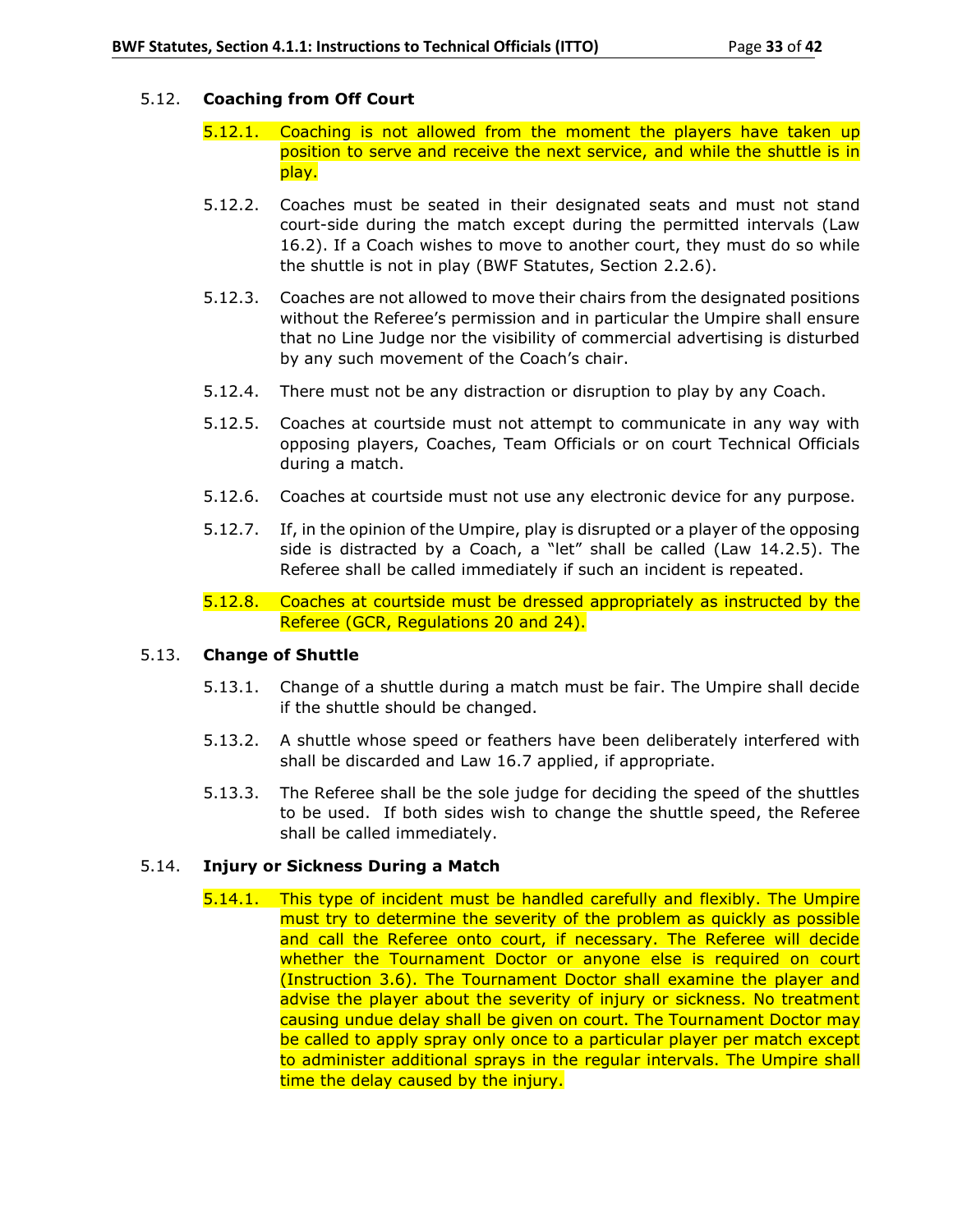## 5.12. **Coaching from Off Court**

- 5.12.1. Coaching is not allowed from the moment the players have taken up position to serve and receive the next service, and while the shuttle is in play.
- 5.12.2. Coaches must be seated in their designated seats and must not stand court-side during the match except during the permitted intervals (Law 16.2). If a Coach wishes to move to another court, they must do so while the shuttle is not in play (BWF Statutes, Section 2.2.6).
- 5.12.3. Coaches are not allowed to move their chairs from the designated positions without the Referee's permission and in particular the Umpire shall ensure that no Line Judge nor the visibility of commercial advertising is disturbed by any such movement of the Coach's chair.
- 5.12.4. There must not be any distraction or disruption to play by any Coach.
- 5.12.5. Coaches at courtside must not attempt to communicate in any way with opposing players, Coaches, Team Officials or on court Technical Officials during a match.
- 5.12.6. Coaches at courtside must not use any electronic device for any purpose.
- 5.12.7. If, in the opinion of the Umpire, play is disrupted or a player of the opposing side is distracted by a Coach, a "let" shall be called (Law 14.2.5). The Referee shall be called immediately if such an incident is repeated.
- 5.12.8. Coaches at courtside must be dressed appropriately as instructed by the Referee (GCR, Regulations 20 and 24).

## 5.13. **Change of Shuttle**

- 5.13.1. Change of a shuttle during a match must be fair. The Umpire shall decide if the shuttle should be changed.
- 5.13.2. A shuttle whose speed or feathers have been deliberately interfered with shall be discarded and Law 16.7 applied, if appropriate.
- 5.13.3. The Referee shall be the sole judge for deciding the speed of the shuttles to be used. If both sides wish to change the shuttle speed, the Referee shall be called immediately.

## 5.14. **Injury or Sickness During a Match**

5.14.1. This type of incident must be handled carefully and flexibly. The Umpire must try to determine the severity of the problem as quickly as possible and call the Referee onto court, if necessary. The Referee will decide whether the Tournament Doctor or anyone else is required on court (Instruction 3.6). The Tournament Doctor shall examine the player and advise the player about the severity of injury or sickness. No treatment causing undue delay shall be given on court. The Tournament Doctor may be called to apply spray only once to a particular player per match except to administer additional sprays in the regular intervals. The Umpire shall time the delay caused by the injury.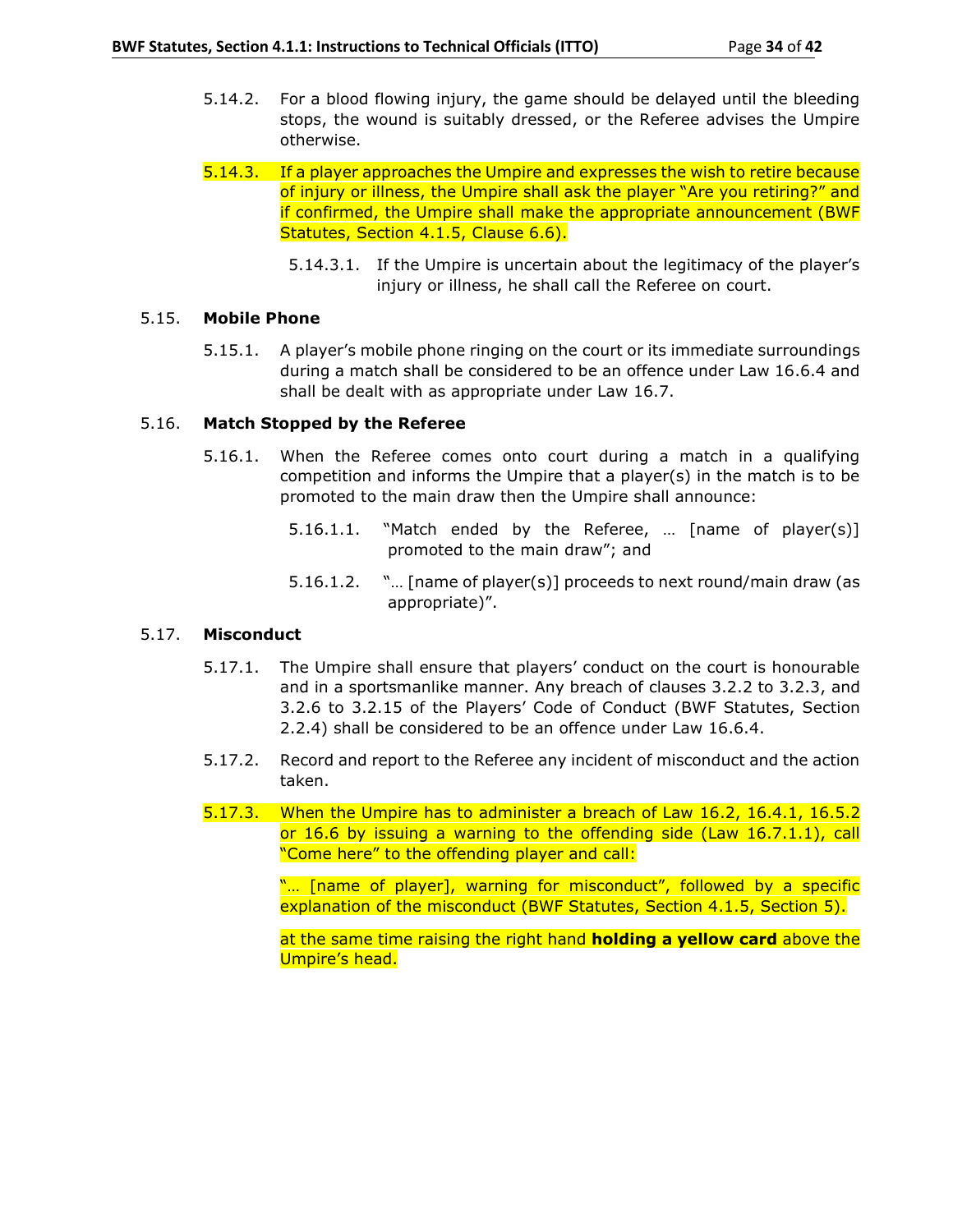- 5.14.2. For a blood flowing injury, the game should be delayed until the bleeding stops, the wound is suitably dressed, or the Referee advises the Umpire otherwise.
- 5.14.3. If a player approaches the Umpire and expresses the wish to retire because of injury or illness, the Umpire shall ask the player "Are you retiring?" and if confirmed, the Umpire shall make the appropriate announcement (BWF Statutes, Section 4.1.5, Clause 6.6).
	- 5.14.3.1. If the Umpire is uncertain about the legitimacy of the player's injury or illness, he shall call the Referee on court.

## 5.15. **Mobile Phone**

5.15.1. A player's mobile phone ringing on the court or its immediate surroundings during a match shall be considered to be an offence under Law 16.6.4 and shall be dealt with as appropriate under Law 16.7.

## 5.16. **Match Stopped by the Referee**

- 5.16.1. When the Referee comes onto court during a match in a qualifying competition and informs the Umpire that a player(s) in the match is to be promoted to the main draw then the Umpire shall announce:
	- 5.16.1.1. "Match ended by the Referee, … [name of player(s)] promoted to the main draw"; and
	- 5.16.1.2. "… [name of player(s)] proceeds to next round/main draw (as appropriate)".

## 5.17. **Misconduct**

- 5.17.1. The Umpire shall ensure that players' conduct on the court is honourable and in a sportsmanlike manner. Any breach of clauses 3.2.2 to 3.2.3, and 3.2.6 to 3.2.15 of the Players' Code of Conduct (BWF Statutes, Section 2.2.4) shall be considered to be an offence under Law 16.6.4.
- 5.17.2. Record and report to the Referee any incident of misconduct and the action taken.
- 5.17.3. When the Umpire has to administer a breach of Law 16.2, 16.4.1, 16.5.2 or 16.6 by issuing a warning to the offending side (Law 16.7.1.1), call "Come here" to the offending player and call:

"... [name of player], warning for misconduct", followed by a specific explanation of the misconduct (BWF Statutes, Section 4.1.5, Section 5).

at the same time raising the right hand **holding a yellow card** above the Umpire's head.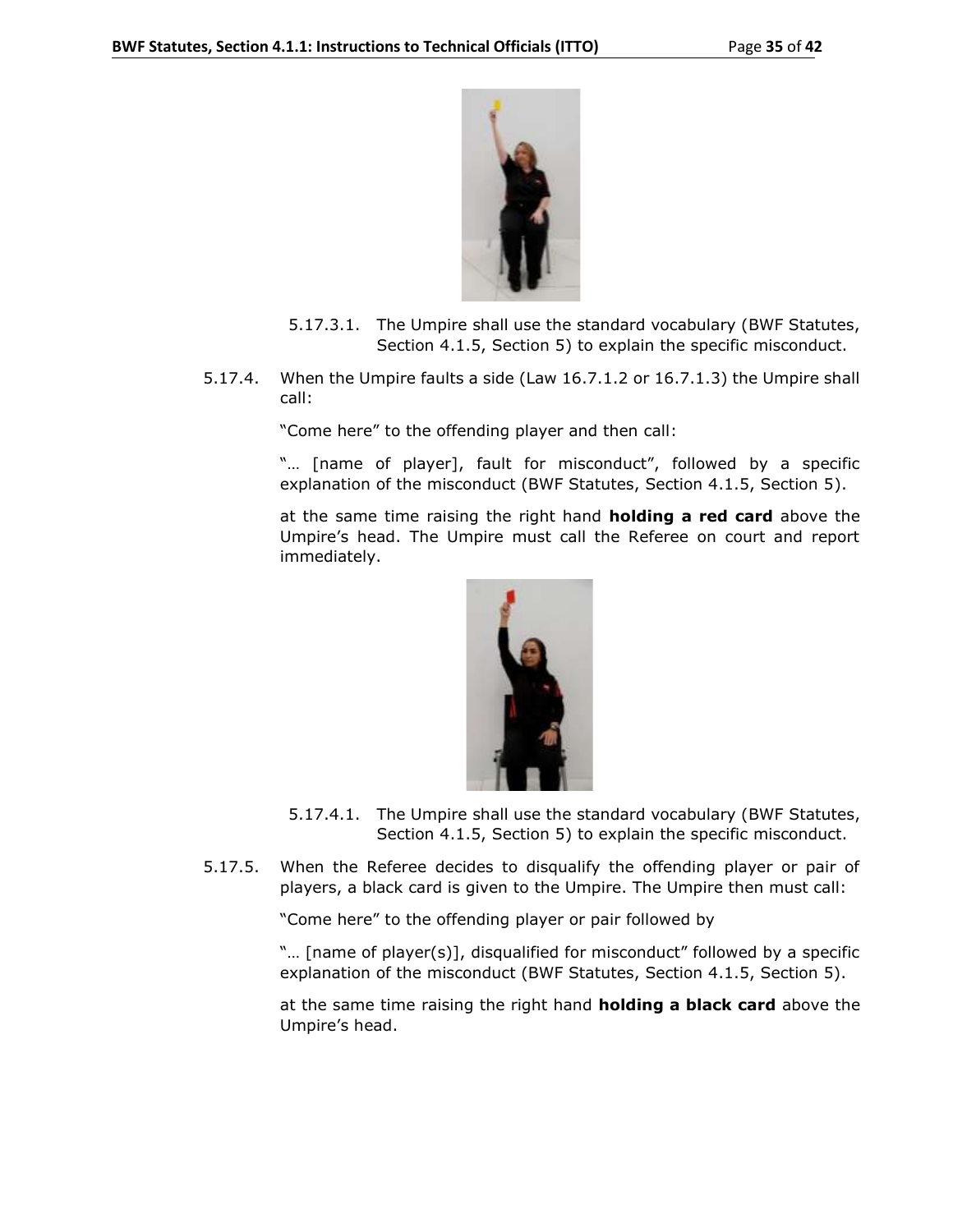

- 5.17.3.1. The Umpire shall use the standard vocabulary (BWF Statutes, Section 4.1.5, Section 5) to explain the specific misconduct.
- 5.17.4. When the Umpire faults a side (Law 16.7.1.2 or 16.7.1.3) the Umpire shall call:

"Come here" to the offending player and then call:

"… [name of player], fault for misconduct", followed by a specific explanation of the misconduct (BWF Statutes, Section 4.1.5, Section 5).

at the same time raising the right hand **holding a red card** above the Umpire's head. The Umpire must call the Referee on court and report immediately.



- 5.17.4.1. The Umpire shall use the standard vocabulary (BWF Statutes, Section 4.1.5, Section 5) to explain the specific misconduct.
- 5.17.5. When the Referee decides to disqualify the offending player or pair of players, a black card is given to the Umpire. The Umpire then must call:

"Come here" to the offending player or pair followed by

"… [name of player(s)], disqualified for misconduct" followed by a specific explanation of the misconduct (BWF Statutes, Section 4.1.5, Section 5).

at the same time raising the right hand **holding a black card** above the Umpire's head.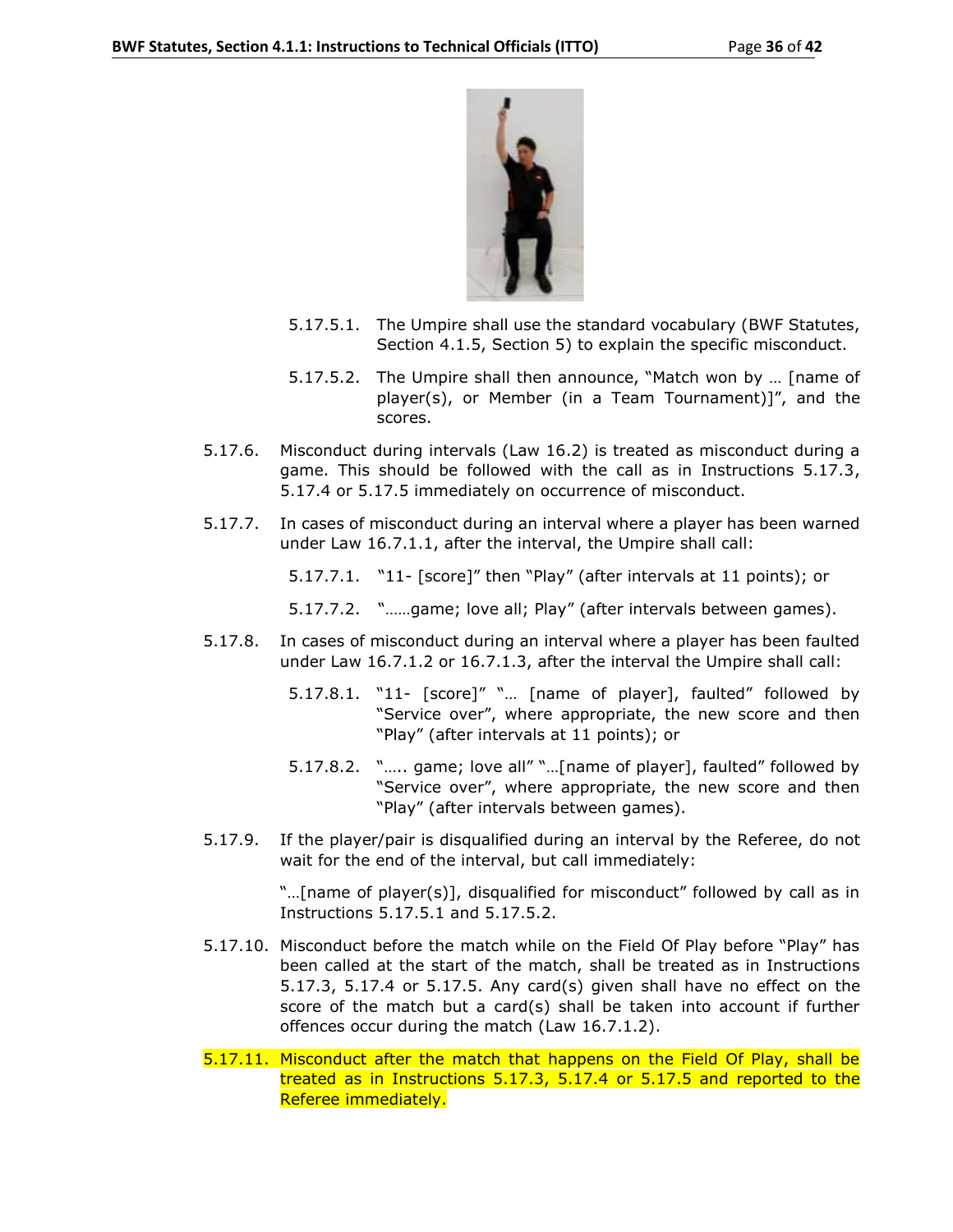

- 5.17.5.1. The Umpire shall use the standard vocabulary (BWF Statutes, Section 4.1.5, Section 5) to explain the specific misconduct.
- 5.17.5.2. The Umpire shall then announce, "Match won by … [name of player(s), or Member (in a Team Tournament)]", and the scores.
- 5.17.6. Misconduct during intervals (Law 16.2) is treated as misconduct during a game. This should be followed with the call as in Instructions 5.17.3, 5.17.4 or 5.17.5 immediately on occurrence of misconduct.
- 5.17.7. In cases of misconduct during an interval where a player has been warned under Law 16.7.1.1, after the interval, the Umpire shall call:
	- 5.17.7.1. "11- [score]" then "Play" (after intervals at 11 points); or
	- 5.17.7.2. "……game; love all; Play" (after intervals between games).
- 5.17.8. In cases of misconduct during an interval where a player has been faulted under Law 16.7.1.2 or 16.7.1.3, after the interval the Umpire shall call:
	- 5.17.8.1. "11- [score]" "… [name of player], faulted" followed by "Service over", where appropriate, the new score and then "Play" (after intervals at 11 points); or
	- 5.17.8.2. "….. game; love all" "…[name of player], faulted" followed by "Service over", where appropriate, the new score and then "Play" (after intervals between games).
- 5.17.9. If the player/pair is disqualified during an interval by the Referee, do not wait for the end of the interval, but call immediately:

"…[name of player(s)], disqualified for misconduct" followed by call as in Instructions 5.17.5.1 and 5.17.5.2.

- 5.17.10. Misconduct before the match while on the Field Of Play before "Play" has been called at the start of the match, shall be treated as in Instructions 5.17.3, 5.17.4 or 5.17.5. Any card(s) given shall have no effect on the score of the match but a card(s) shall be taken into account if further offences occur during the match (Law 16.7.1.2).
- 5.17.11. Misconduct after the match that happens on the Field Of Play, shall be treated as in Instructions 5.17.3, 5.17.4 or 5.17.5 and reported to the Referee immediately.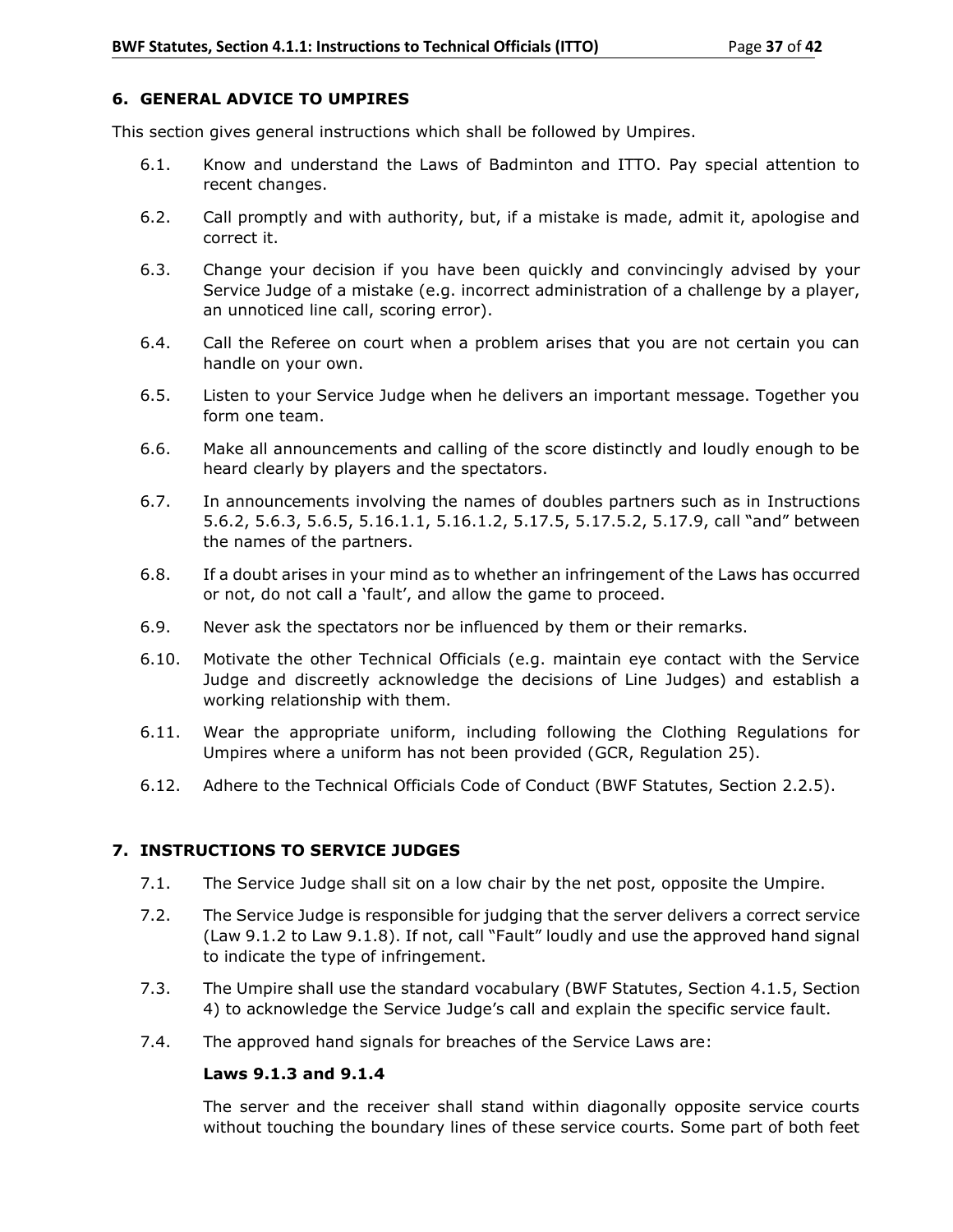## **6. GENERAL ADVICE TO UMPIRES**

This section gives general instructions which shall be followed by Umpires.

- 6.1. Know and understand the Laws of Badminton and ITTO. Pay special attention to recent changes.
- 6.2. Call promptly and with authority, but, if a mistake is made, admit it, apologise and correct it.
- 6.3. Change your decision if you have been quickly and convincingly advised by your Service Judge of a mistake (e.g. incorrect administration of a challenge by a player, an unnoticed line call, scoring error).
- 6.4. Call the Referee on court when a problem arises that you are not certain you can handle on your own.
- 6.5. Listen to your Service Judge when he delivers an important message. Together you form one team.
- 6.6. Make all announcements and calling of the score distinctly and loudly enough to be heard clearly by players and the spectators.
- 6.7. In announcements involving the names of doubles partners such as in Instructions 5.6.2, 5.6.3, 5.6.5, 5.16.1.1, 5.16.1.2, 5.17.5, 5.17.5.2, 5.17.9, call "and" between the names of the partners.
- 6.8. If a doubt arises in your mind as to whether an infringement of the Laws has occurred or not, do not call a 'fault', and allow the game to proceed.
- 6.9. Never ask the spectators nor be influenced by them or their remarks.
- 6.10. Motivate the other Technical Officials (e.g. maintain eye contact with the Service Judge and discreetly acknowledge the decisions of Line Judges) and establish a working relationship with them.
- 6.11. Wear the appropriate uniform, including following the Clothing Regulations for Umpires where a uniform has not been provided (GCR, Regulation 25).
- 6.12. Adhere to the Technical Officials Code of Conduct (BWF Statutes, Section 2.2.5).

## **7. INSTRUCTIONS TO SERVICE JUDGES**

- 7.1. The Service Judge shall sit on a low chair by the net post, opposite the Umpire.
- 7.2. The Service Judge is responsible for judging that the server delivers a correct service (Law 9.1.2 to Law 9.1.8). If not, call "Fault" loudly and use the approved hand signal to indicate the type of infringement.
- 7.3. The Umpire shall use the standard vocabulary (BWF Statutes, Section 4.1.5, Section 4) to acknowledge the Service Judge's call and explain the specific service fault.
- 7.4. The approved hand signals for breaches of the Service Laws are:

## **Laws 9.1.3 and 9.1.4**

The server and the receiver shall stand within diagonally opposite service courts without touching the boundary lines of these service courts. Some part of both feet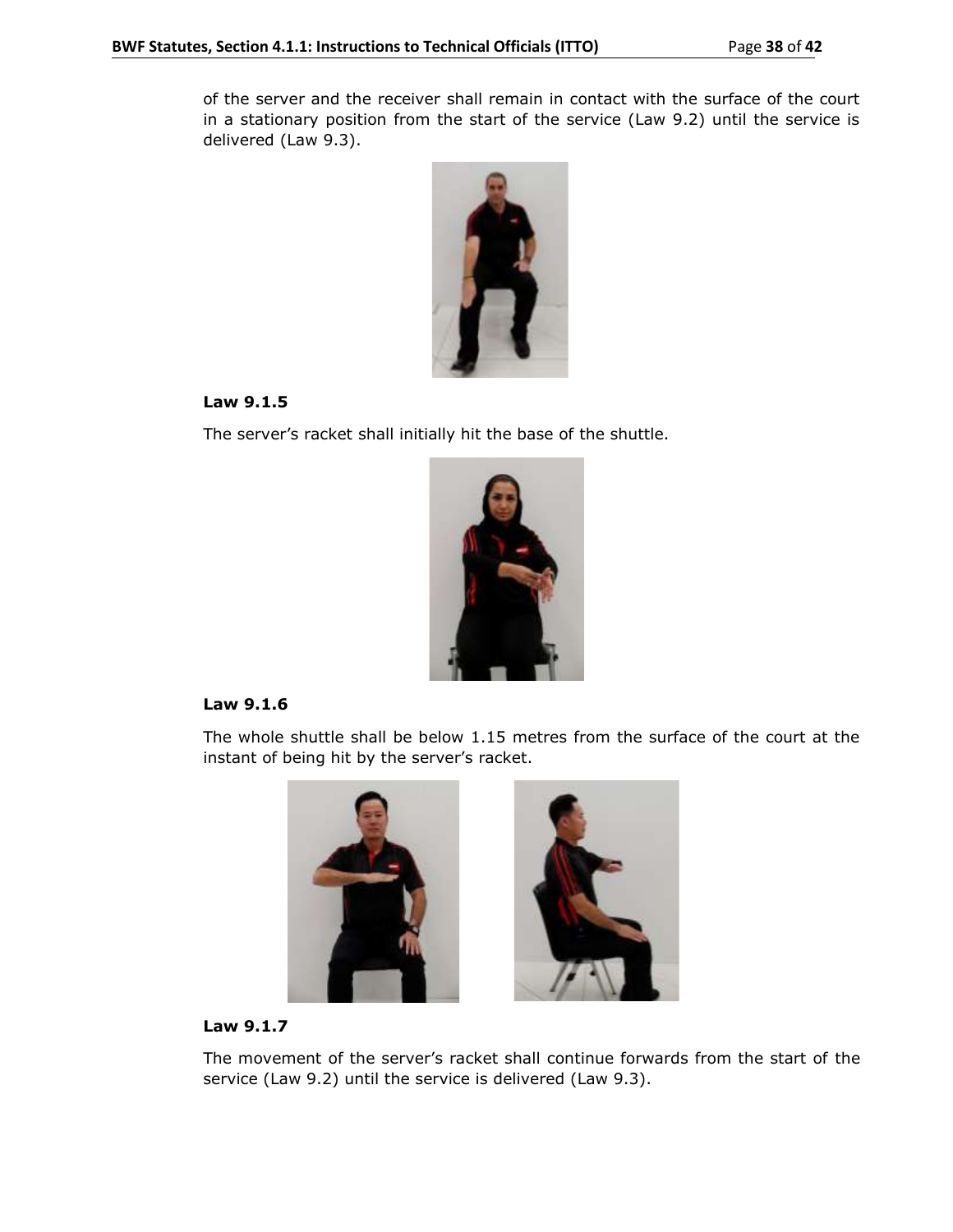of the server and the receiver shall remain in contact with the surface of the court in a stationary position from the start of the service (Law 9.2) until the service is delivered (Law 9.3).



## **Law 9.1.5**

The server's racket shall initially hit the base of the shuttle.



## **Law 9.1.6**

The whole shuttle shall be below 1.15 metres from the surface of the court at the instant of being hit by the server's racket.





## **Law 9.1.7**

The movement of the server's racket shall continue forwards from the start of the service (Law 9.2) until the service is delivered (Law 9.3).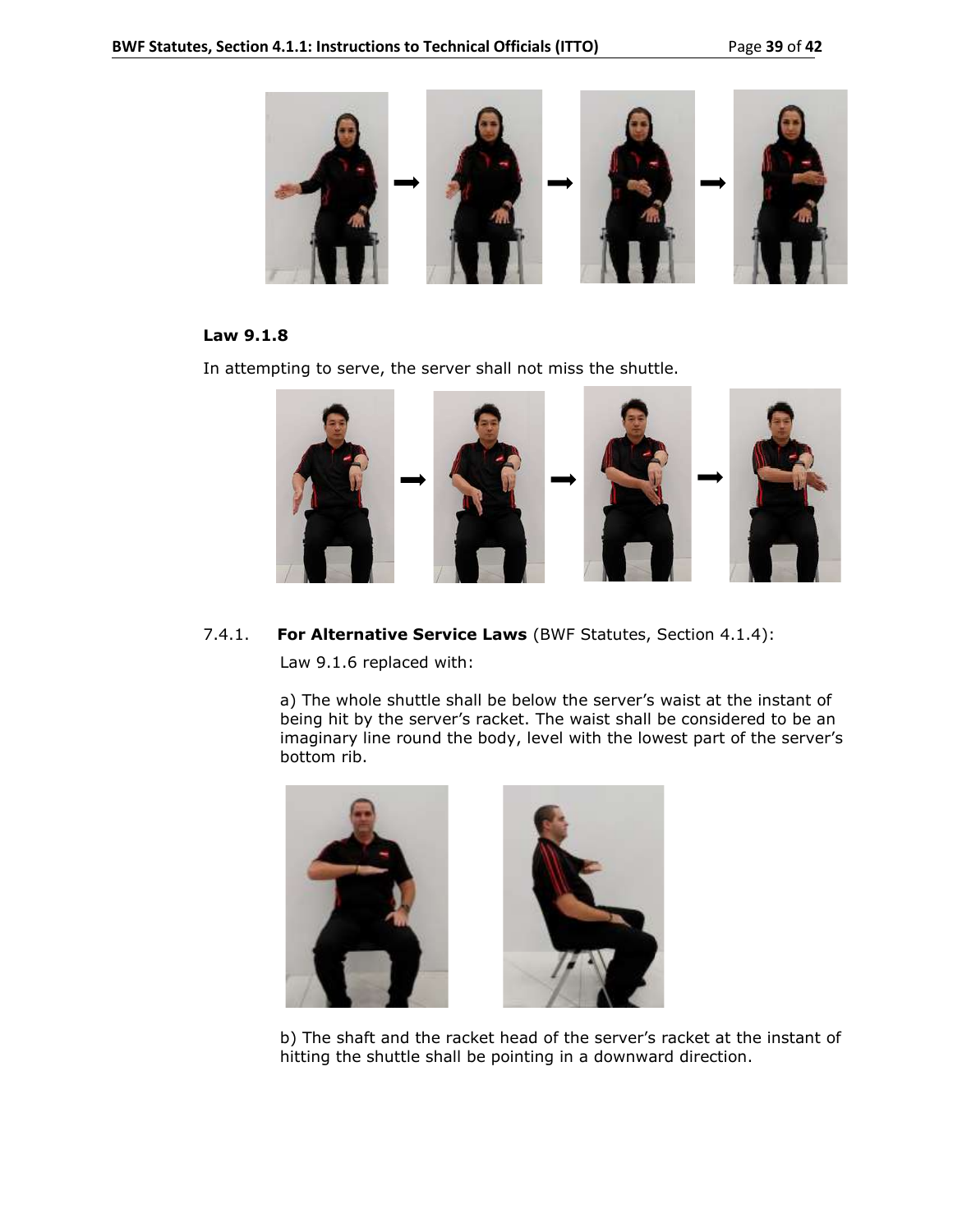

## **Law 9.1.8**

In attempting to serve, the server shall not miss the shuttle.



7.4.1. **For Alternative Service Laws** (BWF Statutes, Section 4.1.4):

Law 9.1.6 replaced with:

a) The whole shuttle shall be below the server's waist at the instant of being hit by the server's racket. The waist shall be considered to be an imaginary line round the body, level with the lowest part of the server's bottom rib.





b) The shaft and the racket head of the server's racket at the instant of hitting the shuttle shall be pointing in a downward direction.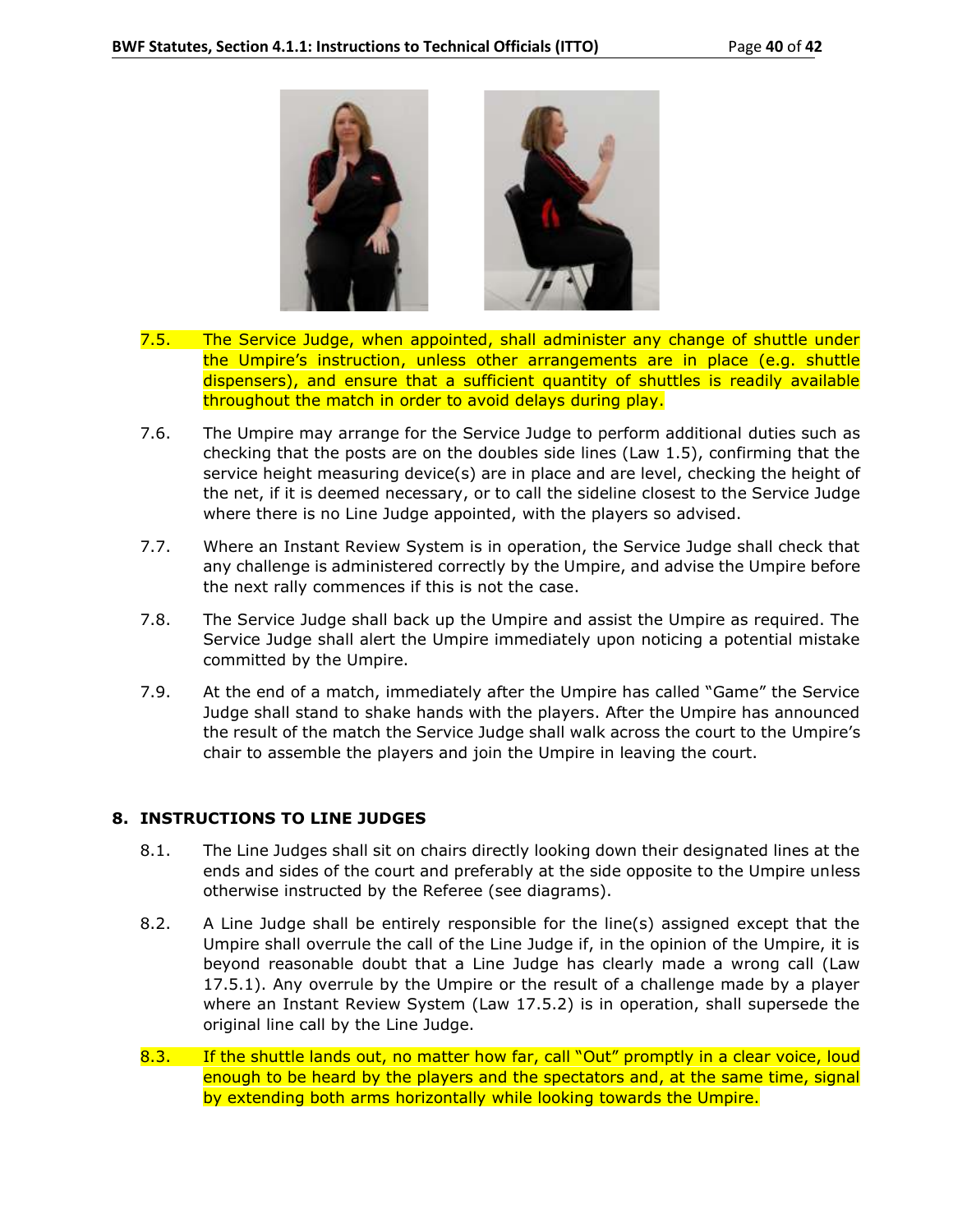

- 7.5. The Service Judge, when appointed, shall administer any change of shuttle under the Umpire's instruction, unless other arrangements are in place (e.g. shuttle dispensers), and ensure that a sufficient quantity of shuttles is readily available throughout the match in order to avoid delays during play.
- 7.6. The Umpire may arrange for the Service Judge to perform additional duties such as checking that the posts are on the doubles side lines (Law 1.5), confirming that the service height measuring device(s) are in place and are level, checking the height of the net, if it is deemed necessary, or to call the sideline closest to the Service Judge where there is no Line Judge appointed, with the players so advised.
- 7.7. Where an Instant Review System is in operation, the Service Judge shall check that any challenge is administered correctly by the Umpire, and advise the Umpire before the next rally commences if this is not the case.
- 7.8. The Service Judge shall back up the Umpire and assist the Umpire as required. The Service Judge shall alert the Umpire immediately upon noticing a potential mistake committed by the Umpire.
- 7.9. At the end of a match, immediately after the Umpire has called "Game" the Service Judge shall stand to shake hands with the players. After the Umpire has announced the result of the match the Service Judge shall walk across the court to the Umpire's chair to assemble the players and join the Umpire in leaving the court.

## **8. INSTRUCTIONS TO LINE JUDGES**

- 8.1. The Line Judges shall sit on chairs directly looking down their designated lines at the ends and sides of the court and preferably at the side opposite to the Umpire unless otherwise instructed by the Referee (see diagrams).
- 8.2. A Line Judge shall be entirely responsible for the line(s) assigned except that the Umpire shall overrule the call of the Line Judge if, in the opinion of the Umpire, it is beyond reasonable doubt that a Line Judge has clearly made a wrong call (Law 17.5.1). Any overrule by the Umpire or the result of a challenge made by a player where an Instant Review System (Law 17.5.2) is in operation, shall supersede the original line call by the Line Judge.
- 8.3. If the shuttle lands out, no matter how far, call "Out" promptly in a clear voice, loud enough to be heard by the players and the spectators and, at the same time, signal by extending both arms horizontally while looking towards the Umpire.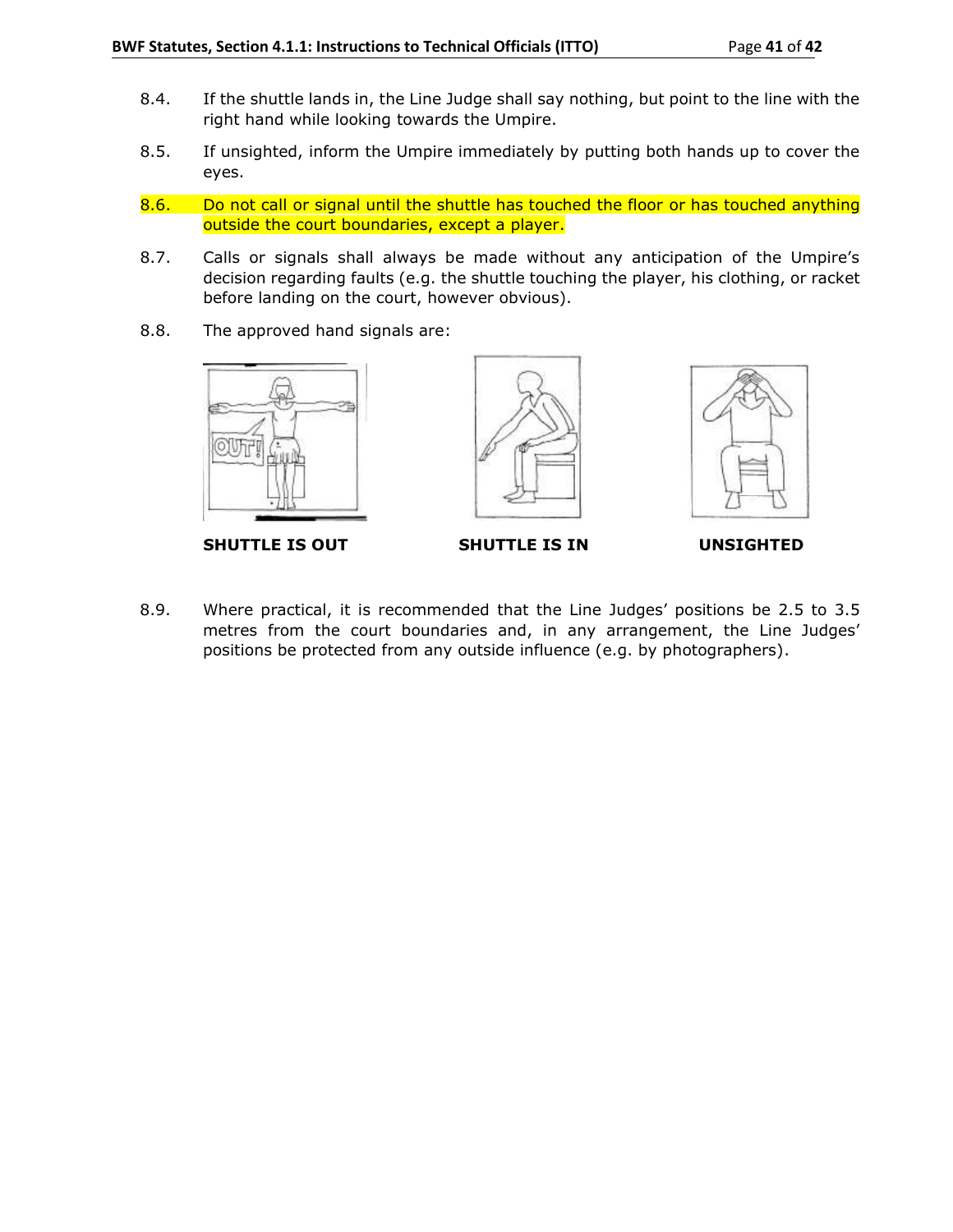- 8.4. If the shuttle lands in, the Line Judge shall say nothing, but point to the line with the right hand while looking towards the Umpire.
- 8.5. If unsighted, inform the Umpire immediately by putting both hands up to cover the eyes.
- 8.6. Do not call or signal until the shuttle has touched the floor or has touched anything outside the court boundaries, except a player.
- 8.7. Calls or signals shall always be made without any anticipation of the Umpire's decision regarding faults (e.g. the shuttle touching the player, his clothing, or racket before landing on the court, however obvious).
- 8.8. The approved hand signals are:



SHUTTLE IS OUT SHUTTLE IS IN UNSIGHTED





8.9. Where practical, it is recommended that the Line Judges' positions be 2.5 to 3.5 metres from the court boundaries and, in any arrangement, the Line Judges' positions be protected from any outside influence (e.g. by photographers).